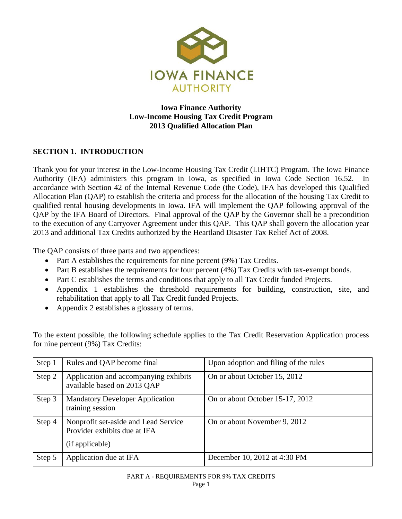

## **Iowa Finance Authority Low-Income Housing Tax Credit Program 2013 Qualified Allocation Plan**

# **SECTION 1. INTRODUCTION**

Thank you for your interest in the Low-Income Housing Tax Credit (LIHTC) Program. The Iowa Finance Authority (IFA) administers this program in Iowa, as specified in Iowa Code Section 16.52. In accordance with Section 42 of the Internal Revenue Code (the Code), IFA has developed this Qualified Allocation Plan (QAP) to establish the criteria and process for the allocation of the housing Tax Credit to qualified rental housing developments in Iowa. IFA will implement the QAP following approval of the QAP by the IFA Board of Directors. Final approval of the QAP by the Governor shall be a precondition to the execution of any Carryover Agreement under this QAP. This QAP shall govern the allocation year 2013 and additional Tax Credits authorized by the Heartland Disaster Tax Relief Act of 2008.

The QAP consists of three parts and two appendices:

- Part A establishes the requirements for nine percent (9%) Tax Credits.
- Part B establishes the requirements for four percent (4%) Tax Credits with tax-exempt bonds.
- Part C establishes the terms and conditions that apply to all Tax Credit funded Projects.
- Appendix 1 establishes the threshold requirements for building, construction, site, and rehabilitation that apply to all Tax Credit funded Projects.
- Appendix 2 establishes a glossary of terms.

To the extent possible, the following schedule applies to the Tax Credit Reservation Application process for nine percent (9%) Tax Credits:

| Step 1 | Rules and QAP become final                                                              | Upon adoption and filing of the rules |
|--------|-----------------------------------------------------------------------------------------|---------------------------------------|
| Step 2 | Application and accompanying exhibits<br>available based on 2013 QAP                    | On or about October 15, 2012          |
| Step 3 | <b>Mandatory Developer Application</b><br>training session                              | On or about October 15-17, 2012       |
| Step 4 | Nonprofit set-aside and Lead Service<br>Provider exhibits due at IFA<br>(if applicable) | On or about November 9, 2012          |
| Step 5 | Application due at IFA                                                                  | December 10, 2012 at 4:30 PM          |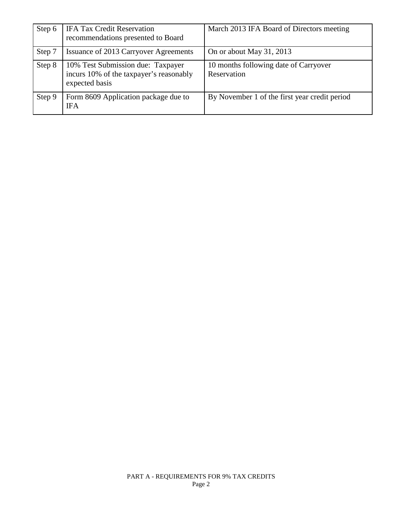| Step 6 | <b>IFA Tax Credit Reservation</b><br>recommendations presented to Board                        | March 2013 IFA Board of Directors meeting            |
|--------|------------------------------------------------------------------------------------------------|------------------------------------------------------|
| Step 7 | Issuance of 2013 Carryover Agreements                                                          | On or about May 31, 2013                             |
| Step 8 | 10% Test Submission due: Taxpayer<br>incurs 10% of the taxpayer's reasonably<br>expected basis | 10 months following date of Carryover<br>Reservation |
| Step 9 | Form 8609 Application package due to<br><b>IFA</b>                                             | By November 1 of the first year credit period        |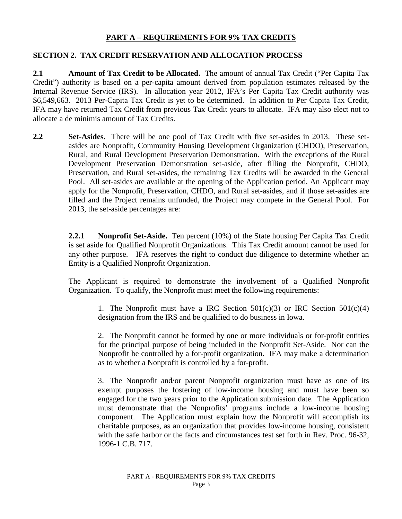## **PART A – REQUIREMENTS FOR 9% TAX CREDITS**

### **SECTION 2. TAX CREDIT RESERVATION AND ALLOCATION PROCESS**

**2.1 Amount of Tax Credit to be Allocated.** The amount of annual Tax Credit ("Per Capita Tax Credit") authority is based on a per-capita amount derived from population estimates released by the Internal Revenue Service (IRS). In allocation year 2012, IFA's Per Capita Tax Credit authority was \$6,549,663. 2013 Per-Capita Tax Credit is yet to be determined. In addition to Per Capita Tax Credit, IFA may have returned Tax Credit from previous Tax Credit years to allocate. IFA may also elect not to allocate a de minimis amount of Tax Credits.

**2.2 Set-Asides.** There will be one pool of Tax Credit with five set-asides in 2013. These setasides are Nonprofit, Community Housing Development Organization (CHDO), Preservation, Rural, and Rural Development Preservation Demonstration. With the exceptions of the Rural Development Preservation Demonstration set-aside, after filling the Nonprofit, CHDO, Preservation, and Rural set-asides, the remaining Tax Credits will be awarded in the General Pool. All set-asides are available at the opening of the Application period. An Applicant may apply for the Nonprofit, Preservation, CHDO, and Rural set-asides, and if those set-asides are filled and the Project remains unfunded, the Project may compete in the General Pool. For 2013, the set-aside percentages are:

> **2.2.1 Nonprofit Set-Aside.** Ten percent (10%) of the State housing Per Capita Tax Credit is set aside for Qualified Nonprofit Organizations. This Tax Credit amount cannot be used for any other purpose. IFA reserves the right to conduct due diligence to determine whether an Entity is a Qualified Nonprofit Organization.

> The Applicant is required to demonstrate the involvement of a Qualified Nonprofit Organization. To qualify, the Nonprofit must meet the following requirements:

1. The Nonprofit must have a IRC Section  $501(c)(3)$  or IRC Section  $501(c)(4)$ designation from the IRS and be qualified to do business in Iowa.

2. The Nonprofit cannot be formed by one or more individuals or for-profit entities for the principal purpose of being included in the Nonprofit Set-Aside. Nor can the Nonprofit be controlled by a for-profit organization. IFA may make a determination as to whether a Nonprofit is controlled by a for-profit.

3. The Nonprofit and/or parent Nonprofit organization must have as one of its exempt purposes the fostering of low-income housing and must have been so engaged for the two years prior to the Application submission date. The Application must demonstrate that the Nonprofits' programs include a low-income housing component. The Application must explain how the Nonprofit will accomplish its charitable purposes, as an organization that provides low-income housing, consistent with the safe harbor or the facts and circumstances test set forth in Rev. Proc. 96-32, 1996-1 C.B. 717.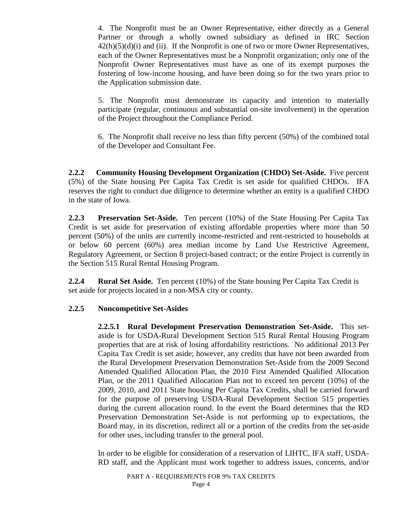4. The Nonprofit must be an Owner Representative, either directly as a General Partner or through a wholly owned subsidiary as defined in IRC Section  $42(h)(5)(d)(i)$  and (ii). If the Nonprofit is one of two or more Owner Representatives, each of the Owner Representatives must be a Nonprofit organization; only one of the Nonprofit Owner Representatives must have as one of its exempt purposes the fostering of low-income housing, and have been doing so for the two years prior to the Application submission date.

5. The Nonprofit must demonstrate its capacity and intention to materially participate (regular, continuous and substantial on-site involvement) in the operation of the Project throughout the Compliance Period.

6. The Nonprofit shall receive no less than fifty percent (50%) of the combined total of the Developer and Consultant Fee.

**2.2.2 Community Housing Development Organization (CHDO) Set-Aside.** Five percent (5%) of the State housing Per Capita Tax Credit is set aside for qualified CHDOs. IFA reserves the right to conduct due diligence to determine whether an entity is a qualified CHDO in the state of Iowa.

**2.2.3 Preservation Set-Aside.** Ten percent (10%) of the State Housing Per Capita Tax Credit is set aside for preservation of existing affordable properties where more than 50 percent (50%) of the units are currently income-restricted and rent-restricted to households at or below 60 percent (60%) area median income by Land Use Restrictive Agreement, Regulatory Agreement, or Section 8 project-based contract; or the entire Project is currently in the Section 515 Rural Rental Housing Program.

**2.2.4 Rural Set Aside.** Ten percent (10%) of the State housing Per Capita Tax Credit is set aside for projects located in a non-MSA city or county.

### **2.2.5 Noncompetitive Set-Asides**

**2.2.5.1 Rural Development Preservation Demonstration Set-Aside.** This setaside is for USDA-Rural Development Section 515 Rural Rental Housing Program properties that are at risk of losing affordability restrictions. No additional 2013 Per Capita Tax Credit is set aside; however, any credits that have not been awarded from the Rural Development Preservation Demonstration Set-Aside from the 2009 Second Amended Qualified Allocation Plan, the 2010 First Amended Qualified Allocation Plan, or the 2011 Qualified Allocation Plan not to exceed ten percent (10%) of the 2009, 2010, and 2011 State housing Per Capita Tax Credits, shall be carried forward for the purpose of preserving USDA-Rural Development Section 515 properties during the current allocation round. In the event the Board determines that the RD Preservation Demonstration Set-Aside is not performing up to expectations, the Board may, in its discretion, redirect all or a portion of the credits from the set-aside for other uses, including transfer to the general pool.

In order to be eligible for consideration of a reservation of LIHTC, IFA staff, USDA-RD staff, and the Applicant must work together to address issues, concerns, and/or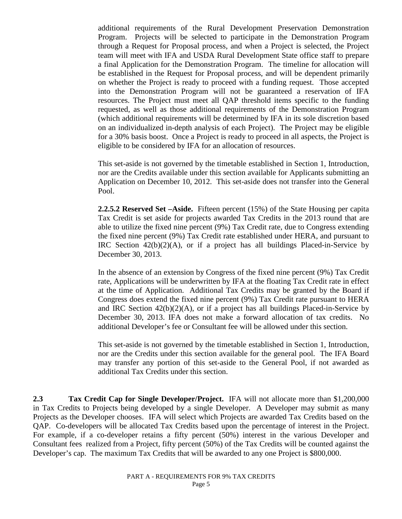additional requirements of the Rural Development Preservation Demonstration Program. Projects will be selected to participate in the Demonstration Program through a Request for Proposal process, and when a Project is selected, the Project team will meet with IFA and USDA Rural Development State office staff to prepare a final Application for the Demonstration Program. The timeline for allocation will be established in the Request for Proposal process, and will be dependent primarily on whether the Project is ready to proceed with a funding request. Those accepted into the Demonstration Program will not be guaranteed a reservation of IFA resources. The Project must meet all QAP threshold items specific to the funding requested, as well as those additional requirements of the Demonstration Program (which additional requirements will be determined by IFA in its sole discretion based on an individualized in-depth analysis of each Project). The Project may be eligible for a 30% basis boost. Once a Project is ready to proceed in all aspects, the Project is eligible to be considered by IFA for an allocation of resources.

This set-aside is not governed by the timetable established in Section 1, Introduction, nor are the Credits available under this section available for Applicants submitting an Application on December 10, 2012. This set-aside does not transfer into the General Pool.

**2.2.5.2 Reserved Set –Aside.** Fifteen percent (15%) of the State Housing per capita Tax Credit is set aside for projects awarded Tax Credits in the 2013 round that are able to utilize the fixed nine percent (9%) Tax Credit rate, due to Congress extending the fixed nine percent (9%) Tax Credit rate established under HERA, and pursuant to IRC Section  $42(b)(2)(A)$ , or if a project has all buildings Placed-in-Service by December 30, 2013.

In the absence of an extension by Congress of the fixed nine percent (9%) Tax Credit rate, Applications will be underwritten by IFA at the floating Tax Credit rate in effect at the time of Application. Additional Tax Credits may be granted by the Board if Congress does extend the fixed nine percent (9%) Tax Credit rate pursuant to HERA and IRC Section  $42(b)(2)(A)$ , or if a project has all buildings Placed-in-Service by December 30, 2013. IFA does not make a forward allocation of tax credits. No additional Developer's fee or Consultant fee will be allowed under this section.

This set-aside is not governed by the timetable established in Section 1, Introduction, nor are the Credits under this section available for the general pool. The IFA Board may transfer any portion of this set-aside to the General Pool, if not awarded as additional Tax Credits under this section.

**2.3 Tax Credit Cap for Single Developer/Project.** IFA will not allocate more than \$1,200,000 in Tax Credits to Projects being developed by a single Developer. A Developer may submit as many Projects as the Developer chooses. IFA will select which Projects are awarded Tax Credits based on the QAP. Co-developers will be allocated Tax Credits based upon the percentage of interest in the Project. For example, if a co-developer retains a fifty percent (50%) interest in the various Developer and Consultant fees realized from a Project, fifty percent (50%) of the Tax Credits will be counted against the Developer's cap. The maximum Tax Credits that will be awarded to any one Project is \$800,000.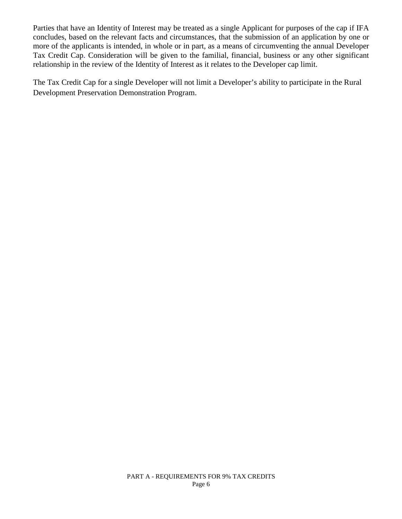Parties that have an Identity of Interest may be treated as a single Applicant for purposes of the cap if IFA concludes, based on the relevant facts and circumstances, that the submission of an application by one or more of the applicants is intended, in whole or in part, as a means of circumventing the annual Developer Tax Credit Cap. Consideration will be given to the familial, financial, business or any other significant relationship in the review of the Identity of Interest as it relates to the Developer cap limit.

The Tax Credit Cap for a single Developer will not limit a Developer's ability to participate in the Rural Development Preservation Demonstration Program.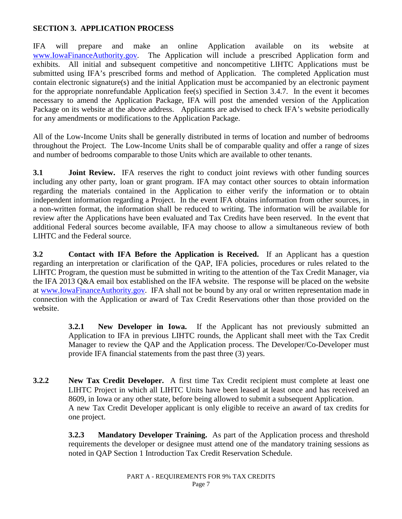## **SECTION 3. APPLICATION PROCESS**

IFA will prepare and make an online Application available on its website at [www.IowaFinanceAuthority.gov.](http://www.iowafinanceauthority.gov/) The Application will include a prescribed Application form and exhibits. All initial and subsequent competitive and noncompetitive LIHTC Applications must be submitted using IFA's prescribed forms and method of Application. The completed Application must contain electronic signature(s) and the initial Application must be accompanied by an electronic payment for the appropriate nonrefundable Application fee(s) specified in Section 3.4.7. In the event it becomes necessary to amend the Application Package, IFA will post the amended version of the Application Package on its website at the above address. Applicants are advised to check IFA's website periodically for any amendments or modifications to the Application Package.

All of the Low-Income Units shall be generally distributed in terms of location and number of bedrooms throughout the Project. The Low-Income Units shall be of comparable quality and offer a range of sizes and number of bedrooms comparable to those Units which are available to other tenants.

**3.1 Joint Review.** IFA reserves the right to conduct joint reviews with other funding sources including any other party, loan or grant program. IFA may contact other sources to obtain information regarding the materials contained in the Application to either verify the information or to obtain independent information regarding a Project. In the event IFA obtains information from other sources, in a non-written format, the information shall be reduced to writing. The information will be available for review after the Applications have been evaluated and Tax Credits have been reserved. In the event that additional Federal sources become available, IFA may choose to allow a simultaneous review of both LIHTC and the Federal source.

**3.2 Contact with IFA Before the Application is Received.** If an Applicant has a question regarding an interpretation or clarification of the QAP, IFA policies, procedures or rules related to the LIHTC Program, the question must be submitted in writing to the attention of the Tax Credit Manager, via the IFA 2013 Q&A email box established on the IFA website. The response will be placed on the website at [www.IowaFinanceAuthority.gov.](http://www.iowafinanceauthority.gov/) IFA shall not be bound by any oral or written representation made in connection with the Application or award of Tax Credit Reservations other than those provided on the website.

> **3.2.1 New Developer in Iowa.** If the Applicant has not previously submitted an Application to IFA in previous LIHTC rounds, the Applicant shall meet with the Tax Credit Manager to review the QAP and the Application process. The Developer/Co-Developer must provide IFA financial statements from the past three (3) years.

**3.2.2 New Tax Credit Developer.** A first time Tax Credit recipient must complete at least one LIHTC Project in which all LIHTC Units have been leased at least once and has received an 8609, in Iowa or any other state, before being allowed to submit a subsequent Application. A new Tax Credit Developer applicant is only eligible to receive an award of tax credits for one project.

> **3.2.3 Mandatory Developer Training.** As part of the Application process and threshold requirements the developer or designee must attend one of the mandatory training sessions as noted in QAP Section 1 Introduction Tax Credit Reservation Schedule.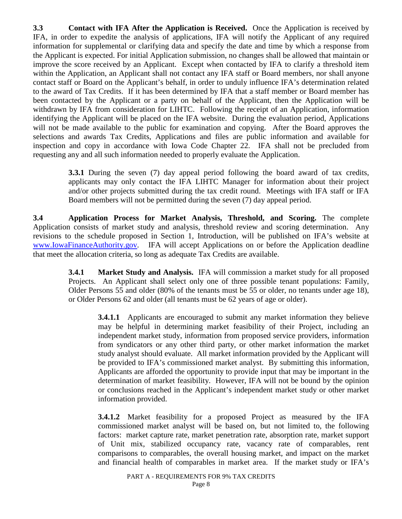**3.3 Contact with IFA After the Application is Received.** Once the Application is received by IFA, in order to expedite the analysis of applications, IFA will notify the Applicant of any required information for supplemental or clarifying data and specify the date and time by which a response from the Applicant is expected. For initial Application submission, no changes shall be allowed that maintain or improve the score received by an Applicant. Except when contacted by IFA to clarify a threshold item within the Application, an Applicant shall not contact any IFA staff or Board members, nor shall anyone contact staff or Board on the Applicant's behalf, in order to unduly influence IFA's determination related to the award of Tax Credits. If it has been determined by IFA that a staff member or Board member has been contacted by the Applicant or a party on behalf of the Applicant, then the Application will be withdrawn by IFA from consideration for LIHTC. Following the receipt of an Application, information identifying the Applicant will be placed on the IFA website. During the evaluation period, Applications will not be made available to the public for examination and copying. After the Board approves the selections and awards Tax Credits, Applications and files are public information and available for inspection and copy in accordance with Iowa Code Chapter 22. IFA shall not be precluded from requesting any and all such information needed to properly evaluate the Application.

> **3.3.1** During the seven (7) day appeal period following the board award of tax credits, applicants may only contact the IFA LIHTC Manager for information about their project and/or other projects submitted during the tax credit round. Meetings with IFA staff or IFA Board members will not be permitted during the seven (7) day appeal period.

**3.4 Application Process for Market Analysis, Threshold, and Scoring.** The complete Application consists of market study and analysis, threshold review and scoring determination. Any revisions to the schedule proposed in Section 1, Introduction, will be published on IFA's website at [www.IowaFinanceAuthority.gov.](http://www.iowafinanceauthority.gov/) IFA will accept Applications on or before the Application deadline that meet the allocation criteria, so long as adequate Tax Credits are available.

> **3.4.1 Market Study and Analysis.** IFA will commission a market study for all proposed Projects. An Applicant shall select only one of three possible tenant populations: Family, Older Persons 55 and older (80% of the tenants must be 55 or older, no tenants under age 18), or Older Persons 62 and older (all tenants must be 62 years of age or older).

**3.4.1.1** Applicants are encouraged to submit any market information they believe may be helpful in determining market feasibility of their Project, including an independent market study, information from proposed service providers, information from syndicators or any other third party, or other market information the market study analyst should evaluate. All market information provided by the Applicant will be provided to IFA's commissioned market analyst. By submitting this information, Applicants are afforded the opportunity to provide input that may be important in the determination of market feasibility. However, IFA will not be bound by the opinion or conclusions reached in the Applicant's independent market study or other market information provided.

**3.4.1.2** Market feasibility for a proposed Project as measured by the IFA commissioned market analyst will be based on, but not limited to, the following factors: market capture rate, market penetration rate, absorption rate, market support of Unit mix, stabilized occupancy rate, vacancy rate of comparables, rent comparisons to comparables, the overall housing market, and impact on the market and financial health of comparables in market area. If the market study or IFA's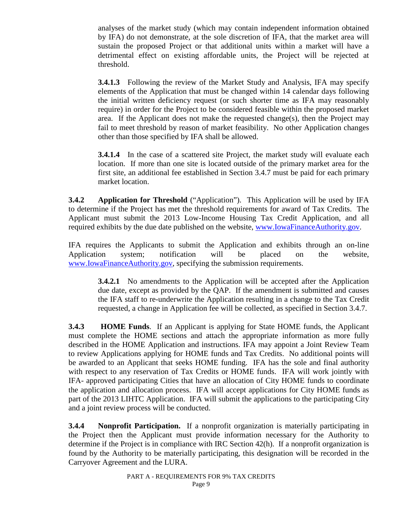analyses of the market study (which may contain independent information obtained by IFA) do not demonstrate, at the sole discretion of IFA, that the market area will sustain the proposed Project or that additional units within a market will have a detrimental effect on existing affordable units, the Project will be rejected at threshold.

**3.4.1.3** Following the review of the Market Study and Analysis, IFA may specify elements of the Application that must be changed within 14 calendar days following the initial written deficiency request (or such shorter time as IFA may reasonably require) in order for the Project to be considered feasible within the proposed market area. If the Applicant does not make the requested change(s), then the Project may fail to meet threshold by reason of market feasibility. No other Application changes other than those specified by IFA shall be allowed.

**3.4.1.4** In the case of a scattered site Project, the market study will evaluate each location. If more than one site is located outside of the primary market area for the first site, an additional fee established in Section 3.4.7 must be paid for each primary market location.

**3.4.2 Application for Threshold** ("Application").This Application will be used by IFA to determine if the Project has met the threshold requirements for award of Tax Credits. The Applicant must submit the 2013 Low-Income Housing Tax Credit Application, and all required exhibits by the due date published on the website, [www.IowaFinanceAuthority.gov.](http://www.iowafinanceauthority.gov/)

IFA requires the Applicants to submit the Application and exhibits through an on-line Application system; notification will be placed on the website, [www.IowaFinanceAuthority.gov,](http://www.iowafinanceauthority.gov/) specifying the submission requirements.

**3.4.2.1** No amendments to the Application will be accepted after the Application due date, except as provided by the QAP. If the amendment is submitted and causes the IFA staff to re-underwrite the Application resulting in a change to the Tax Credit requested, a change in Application fee will be collected, as specified in Section 3.4.7.

**3.4.3 HOME Funds**. If an Applicant is applying for State HOME funds, the Applicant must complete the HOME sections and attach the appropriate information as more fully described in the HOME Application and instructions. IFA may appoint a Joint Review Team to review Applications applying for HOME funds and Tax Credits. No additional points will be awarded to an Applicant that seeks HOME funding. IFA has the sole and final authority with respect to any reservation of Tax Credits or HOME funds. IFA will work jointly with IFA- approved participating Cities that have an allocation of City HOME funds to coordinate the application and allocation process. IFA will accept applications for City HOME funds as part of the 2013 LIHTC Application. IFA will submit the applications to the participating City and a joint review process will be conducted.

**3.4.4 Nonprofit Participation.** If a nonprofit organization is materially participating in the Project then the Applicant must provide information necessary for the Authority to determine if the Project is in compliance with IRC Section 42(h). If a nonprofit organization is found by the Authority to be materially participating, this designation will be recorded in the Carryover Agreement and the LURA.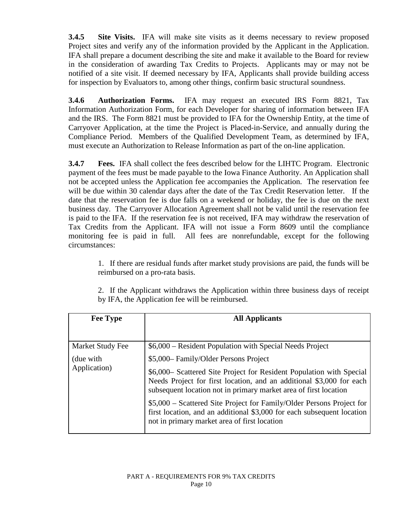**3.4.5 Site Visits.** IFA will make site visits as it deems necessary to review proposed Project sites and verify any of the information provided by the Applicant in the Application. IFA shall prepare a document describing the site and make it available to the Board for review in the consideration of awarding Tax Credits to Projects. Applicants may or may not be notified of a site visit. If deemed necessary by IFA, Applicants shall provide building access for inspection by Evaluators to, among other things, confirm basic structural soundness.

**3.4.6 Authorization Forms.** IFA may request an executed IRS Form 8821, Tax Information Authorization Form, for each Developer for sharing of information between IFA and the IRS. The Form 8821 must be provided to IFA for the Ownership Entity, at the time of Carryover Application, at the time the Project is Placed-in-Service, and annually during the Compliance Period. Members of the Qualified Development Team, as determined by IFA, must execute an Authorization to Release Information as part of the on-line application.

**3.4.7 Fees.** IFA shall collect the fees described below for the LIHTC Program. Electronic payment of the fees must be made payable to the Iowa Finance Authority. An Application shall not be accepted unless the Application fee accompanies the Application. The reservation fee will be due within 30 calendar days after the date of the Tax Credit Reservation letter. If the date that the reservation fee is due falls on a weekend or holiday, the fee is due on the next business day. The Carryover Allocation Agreement shall not be valid until the reservation fee is paid to the IFA. If the reservation fee is not received, IFA may withdraw the reservation of Tax Credits from the Applicant. IFA will not issue a Form 8609 until the compliance monitoring fee is paid in full. All fees are nonrefundable, except for the following circumstances:

1. If there are residual funds after market study provisions are paid, the funds will be reimbursed on a pro-rata basis.

2. If the Applicant withdraws the Application within three business days of receipt by IFA, the Application fee will be reimbursed.

| <b>Fee Type</b>  | <b>All Applicants</b>                                                                                                                                                                                            |  |
|------------------|------------------------------------------------------------------------------------------------------------------------------------------------------------------------------------------------------------------|--|
|                  |                                                                                                                                                                                                                  |  |
| Market Study Fee | \$6,000 – Resident Population with Special Needs Project                                                                                                                                                         |  |
| (due with        | \$5,000 Family/Older Persons Project                                                                                                                                                                             |  |
| Application)     | \$6,000– Scattered Site Project for Resident Population with Special<br>Needs Project for first location, and an additional \$3,000 for each<br>subsequent location not in primary market area of first location |  |
|                  | \$5,000 – Scattered Site Project for Family/Older Persons Project for<br>first location, and an additional \$3,000 for each subsequent location<br>not in primary market area of first location                  |  |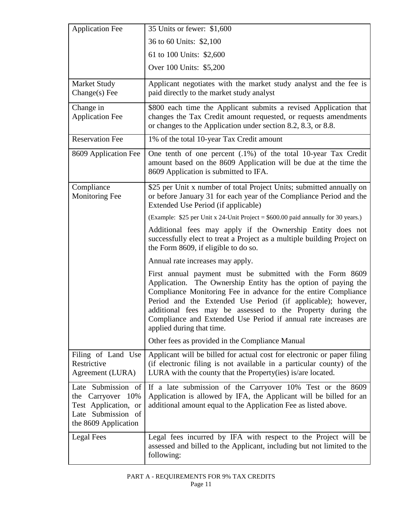| <b>Application Fee</b>                                                                                        | 35 Units or fewer: \$1,600                                                                                                                                                                                                                                                                                                                                                                                                     |
|---------------------------------------------------------------------------------------------------------------|--------------------------------------------------------------------------------------------------------------------------------------------------------------------------------------------------------------------------------------------------------------------------------------------------------------------------------------------------------------------------------------------------------------------------------|
|                                                                                                               | 36 to 60 Units: \$2,100                                                                                                                                                                                                                                                                                                                                                                                                        |
|                                                                                                               | 61 to 100 Units: \$2,600                                                                                                                                                                                                                                                                                                                                                                                                       |
|                                                                                                               | Over 100 Units: \$5,200                                                                                                                                                                                                                                                                                                                                                                                                        |
| <b>Market Study</b><br>$Change(s)$ Fee                                                                        | Applicant negotiates with the market study analyst and the fee is<br>paid directly to the market study analyst                                                                                                                                                                                                                                                                                                                 |
| Change in<br><b>Application Fee</b>                                                                           | \$800 each time the Applicant submits a revised Application that<br>changes the Tax Credit amount requested, or requests amendments<br>or changes to the Application under section 8.2, 8.3, or 8.8.                                                                                                                                                                                                                           |
| <b>Reservation Fee</b>                                                                                        | 1% of the total 10-year Tax Credit amount                                                                                                                                                                                                                                                                                                                                                                                      |
| 8609 Application Fee                                                                                          | One tenth of one percent (.1%) of the total 10-year Tax Credit<br>amount based on the 8609 Application will be due at the time the<br>8609 Application is submitted to IFA.                                                                                                                                                                                                                                                    |
| Compliance<br><b>Monitoring Fee</b>                                                                           | \$25 per Unit x number of total Project Units; submitted annually on<br>or before January 31 for each year of the Compliance Period and the<br>Extended Use Period (if applicable)                                                                                                                                                                                                                                             |
|                                                                                                               | (Example: \$25 per Unit x 24-Unit Project = \$600.00 paid annually for 30 years.)                                                                                                                                                                                                                                                                                                                                              |
|                                                                                                               | Additional fees may apply if the Ownership Entity does not<br>successfully elect to treat a Project as a multiple building Project on<br>the Form 8609, if eligible to do so.                                                                                                                                                                                                                                                  |
|                                                                                                               | Annual rate increases may apply.                                                                                                                                                                                                                                                                                                                                                                                               |
|                                                                                                               | First annual payment must be submitted with the Form 8609<br>The Ownership Entity has the option of paying the<br>Application.<br>Compliance Monitoring Fee in advance for the entire Compliance<br>Period and the Extended Use Period (if applicable); however,<br>additional fees may be assessed to the Property during the<br>Compliance and Extended Use Period if annual rate increases are<br>applied during that time. |
|                                                                                                               | Other fees as provided in the Compliance Manual                                                                                                                                                                                                                                                                                                                                                                                |
| Filing of Land Use<br>Restrictive<br>Agreement (LURA)                                                         | Applicant will be billed for actual cost for electronic or paper filing<br>(if electronic filing is not available in a particular county) of the<br>LURA with the county that the Property (ies) is/are located.                                                                                                                                                                                                               |
| Late Submission of<br>the Carryover 10%<br>Test Application, or<br>Late Submission of<br>the 8609 Application | If a late submission of the Carryover 10% Test or the 8609<br>Application is allowed by IFA, the Applicant will be billed for an<br>additional amount equal to the Application Fee as listed above.                                                                                                                                                                                                                            |
| Legal Fees                                                                                                    | Legal fees incurred by IFA with respect to the Project will be<br>assessed and billed to the Applicant, including but not limited to the<br>following:                                                                                                                                                                                                                                                                         |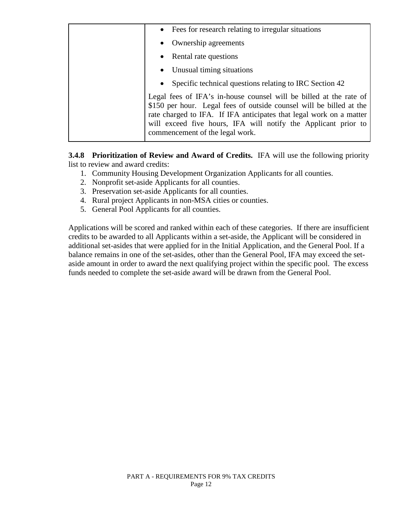| • Fees for research relating to irregular situations                                                                                                                                                                                                                                                                  |
|-----------------------------------------------------------------------------------------------------------------------------------------------------------------------------------------------------------------------------------------------------------------------------------------------------------------------|
| • Ownership agreements                                                                                                                                                                                                                                                                                                |
| • Rental rate questions                                                                                                                                                                                                                                                                                               |
| • Unusual timing situations                                                                                                                                                                                                                                                                                           |
| Specific technical questions relating to IRC Section 42                                                                                                                                                                                                                                                               |
| Legal fees of IFA's in-house counsel will be billed at the rate of<br>\$150 per hour. Legal fees of outside counsel will be billed at the<br>rate charged to IFA. If IFA anticipates that legal work on a matter<br>will exceed five hours, IFA will notify the Applicant prior to<br>commencement of the legal work. |

**3.4.8 Prioritization of Review and Award of Credits.** IFA will use the following priority list to review and award credits:

- 1. Community Housing Development Organization Applicants for all counties.
- 2. Nonprofit set-aside Applicants for all counties.
- 3. Preservation set-aside Applicants for all counties.
- 4. Rural project Applicants in non-MSA cities or counties.
- 5. General Pool Applicants for all counties.

Applications will be scored and ranked within each of these categories. If there are insufficient credits to be awarded to all Applicants within a set-aside, the Applicant will be considered in additional set-asides that were applied for in the Initial Application, and the General Pool. If a balance remains in one of the set-asides, other than the General Pool, IFA may exceed the setaside amount in order to award the next qualifying project within the specific pool. The excess funds needed to complete the set-aside award will be drawn from the General Pool.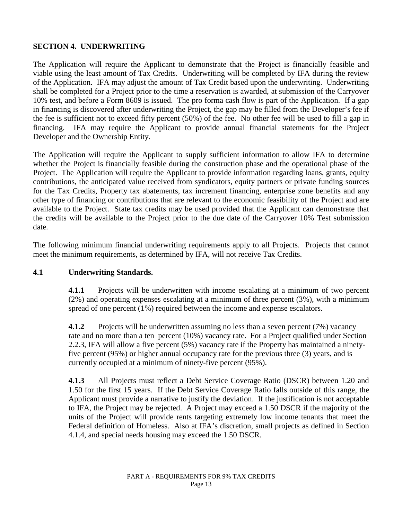## **SECTION 4. UNDERWRITING**

The Application will require the Applicant to demonstrate that the Project is financially feasible and viable using the least amount of Tax Credits. Underwriting will be completed by IFA during the review of the Application. IFA may adjust the amount of Tax Credit based upon the underwriting. Underwriting shall be completed for a Project prior to the time a reservation is awarded, at submission of the Carryover 10% test, and before a Form 8609 is issued. The pro forma cash flow is part of the Application. If a gap in financing is discovered after underwriting the Project, the gap may be filled from the Developer's fee if the fee is sufficient not to exceed fifty percent (50%) of the fee. No other fee will be used to fill a gap in financing. IFA may require the Applicant to provide annual financial statements for the Project Developer and the Ownership Entity.

The Application will require the Applicant to supply sufficient information to allow IFA to determine whether the Project is financially feasible during the construction phase and the operational phase of the Project. The Application will require the Applicant to provide information regarding loans, grants, equity contributions, the anticipated value received from syndicators, equity partners or private funding sources for the Tax Credits, Property tax abatements, tax increment financing, enterprise zone benefits and any other type of financing or contributions that are relevant to the economic feasibility of the Project and are available to the Project. State tax credits may be used provided that the Applicant can demonstrate that the credits will be available to the Project prior to the due date of the Carryover 10% Test submission date.

The following minimum financial underwriting requirements apply to all Projects. Projects that cannot meet the minimum requirements, as determined by IFA, will not receive Tax Credits.

### **4.1 Underwriting Standards.**

**4.1.1** Projects will be underwritten with income escalating at a minimum of two percent (2%) and operating expenses escalating at a minimum of three percent (3%), with a minimum spread of one percent (1%) required between the income and expense escalators.

**4.1.2** Projects will be underwritten assuming no less than a seven percent (7%) vacancy rate and no more than a ten percent (10%) vacancy rate. For a Project qualified under Section 2.2.3, IFA will allow a five percent (5%) vacancy rate if the Property has maintained a ninetyfive percent (95%) or higher annual occupancy rate for the previous three (3) years, and is currently occupied at a minimum of ninety-five percent (95%).

**4.1.3** All Projects must reflect a Debt Service Coverage Ratio (DSCR) between 1.20 and 1.50 for the first 15 years. If the Debt Service Coverage Ratio falls outside of this range, the Applicant must provide a narrative to justify the deviation. If the justification is not acceptable to IFA, the Project may be rejected. A Project may exceed a 1.50 DSCR if the majority of the units of the Project will provide rents targeting extremely low income tenants that meet the Federal definition of Homeless. Also at IFA's discretion, small projects as defined in Section 4.1.4, and special needs housing may exceed the 1.50 DSCR.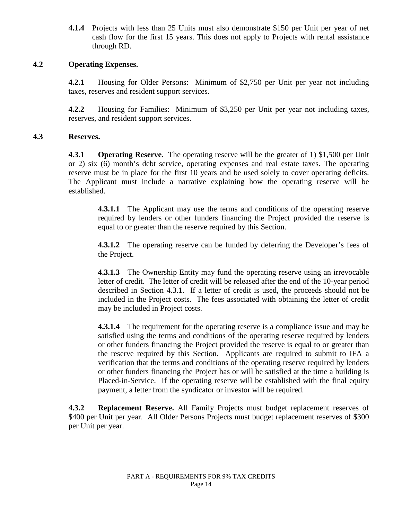**4.1.4** Projects with less than 25 Units must also demonstrate \$150 per Unit per year of net cash flow for the first 15 years. This does not apply to Projects with rental assistance through RD.

#### **4.2 Operating Expenses.**

**4.2.1** Housing for Older Persons: Minimum of \$2,750 per Unit per year not including taxes, reserves and resident support services.

**4.2.2** Housing for Families: Minimum of \$3,250 per Unit per year not including taxes, reserves, and resident support services.

#### **4.3 Reserves.**

**4.3.1 Operating Reserve.** The operating reserve will be the greater of 1) \$1,500 per Unit or 2) six (6) month's debt service, operating expenses and real estate taxes. The operating reserve must be in place for the first 10 years and be used solely to cover operating deficits. The Applicant must include a narrative explaining how the operating reserve will be established.

**4.3.1.1** The Applicant may use the terms and conditions of the operating reserve required by lenders or other funders financing the Project provided the reserve is equal to or greater than the reserve required by this Section.

**4.3.1.2** The operating reserve can be funded by deferring the Developer's fees of the Project.

**4.3.1.3** The Ownership Entity may fund the operating reserve using an irrevocable letter of credit. The letter of credit will be released after the end of the 10-year period described in Section 4.3.1. If a letter of credit is used, the proceeds should not be included in the Project costs. The fees associated with obtaining the letter of credit may be included in Project costs.

**4.3.1.4** The requirement for the operating reserve is a compliance issue and may be satisfied using the terms and conditions of the operating reserve required by lenders or other funders financing the Project provided the reserve is equal to or greater than the reserve required by this Section. Applicants are required to submit to IFA a verification that the terms and conditions of the operating reserve required by lenders or other funders financing the Project has or will be satisfied at the time a building is Placed-in-Service. If the operating reserve will be established with the final equity payment, a letter from the syndicator or investor will be required.

**4.3.2 Replacement Reserve.** All Family Projects must budget replacement reserves of \$400 per Unit per year. All Older Persons Projects must budget replacement reserves of \$300 per Unit per year.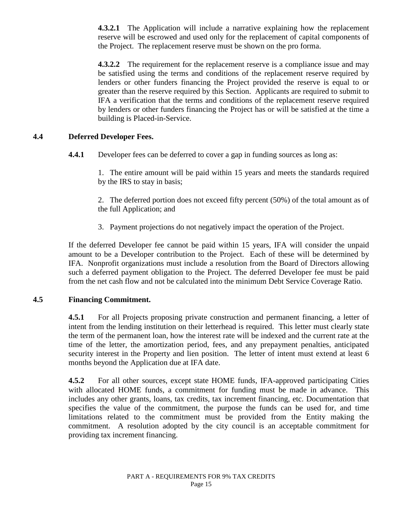**4.3.2.1** The Application will include a narrative explaining how the replacement reserve will be escrowed and used only for the replacement of capital components of the Project. The replacement reserve must be shown on the pro forma.

**4.3.2.2** The requirement for the replacement reserve is a compliance issue and may be satisfied using the terms and conditions of the replacement reserve required by lenders or other funders financing the Project provided the reserve is equal to or greater than the reserve required by this Section. Applicants are required to submit to IFA a verification that the terms and conditions of the replacement reserve required by lenders or other funders financing the Project has or will be satisfied at the time a building is Placed-in-Service.

### **4.4 Deferred Developer Fees.**

**4.4.1** Developer fees can be deferred to cover a gap in funding sources as long as:

1. The entire amount will be paid within 15 years and meets the standards required by the IRS to stay in basis;

2. The deferred portion does not exceed fifty percent (50%) of the total amount as of the full Application; and

3. Payment projections do not negatively impact the operation of the Project.

If the deferred Developer fee cannot be paid within 15 years, IFA will consider the unpaid amount to be a Developer contribution to the Project. Each of these will be determined by IFA. Nonprofit organizations must include a resolution from the Board of Directors allowing such a deferred payment obligation to the Project. The deferred Developer fee must be paid from the net cash flow and not be calculated into the minimum Debt Service Coverage Ratio.

### **4.5 Financing Commitment.**

**4.5.1** For all Projects proposing private construction and permanent financing, a letter of intent from the lending institution on their letterhead is required. This letter must clearly state the term of the permanent loan, how the interest rate will be indexed and the current rate at the time of the letter, the amortization period, fees, and any prepayment penalties, anticipated security interest in the Property and lien position. The letter of intent must extend at least 6 months beyond the Application due at IFA date.

**4.5.2** For all other sources, except state HOME funds, IFA-approved participating Cities with allocated HOME funds, a commitment for funding must be made in advance. This includes any other grants, loans, tax credits, tax increment financing, etc. Documentation that specifies the value of the commitment, the purpose the funds can be used for, and time limitations related to the commitment must be provided from the Entity making the commitment. A resolution adopted by the city council is an acceptable commitment for providing tax increment financing.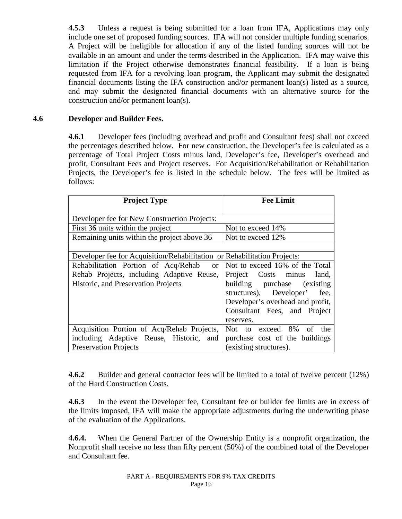**4.5.3** Unless a request is being submitted for a loan from IFA, Applications may only include one set of proposed funding sources. IFA will not consider multiple funding scenarios. A Project will be ineligible for allocation if any of the listed funding sources will not be available in an amount and under the terms described in the Application. IFA may waive this limitation if the Project otherwise demonstrates financial feasibility. If a loan is being requested from IFA for a revolving loan program, the Applicant may submit the designated financial documents listing the IFA construction and/or permanent loan(s) listed as a source, and may submit the designated financial documents with an alternative source for the construction and/or permanent loan(s).

## **4.6 Developer and Builder Fees.**

**4.6.1** Developer fees (including overhead and profit and Consultant fees) shall not exceed the percentages described below. For new construction, the Developer's fee is calculated as a percentage of Total Project Costs minus land, Developer's fee, Developer's overhead and profit, Consultant Fees and Project reserves. For Acquisition/Rehabilitation or Rehabilitation Projects, the Developer's fee is listed in the schedule below. The fees will be limited as follows:

| <b>Project Type</b>                                                      | <b>Fee Limit</b>                    |
|--------------------------------------------------------------------------|-------------------------------------|
| Developer fee for New Construction Projects:                             |                                     |
| First 36 units within the project                                        | Not to exceed 14%                   |
| Remaining units within the project above 36                              | Not to exceed 12%                   |
|                                                                          |                                     |
| Developer fee for Acquisition/Rehabilitation or Rehabilitation Projects: |                                     |
| Rehabilitation Portion of Acq/Rehab                                      | or   Not to exceed 16% of the Total |
| Rehab Projects, including Adaptive Reuse,                                | Project Costs minus<br>land,        |
| Historic, and Preservation Projects                                      | building purchase (existing         |
|                                                                          | structures), Developer'<br>fee.     |
|                                                                          | Developer's overhead and profit,    |
|                                                                          | Consultant Fees, and Project        |
|                                                                          | reserves.                           |
| Acquisition Portion of Acq/Rehab Projects,                               | Not to exceed 8%<br>the<br>of       |
| including Adaptive Reuse, Historic, and                                  | purchase cost of the buildings      |
| <b>Preservation Projects</b>                                             | (existing structures).              |

**4.6.2** Builder and general contractor fees will be limited to a total of twelve percent (12%) of the Hard Construction Costs.

**4.6.3** In the event the Developer fee, Consultant fee or builder fee limits are in excess of the limits imposed, IFA will make the appropriate adjustments during the underwriting phase of the evaluation of the Applications.

**4.6.4.** When the General Partner of the Ownership Entity is a nonprofit organization, the Nonprofit shall receive no less than fifty percent (50%) of the combined total of the Developer and Consultant fee.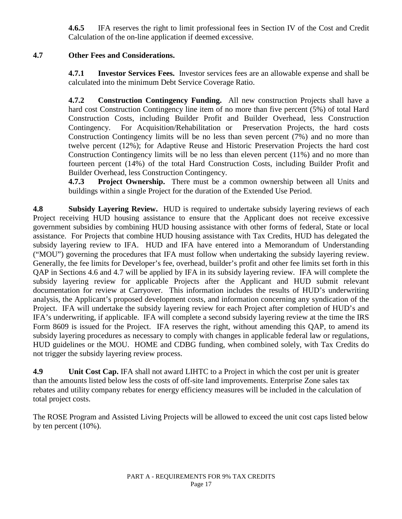**4.6.5** IFA reserves the right to limit professional fees in Section IV of the Cost and Credit Calculation of the on-line application if deemed excessive.

# **4.7 Other Fees and Considerations.**

**4.7.1 Investor Services Fees.** Investor services fees are an allowable expense and shall be calculated into the minimum Debt Service Coverage Ratio.

**4.7.2 Construction Contingency Funding.** All new construction Projects shall have a hard cost Construction Contingency line item of no more than five percent (5%) of total Hard Construction Costs, including Builder Profit and Builder Overhead, less Construction Contingency. For Acquisition/Rehabilitation or Preservation Projects, the hard costs Construction Contingency limits will be no less than seven percent (7%) and no more than twelve percent (12%); for Adaptive Reuse and Historic Preservation Projects the hard cost Construction Contingency limits will be no less than eleven percent (11%) and no more than fourteen percent (14%) of the total Hard Construction Costs, including Builder Profit and Builder Overhead, less Construction Contingency.

**4.7.3 Project Ownership.** There must be a common ownership between all Units and buildings within a single Project for the duration of the Extended Use Period.

**4.8 Subsidy Layering Review.** HUD is required to undertake subsidy layering reviews of each Project receiving HUD housing assistance to ensure that the Applicant does not receive excessive government subsidies by combining HUD housing assistance with other forms of federal, State or local assistance. For Projects that combine HUD housing assistance with Tax Credits, HUD has delegated the subsidy layering review to IFA. HUD and IFA have entered into a Memorandum of Understanding ("MOU") governing the procedures that IFA must follow when undertaking the subsidy layering review. Generally, the fee limits for Developer's fee, overhead, builder's profit and other fee limits set forth in this QAP in Sections 4.6 and 4.7 will be applied by IFA in its subsidy layering review. IFA will complete the subsidy layering review for applicable Projects after the Applicant and HUD submit relevant documentation for review at Carryover. This information includes the results of HUD's underwriting analysis, the Applicant's proposed development costs, and information concerning any syndication of the Project. IFA will undertake the subsidy layering review for each Project after completion of HUD's and IFA's underwriting, if applicable. IFA will complete a second subsidy layering review at the time the IRS Form 8609 is issued for the Project. IFA reserves the right, without amending this QAP, to amend its subsidy layering procedures as necessary to comply with changes in applicable federal law or regulations, HUD guidelines or the MOU. HOME and CDBG funding, when combined solely, with Tax Credits do not trigger the subsidy layering review process.

**4.9 Unit Cost Cap.** IFA shall not award LIHTC to a Project in which the cost per unit is greater than the amounts listed below less the costs of off-site land improvements. Enterprise Zone sales tax rebates and utility company rebates for energy efficiency measures will be included in the calculation of total project costs.

The ROSE Program and Assisted Living Projects will be allowed to exceed the unit cost caps listed below by ten percent (10%).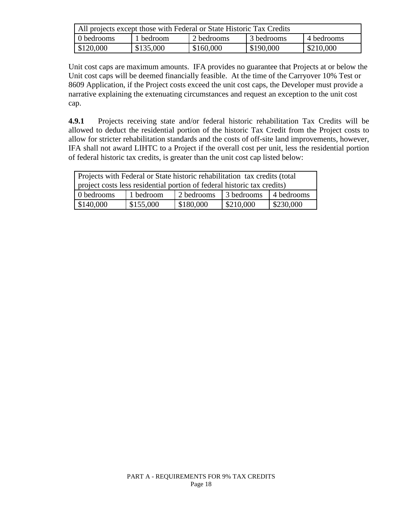| All projects except those with Federal or State Historic Tax Credits |           |            |            |                     |
|----------------------------------------------------------------------|-----------|------------|------------|---------------------|
| 0 bedrooms                                                           | 1 bedroom | 2 bedrooms | 3 bedrooms | 4 bedrooms          |
| \$120,000                                                            | \$135,000 | \$160,000  | \$190,000  | $\frac{$210,000}{}$ |

Unit cost caps are maximum amounts. IFA provides no guarantee that Projects at or below the Unit cost caps will be deemed financially feasible. At the time of the Carryover 10% Test or 8609 Application, if the Project costs exceed the unit cost caps, the Developer must provide a narrative explaining the extenuating circumstances and request an exception to the unit cost cap.

**4.9.1** Projects receiving state and/or federal historic rehabilitation Tax Credits will be allowed to deduct the residential portion of the historic Tax Credit from the Project costs to allow for stricter rehabilitation standards and the costs of off-site land improvements, however, IFA shall not award LIHTC to a Project if the overall cost per unit, less the residential portion of federal historic tax credits, is greater than the unit cost cap listed below:

| Projects with Federal or State historic rehabilitation tax credits (total |  |  |  |  |  |
|---------------------------------------------------------------------------|--|--|--|--|--|
| project costs less residential portion of federal historic tax credits)   |  |  |  |  |  |
| 3 bedrooms<br>2 bedrooms<br>0 bedrooms<br>14 bedrooms<br>1 bedroom        |  |  |  |  |  |
| \$180,000<br>\$210,000<br>\$155,000<br>\$230,000<br>\$140,000             |  |  |  |  |  |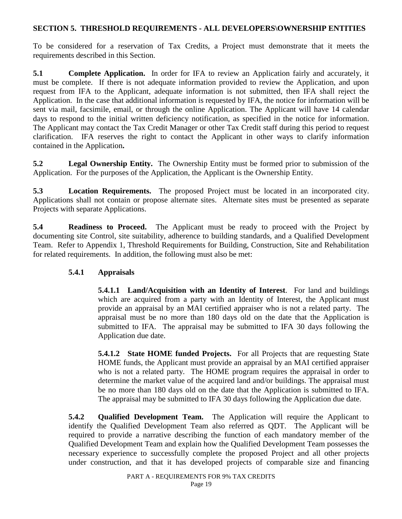### **SECTION 5. THRESHOLD REQUIREMENTS - ALL DEVELOPERS\OWNERSHIP ENTITIES**

To be considered for a reservation of Tax Credits, a Project must demonstrate that it meets the requirements described in this Section.

**5.1 Complete Application.** In order for IFA to review an Application fairly and accurately, it must be complete. If there is not adequate information provided to review the Application, and upon request from IFA to the Applicant, adequate information is not submitted, then IFA shall reject the Application. In the case that additional information is requested by IFA, the notice for information will be sent via mail, facsimile, email, or through the online Application. The Applicant will have 14 calendar days to respond to the initial written deficiency notification, as specified in the notice for information. The Applicant may contact the Tax Credit Manager or other Tax Credit staff during this period to request clarification. IFA reserves the right to contact the Applicant in other ways to clarify information contained in the Application**.**

**5.2 Legal Ownership Entity.** The Ownership Entity must be formed prior to submission of the Application. For the purposes of the Application, the Applicant is the Ownership Entity.

**5.3 Location Requirements.** The proposed Project must be located in an incorporated city. Applications shall not contain or propose alternate sites. Alternate sites must be presented as separate Projects with separate Applications.

**5.4 Readiness to Proceed.** The Applicant must be ready to proceed with the Project by documenting site Control, site suitability, adherence to building standards, and a Qualified Development Team. Refer to Appendix 1, Threshold Requirements for Building, Construction, Site and Rehabilitation for related requirements. In addition, the following must also be met:

### **5.4.1 Appraisals**

**5.4.1.1 Land/Acquisition with an Identity of Interest**. For land and buildings which are acquired from a party with an Identity of Interest, the Applicant must provide an appraisal by an MAI certified appraiser who is not a related party. The appraisal must be no more than 180 days old on the date that the Application is submitted to IFA. The appraisal may be submitted to IFA 30 days following the Application due date.

**5.4.1.2 State HOME funded Projects.** For all Projects that are requesting State HOME funds, the Applicant must provide an appraisal by an MAI certified appraiser who is not a related party. The HOME program requires the appraisal in order to determine the market value of the acquired land and/or buildings. The appraisal must be no more than 180 days old on the date that the Application is submitted to IFA. The appraisal may be submitted to IFA 30 days following the Application due date.

**5.4.2 Qualified Development Team.** The Application will require the Applicant to identify the Qualified Development Team also referred as QDT. The Applicant will be required to provide a narrative describing the function of each mandatory member of the Qualified Development Team and explain how the Qualified Development Team possesses the necessary experience to successfully complete the proposed Project and all other projects under construction, and that it has developed projects of comparable size and financing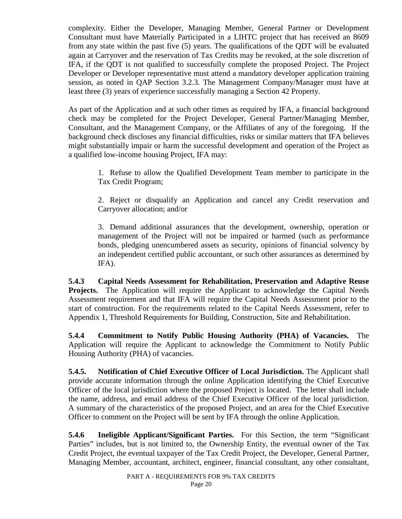complexity. Either the Developer, Managing Member, General Partner or Development Consultant must have Materially Participated in a LIHTC project that has received an 8609 from any state within the past five (5) years. The qualifications of the QDT will be evaluated again at Carryover and the reservation of Tax Credits may be revoked, at the sole discretion of IFA, if the QDT is not qualified to successfully complete the proposed Project. The Project Developer or Developer representative must attend a mandatory developer application training session, as noted in QAP Section 3.2.3. The Management Company/Manager must have at least three (3) years of experience successfully managing a Section 42 Property.

As part of the Application and at such other times as required by IFA, a financial background check may be completed for the Project Developer, General Partner/Managing Member, Consultant, and the Management Company, or the Affiliates of any of the foregoing. If the background check discloses any financial difficulties, risks or similar matters that IFA believes might substantially impair or harm the successful development and operation of the Project as a qualified low-income housing Project, IFA may:

1. Refuse to allow the Qualified Development Team member to participate in the Tax Credit Program;

2. Reject or disqualify an Application and cancel any Credit reservation and Carryover allocation; and/or

3. Demand additional assurances that the development, ownership, operation or management of the Project will not be impaired or harmed (such as performance bonds, pledging unencumbered assets as security, opinions of financial solvency by an independent certified public accountant, or such other assurances as determined by IFA).

**5.4.3 Capital Needs Assessment for Rehabilitation, Preservation and Adaptive Reuse Projects.** The Application will require the Applicant to acknowledge the Capital Needs Assessment requirement and that IFA will require the Capital Needs Assessment prior to the start of construction. For the requirements related to the Capital Needs Assessment, refer to Appendix 1, Threshold Requirements for Building, Construction, Site and Rehabilitation.

**5.4.4 Commitment to Notify Public Housing Authority (PHA) of Vacancies.** The Application will require the Applicant to acknowledge the Commitment to Notify Public Housing Authority (PHA) of vacancies.

**5.4.5. Notification of Chief Executive Officer of Local Jurisdiction.** The Applicant shall provide accurate information through the online Application identifying the Chief Executive Officer of the local jurisdiction where the proposed Project is located. The letter shall include the name, address, and email address of the Chief Executive Officer of the local jurisdiction. A summary of the characteristics of the proposed Project, and an area for the Chief Executive Officer to comment on the Project will be sent by IFA through the online Application.

**5.4.6 Ineligible Applicant/Significant Parties.** For this Section, the term "Significant Parties" includes, but is not limited to, the Ownership Entity, the eventual owner of the Tax Credit Project, the eventual taxpayer of the Tax Credit Project, the Developer, General Partner, Managing Member, accountant, architect, engineer, financial consultant, any other consultant,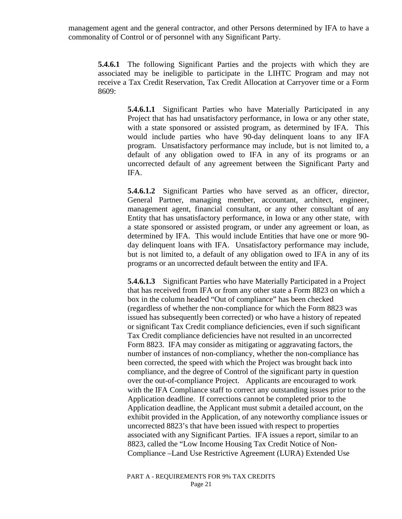management agent and the general contractor, and other Persons determined by IFA to have a commonality of Control or of personnel with any Significant Party.

**5.4.6.1** The following Significant Parties and the projects with which they are associated may be ineligible to participate in the LIHTC Program and may not receive a Tax Credit Reservation, Tax Credit Allocation at Carryover time or a Form 8609:

> **5.4.6.1.1** Significant Parties who have Materially Participated in any Project that has had unsatisfactory performance, in Iowa or any other state, with a state sponsored or assisted program, as determined by IFA. This would include parties who have 90-day delinquent loans to any IFA program. Unsatisfactory performance may include, but is not limited to, a default of any obligation owed to IFA in any of its programs or an uncorrected default of any agreement between the Significant Party and IFA.

> **5.4.6.1.2** Significant Parties who have served as an officer, director, General Partner, managing member, accountant, architect, engineer, management agent, financial consultant, or any other consultant of any Entity that has unsatisfactory performance, in Iowa or any other state, with a state sponsored or assisted program, or under any agreement or loan, as determined by IFA. This would include Entities that have one or more 90 day delinquent loans with IFA. Unsatisfactory performance may include, but is not limited to, a default of any obligation owed to IFA in any of its programs or an uncorrected default between the entity and IFA.

> **5.4.6.1.3** Significant Parties who have Materially Participated in a Project that has received from IFA or from any other state a Form 8823 on which a box in the column headed "Out of compliance" has been checked (regardless of whether the non-compliance for which the Form 8823 was issued has subsequently been corrected) or who have a history of repeated or significant Tax Credit compliance deficiencies, even if such significant Tax Credit compliance deficiencies have not resulted in an uncorrected Form 8823. IFA may consider as mitigating or aggravating factors, the number of instances of non-compliancy, whether the non-compliance has been corrected, the speed with which the Project was brought back into compliance, and the degree of Control of the significant party in question over the out-of-compliance Project. Applicants are encouraged to work with the IFA Compliance staff to correct any outstanding issues prior to the Application deadline. If corrections cannot be completed prior to the Application deadline, the Applicant must submit a detailed account, on the exhibit provided in the Application, of any noteworthy compliance issues or uncorrected 8823's that have been issued with respect to properties associated with any Significant Parties. IFA issues a report, similar to an 8823, called the "Low Income Housing Tax Credit Notice of Non-Compliance –Land Use Restrictive Agreement (LURA) Extended Use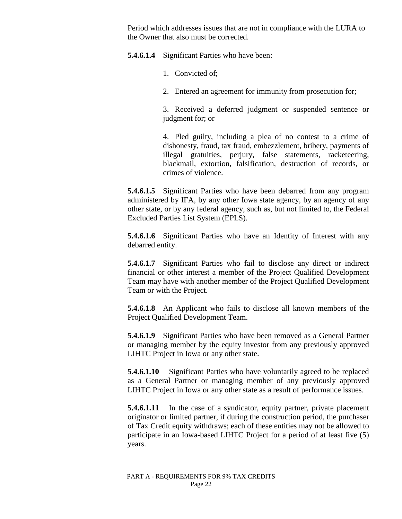Period which addresses issues that are not in compliance with the LURA to the Owner that also must be corrected.

**5.4.6.1.4** Significant Parties who have been:

- 1. Convicted of;
- 2. Entered an agreement for immunity from prosecution for;

3. Received a deferred judgment or suspended sentence or judgment for; or

4. Pled guilty, including a plea of no contest to a crime of dishonesty, fraud, tax fraud, embezzlement, bribery, payments of illegal gratuities, perjury, false statements, racketeering, blackmail, extortion, falsification, destruction of records, or crimes of violence.

**5.4.6.1.5** Significant Parties who have been debarred from any program administered by IFA, by any other Iowa state agency, by an agency of any other state, or by any federal agency, such as, but not limited to, the Federal Excluded Parties List System (EPLS).

**5.4.6.1.6** Significant Parties who have an Identity of Interest with any debarred entity.

**5.4.6.1.7** Significant Parties who fail to disclose any direct or indirect financial or other interest a member of the Project Qualified Development Team may have with another member of the Project Qualified Development Team or with the Project.

**5.4.6.1.8** An Applicant who fails to disclose all known members of the Project Qualified Development Team.

**5.4.6.1.9** Significant Parties who have been removed as a General Partner or managing member by the equity investor from any previously approved LIHTC Project in Iowa or any other state.

**5.4.6.1.10** Significant Parties who have voluntarily agreed to be replaced as a General Partner or managing member of any previously approved LIHTC Project in Iowa or any other state as a result of performance issues.

**5.4.6.1.11** In the case of a syndicator, equity partner, private placement originator or limited partner, if during the construction period, the purchaser of Tax Credit equity withdraws; each of these entities may not be allowed to participate in an Iowa-based LIHTC Project for a period of at least five (5) years.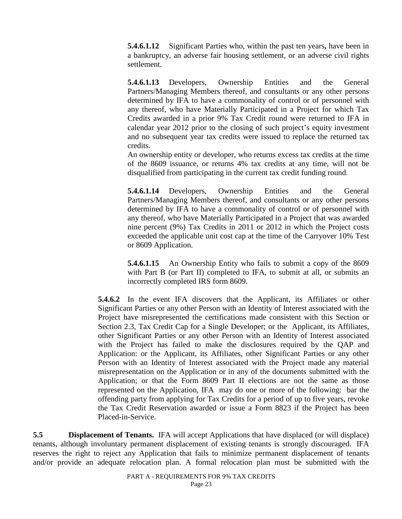**5.4.6.1.12** Significant Parties who, within the past ten years**,** have been in a bankruptcy, an adverse fair housing settlement, or an adverse civil rights settlement.

**5.4.6.1.13** Developers, Ownership Entities and the General Partners/Managing Members thereof, and consultants or any other persons determined by IFA to have a commonality of control or of personnel with any thereof, who have Materially Participated in a Project for which Tax Credits awarded in a prior 9% Tax Credit round were returned to IFA in calendar year 2012 prior to the closing of such project's equity investment and no subsequent year tax credits were issued to replace the returned tax credits.

An ownership entity or developer, who returns excess tax credits at the time of the 8609 issuance, or returns 4% tax credits at any time, will not be disqualified from participating in the current tax credit funding round.

**5.4.6.1.14** Developers, Ownership Entities and the General Partners/Managing Members thereof, and consultants or any other persons determined by IFA to have a commonality of control or of personnel with any thereof, who have Materially Participated in a Project that was awarded nine percent (9%) Tax Credits in 2011 or 2012 in which the Project costs exceeded the applicable unit cost cap at the time of the Carryover 10% Test or 8609 Application.

**5.4.6.1.15** An Ownership Entity who fails to submit a copy of the 8609 with Part B (or Part II) completed to IFA, to submit at all, or submits an incorrectly completed IRS form 8609.

**5.4.6.2** In the event IFA discovers that the Applicant, its Affiliates or other Significant Parties or any other Person with an Identity of Interest associated with the Project have misrepresented the certifications made consistent with this Section or Section 2.3, Tax Credit Cap for a Single Developer; or the Applicant, its Affiliates, other Significant Parties or any other Person with an Identity of Interest associated with the Project has failed to make the disclosures required by the QAP and Application: or the Applicant, its Affiliates, other Significant Parties or any other Person with an Identity of Interest associated with the Project made any material misrepresentation on the Application or in any of the documents submitted with the Application; or that the Form 8609 Part II elections are not the same as those represented on the Application, IFA may do one or more of the following: bar the offending party from applying for Tax Credits for a period of up to five years, revoke the Tax Credit Reservation awarded or issue a Form 8823 if the Project has been Placed-in-Service.

**5.5 Displacement of Tenants.** IFA will accept Applications that have displaced (or will displace) tenants, although involuntary permanent displacement of existing tenants is strongly discouraged. IFA reserves the right to reject any Application that fails to minimize permanent displacement of tenants and/or provide an adequate relocation plan. A formal relocation plan must be submitted with the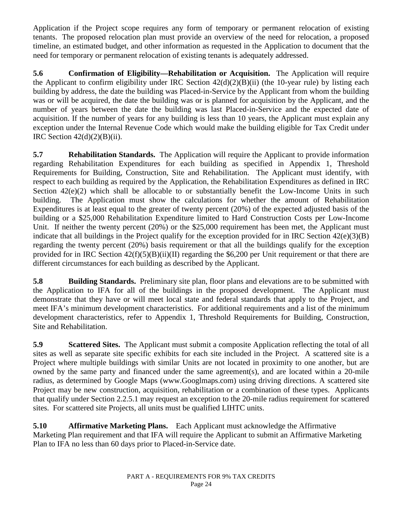Application if the Project scope requires any form of temporary or permanent relocation of existing tenants. The proposed relocation plan must provide an overview of the need for relocation, a proposed timeline, an estimated budget, and other information as requested in the Application to document that the need for temporary or permanent relocation of existing tenants is adequately addressed.

**5.6 Confirmation of Eligibility—Rehabilitation or Acquisition.** The Application will require the Applicant to confirm eligibility under IRC Section  $42(d)(2)(B)(ii)$  (the 10-year rule) by listing each building by address, the date the building was Placed-in-Service by the Applicant from whom the building was or will be acquired, the date the building was or is planned for acquisition by the Applicant, and the number of years between the date the building was last Placed-in-Service and the expected date of acquisition. If the number of years for any building is less than 10 years, the Applicant must explain any exception under the Internal Revenue Code which would make the building eligible for Tax Credit under IRC Section  $42(d)(2)(B)(ii)$ .

**5.7 Rehabilitation Standards.** The Application will require the Applicant to provide information regarding Rehabilitation Expenditures for each building as specified in Appendix 1, Threshold Requirements for Building, Construction, Site and Rehabilitation. The Applicant must identify, with respect to each building as required by the Application, the Rehabilitation Expenditures as defined in IRC Section 42(e)(2) which shall be allocable to or substantially benefit the Low-Income Units in such building. The Application must show the calculations for whether the amount of Rehabilitation Expenditures is at least equal to the greater of twenty percent (20%) of the expected adjusted basis of the building or a \$25,000 Rehabilitation Expenditure limited to Hard Construction Costs per Low-Income Unit. If neither the twenty percent (20%) or the \$25,000 requirement has been met, the Applicant must indicate that all buildings in the Project qualify for the exception provided for in IRC Section  $42(e)(3)(B)$ regarding the twenty percent (20%) basis requirement or that all the buildings qualify for the exception provided for in IRC Section  $42(f)(5)(B)(ii)(II)$  regarding the \$6,200 per Unit requirement or that there are different circumstances for each building as described by the Applicant.

**5.8 Building Standards.** Preliminary site plan, floor plans and elevations are to be submitted with the Application to IFA for all of the buildings in the proposed development. The Applicant must demonstrate that they have or will meet local state and federal standards that apply to the Project, and meet IFA's minimum development characteristics. For additional requirements and a list of the minimum development characteristics, refer to Appendix 1, Threshold Requirements for Building, Construction, Site and Rehabilitation.

**5.9 Scattered Sites.** The Applicant must submit a composite Application reflecting the total of all sites as well as separate site specific exhibits for each site included in the Project. A scattered site is a Project where multiple buildings with similar Units are not located in proximity to one another, but are owned by the same party and financed under the same agreement(s), and are located within a 20-mile radius, as determined by Google Maps (www.Googlmaps.com) using driving directions. A scattered site Project may be new construction, acquisition, rehabilitation or a combination of these types. Applicants that qualify under Section 2.2.5.1 may request an exception to the 20-mile radius requirement for scattered sites. For scattered site Projects, all units must be qualified LIHTC units.

**5.10 Affirmative Marketing Plans.** Each Applicant must acknowledge the Affirmative Marketing Plan requirement and that IFA will require the Applicant to submit an Affirmative Marketing Plan to IFA no less than 60 days prior to Placed-in-Service date.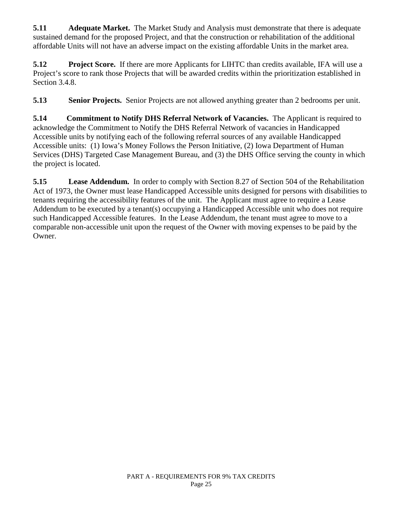**5.11** Adequate Market. The Market Study and Analysis must demonstrate that there is adequate sustained demand for the proposed Project, and that the construction or rehabilitation of the additional affordable Units will not have an adverse impact on the existing affordable Units in the market area.

**5.12 Project Score.** If there are more Applicants for LIHTC than credits available, IFA will use a Project's score to rank those Projects that will be awarded credits within the prioritization established in Section 3.4.8.

**5.13 Senior Projects.** Senior Projects are not allowed anything greater than 2 bedrooms per unit.

**5.14 Commitment to Notify DHS Referral Network of Vacancies.** The Applicant is required to acknowledge the Commitment to Notify the DHS Referral Network of vacancies in Handicapped Accessible units by notifying each of the following referral sources of any available Handicapped Accessible units: (1) Iowa's Money Follows the Person Initiative, (2) Iowa Department of Human Services (DHS) Targeted Case Management Bureau, and (3) the DHS Office serving the county in which the project is located.

**5.15 Lease Addendum.** In order to comply with Section 8.27 of Section 504 of the Rehabilitation Act of 1973, the Owner must lease Handicapped Accessible units designed for persons with disabilities to tenants requiring the accessibility features of the unit. The Applicant must agree to require a Lease Addendum to be executed by a tenant(s) occupying a Handicapped Accessible unit who does not require such Handicapped Accessible features. In the Lease Addendum, the tenant must agree to move to a comparable non-accessible unit upon the request of the Owner with moving expenses to be paid by the Owner.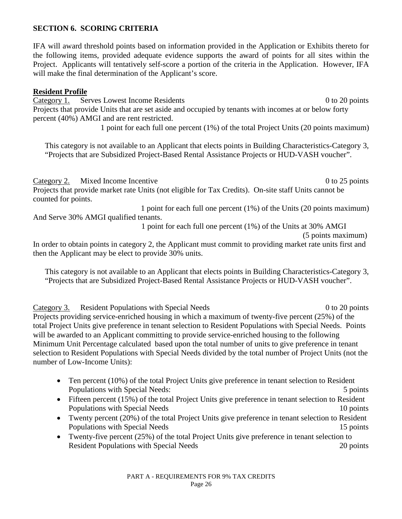## **SECTION 6. SCORING CRITERIA**

IFA will award threshold points based on information provided in the Application or Exhibits thereto for the following items, provided adequate evidence supports the award of points for all sites within the Project. Applicants will tentatively self-score a portion of the criteria in the Application. However, IFA will make the final determination of the Applicant's score.

#### **Resident Profile**

Category 1. Serves Lowest Income Residents 0 to 20 points 0 to 20 points Projects that provide Units that are set aside and occupied by tenants with incomes at or below forty percent (40%) AMGI and are rent restricted.

1 point for each full one percent (1%) of the total Project Units (20 points maximum)

This category is not available to an Applicant that elects points in Building Characteristics-Category 3, "Projects that are Subsidized Project-Based Rental Assistance Projects or HUD-VASH voucher".

Category 2. Mixed Income Incentive 0 to 25 points 0 to 25 points Projects that provide market rate Units (not eligible for Tax Credits). On-site staff Units cannot be counted for points.

1 point for each full one percent (1%) of the Units (20 points maximum) And Serve 30% AMGI qualified tenants.

1 point for each full one percent (1%) of the Units at 30% AMGI

(5 points maximum)

In order to obtain points in category 2, the Applicant must commit to providing market rate units first and then the Applicant may be elect to provide 30% units.

This category is not available to an Applicant that elects points in Building Characteristics-Category 3, "Projects that are Subsidized Project-Based Rental Assistance Projects or HUD-VASH voucher".

Category 3. Resident Populations with Special Needs 0 to 20 points 0 to 20 points Projects providing service-enriched housing in which a maximum of twenty-five percent (25%) of the total Project Units give preference in tenant selection to Resident Populations with Special Needs. Points will be awarded to an Applicant committing to provide service-enriched housing to the following Minimum Unit Percentage calculated based upon the total number of units to give preference in tenant selection to Resident Populations with Special Needs divided by the total number of Project Units (not the number of Low-Income Units):

- Ten percent (10%) of the total Project Units give preference in tenant selection to Resident Populations with Special Needs: 5 points
- Fifteen percent (15%) of the total Project Units give preference in tenant selection to Resident Populations with Special Needs 10 points 10 points
- Twenty percent (20%) of the total Project Units give preference in tenant selection to Resident Populations with Special Needs 15 points
- Twenty-five percent (25%) of the total Project Units give preference in tenant selection to Resident Populations with Special Needs 20 points 20 points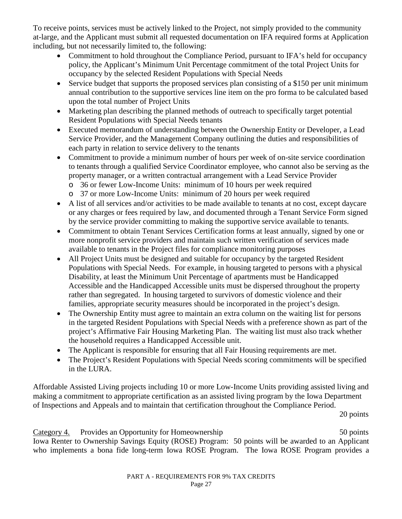To receive points, services must be actively linked to the Project, not simply provided to the community at-large, and the Applicant must submit all requested documentation on IFA required forms at Application including, but not necessarily limited to, the following:

- Commitment to hold throughout the Compliance Period, pursuant to IFA's held for occupancy policy, the Applicant's Minimum Unit Percentage commitment of the total Project Units for occupancy by the selected Resident Populations with Special Needs
- Service budget that supports the proposed services plan consisting of a \$150 per unit minimum annual contribution to the supportive services line item on the pro forma to be calculated based upon the total number of Project Units
- Marketing plan describing the planned methods of outreach to specifically target potential Resident Populations with Special Needs tenants
- Executed memorandum of understanding between the Ownership Entity or Developer, a Lead Service Provider, and the Management Company outlining the duties and responsibilities of each party in relation to service delivery to the tenants
- Commitment to provide a minimum number of hours per week of on-site service coordination to tenants through a qualified Service Coordinator employee, who cannot also be serving as the property manager, or a written contractual arrangement with a Lead Service Provider
	- o 36 or fewer Low-Income Units: minimum of 10 hours per week required
	- o 37 or more Low-Income Units: minimum of 20 hours per week required
- A list of all services and/or activities to be made available to tenants at no cost, except daycare or any charges or fees required by law, and documented through a Tenant Service Form signed by the service provider committing to making the supportive service available to tenants.
- Commitment to obtain Tenant Services Certification forms at least annually, signed by one or more nonprofit service providers and maintain such written verification of services made available to tenants in the Project files for compliance monitoring purposes
- All Project Units must be designed and suitable for occupancy by the targeted Resident Populations with Special Needs. For example, in housing targeted to persons with a physical Disability, at least the Minimum Unit Percentage of apartments must be Handicapped Accessible and the Handicapped Accessible units must be dispersed throughout the property rather than segregated. In housing targeted to survivors of domestic violence and their families, appropriate security measures should be incorporated in the project's design.
- The Ownership Entity must agree to maintain an extra column on the waiting list for persons in the targeted Resident Populations with Special Needs with a preference shown as part of the project's Affirmative Fair Housing Marketing Plan. The waiting list must also track whether the household requires a Handicapped Accessible unit.
- The Applicant is responsible for ensuring that all Fair Housing requirements are met.
- The Project's Resident Populations with Special Needs scoring commitments will be specified in the LURA.

Affordable Assisted Living projects including 10 or more Low-Income Units providing assisted living and making a commitment to appropriate certification as an assisted living program by the Iowa Department of Inspections and Appeals and to maintain that certification throughout the Compliance Period.

20 points

Category 4. Provides an Opportunity for Homeownership 50 points 50 points Iowa Renter to Ownership Savings Equity (ROSE) Program: 50 points will be awarded to an Applicant who implements a bona fide long-term Iowa ROSE Program. The Iowa ROSE Program provides a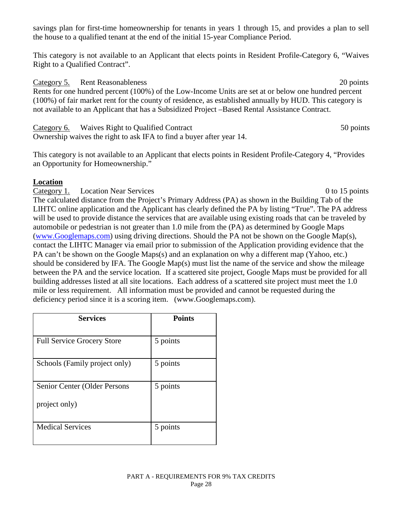savings plan for first-time homeownership for tenants in years 1 through 15, and provides a plan to sell the house to a qualified tenant at the end of the initial 15-year Compliance Period.

This category is not available to an Applicant that elects points in Resident Profile-Category 6, "Waives Right to a Qualified Contract".

Category 5. Rent Reasonableness 20 points 20 points Rents for one hundred percent (100%) of the Low-Income Units are set at or below one hundred percent (100%) of fair market rent for the county of residence, as established annually by HUD. This category is not available to an Applicant that has a Subsidized Project –Based Rental Assistance Contract.

Category 6. Waives Right to Qualified Contract 50 points 50 points Ownership waives the right to ask IFA to find a buyer after year 14.

This category is not available to an Applicant that elects points in Resident Profile-Category 4, "Provides an Opportunity for Homeownership."

## **Location**

Category 1. Location Near Services 0 to 15 points The calculated distance from the Project's Primary Address (PA) as shown in the Building Tab of the LIHTC online application and the Applicant has clearly defined the PA by listing "True". The PA address will be used to provide distance the services that are available using existing roads that can be traveled by automobile or pedestrian is not greater than 1.0 mile from the (PA) as determined by Google Maps [\(www.Googlemaps.com\)](http://www.googlemaps.com/) using driving directions. Should the PA not be shown on the Google Map(s), contact the LIHTC Manager via email prior to submission of the Application providing evidence that the PA can't be shown on the Google Maps(s) and an explanation on why a different map (Yahoo, etc.) should be considered by IFA. The Google Map(s) must list the name of the service and show the mileage between the PA and the service location. If a scattered site project, Google Maps must be provided for all building addresses listed at all site locations. Each address of a scattered site project must meet the 1.0 mile or less requirement. All information must be provided and cannot be requested during the deficiency period since it is a scoring item. (www.Googlemaps.com).

| <b>Services</b>                               | <b>Points</b> |
|-----------------------------------------------|---------------|
| <b>Full Service Grocery Store</b>             | 5 points      |
| Schools (Family project only)                 | 5 points      |
| Senior Center (Older Persons<br>project only) | 5 points      |
| <b>Medical Services</b>                       | 5 points      |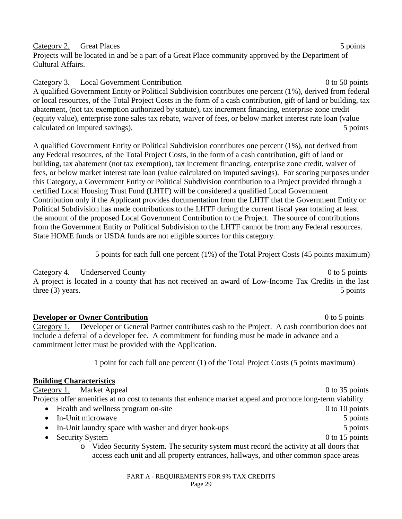Category 2. Great Places 5 points 5 points 5 points 5 points 5 points 5 points 6 points 6 points 6 points 6 points 6 points 6 points 6 points 6 points 6 points 6 points 6 points 6 points 6 points 6 points 6 points 6 points Projects will be located in and be a part of a Great Place community approved by the Department of Cultural Affairs.

Category 3. Local Government Contribution 0 to 50 points 0 to 50 points A qualified Government Entity or Political Subdivision contributes one percent (1%), derived from federal or local resources, of the Total Project Costs in the form of a cash contribution, gift of land or building, tax abatement, (not tax exemption authorized by statute), tax increment financing, enterprise zone credit (equity value), enterprise zone sales tax rebate, waiver of fees, or below market interest rate loan (value calculated on imputed savings). 5 points

A qualified Government Entity or Political Subdivision contributes one percent (1%), not derived from any Federal resources, of the Total Project Costs, in the form of a cash contribution, gift of land or building, tax abatement (not tax exemption), tax increment financing, enterprise zone credit, waiver of fees, or below market interest rate loan (value calculated on imputed savings). For scoring purposes under this Category, a Government Entity or Political Subdivision contribution to a Project provided through a certified Local Housing Trust Fund (LHTF) will be considered a qualified Local Government Contribution only if the Applicant provides documentation from the LHTF that the Government Entity or Political Subdivision has made contributions to the LHTF during the current fiscal year totaling at least the amount of the proposed Local Government Contribution to the Project. The source of contributions from the Government Entity or Political Subdivision to the LHTF cannot be from any Federal resources. State HOME funds or USDA funds are not eligible sources for this category.

5 points for each full one percent (1%) of the Total Project Costs (45 points maximum)

Category 4. Underserved County 0 to 5 points 0 to 5 points A project is located in a county that has not received an award of Low-Income Tax Credits in the last three (3) years. 5 points three (3) years. 5 points

**Developer or Owner Contribution Developer or Owner Contribution 0** to 5 points Category 1. Developer or General Partner contributes cash to the Project. A cash contribution does not include a deferral of a developer fee. A commitment for funding must be made in advance and a commitment letter must be provided with the Application.

1 point for each full one percent (1) of the Total Project Costs (5 points maximum)

# **Building Characteristics**

Category 1. Market Appeal 0 to 35 points 0 to 35 points Projects offer amenities at no cost to tenants that enhance market appeal and promote long-term viability. • Health and wellness program on-site 0 to 10 points 0 to 10 points • In-Unit microwave 5 points • In-Unit laundry space with washer and dryer hook-ups 5 points 5 points • Security System 0 to 15 points o Video Security System. The security system must record the activity at all doors that access each unit and all property entrances, hallways, and other common space areas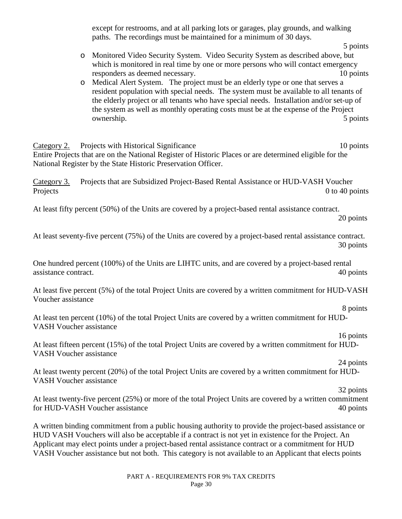except for restrooms, and at all parking lots or garages, play grounds, and walking paths. The recordings must be maintained for a minimum of 30 days.

- 5 points o Monitored Video Security System. Video Security System as described above, but which is monitored in real time by one or more persons who will contact emergency responders as deemed necessary. 10 points
- o Medical Alert System. The project must be an elderly type or one that serves a resident population with special needs. The system must be available to all tenants of the elderly project or all tenants who have special needs. Installation and/or set-up of the system as well as monthly operating costs must be at the expense of the Project ownership. 5 points

Category 2. Projects with Historical Significance 10 points 10 points Entire Projects that are on the National Register of Historic Places or are determined eligible for the National Register by the State Historic Preservation Officer.

Category 3. Projects that are Subsidized Project-Based Rental Assistance or HUD-VASH Voucher Projects 0 to 40 points

At least fifty percent (50%) of the Units are covered by a project-based rental assistance contract.

20 points

At least seventy-five percent (75%) of the Units are covered by a project-based rental assistance contract. 30 points

One hundred percent (100%) of the Units are LIHTC units, and are covered by a project-based rental assistance contract. 40 points

At least five percent (5%) of the total Project Units are covered by a written commitment for HUD-VASH Voucher assistance

 8 points At least ten percent (10%) of the total Project Units are covered by a written commitment for HUD-VASH Voucher assistance

16 points

At least fifteen percent (15%) of the total Project Units are covered by a written commitment for HUD-VASH Voucher assistance

 24 points At least twenty percent (20%) of the total Project Units are covered by a written commitment for HUD-VASH Voucher assistance

 32 points At least twenty-five percent (25%) or more of the total Project Units are covered by a written commitment for HUD-VASH Voucher assistance 40 points

A written binding commitment from a public housing authority to provide the project-based assistance or HUD VASH Vouchers will also be acceptable if a contract is not yet in existence for the Project. An Applicant may elect points under a project-based rental assistance contract or a commitment for HUD VASH Voucher assistance but not both. This category is not available to an Applicant that elects points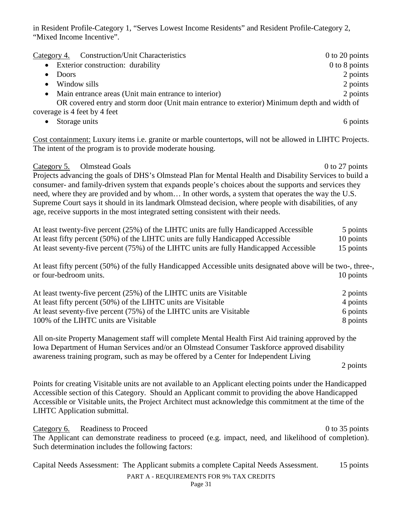in Resident Profile-Category 1, "Serves Lowest Income Residents" and Resident Profile-Category 2, "Mixed Income Incentive".

| Category 4. Construction/Unit Characteristics                                               | $0$ to 20 points |
|---------------------------------------------------------------------------------------------|------------------|
| Exterior construction: durability<br>$\bullet$                                              | 0 to 8 points    |
| Doors                                                                                       | 2 points         |
| Window sills<br>$\bullet$                                                                   | 2 points         |
| Main entrance areas (Unit main entrance to interior)<br>$\bullet$                           | 2 points         |
| OR covered entry and storm door (Unit main entrance to exterior) Minimum depth and width of |                  |
| coverage is 4 feet by 4 feet                                                                |                  |
| Storage units                                                                               | 6 points         |

Cost containment: Luxury items i.e. granite or marble countertops, will not be allowed in LIHTC Projects. The intent of the program is to provide moderate housing.

Category 5. Olmstead Goals 6. Out of the U.S. Category 5. Out of the U.S. Category 5. Out of the U.S. Category 5. Out of the U.S. Category 5. Out of the U.S. Category 5. Out of the U.S. Category 5. Out of the U.S. Category Projects advancing the goals of DHS's Olmstead Plan for Mental Health and Disability Services to build a consumer- and family-driven system that expands people's choices about the supports and services they need, where they are provided and by whom… In other words, a system that operates the way the U.S. Supreme Court says it should in its landmark Olmstead decision, where people with disabilities, of any age, receive supports in the most integrated setting consistent with their needs.

| At least twenty-five percent $(25%)$ of the LIHTC units are fully Handicapped Accessible | 5 points  |
|------------------------------------------------------------------------------------------|-----------|
| At least fifty percent (50%) of the LIHTC units are fully Handicapped Accessible         | 10 points |
| At least seventy-five percent (75%) of the LIHTC units are fully Handicapped Accessible  | 15 points |

At least fifty percent (50%) of the fully Handicapped Accessible units designated above will be two-, three-, or four-bedroom units. 10 points

| At least twenty-five percent (25%) of the LIHTC units are Visitable  | 2 points |
|----------------------------------------------------------------------|----------|
| At least fifty percent (50%) of the LIHTC units are Visitable        | 4 points |
| At least seventy-five percent (75%) of the LIHTC units are Visitable | 6 points |
| 100% of the LIHTC units are Visitable                                | 8 points |

All on-site Property Management staff will complete Mental Health First Aid training approved by the Iowa Department of Human Services and/or an Olmstead Consumer Taskforce approved disability awareness training program, such as may be offered by a Center for Independent Living

2 points

Points for creating Visitable units are not available to an Applicant electing points under the Handicapped Accessible section of this Category. Should an Applicant commit to providing the above Handicapped Accessible or Visitable units, the Project Architect must acknowledge this commitment at the time of the LIHTC Application submittal.

Category 6. Readiness to Proceed 0 to 35 points The Applicant can demonstrate readiness to proceed (e.g. impact, need, and likelihood of completion). Such determination includes the following factors:

| Capital Needs Assessment: The Applicant submits a complete Capital Needs Assessment. | 15 points |
|--------------------------------------------------------------------------------------|-----------|
| PART A - REQUIREMENTS FOR 9% TAX CREDITS                                             |           |
|                                                                                      |           |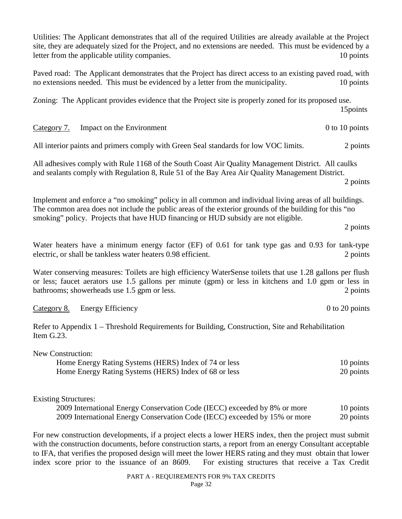Utilities: The Applicant demonstrates that all of the required Utilities are already available at the Project site, they are adequately sized for the Project, and no extensions are needed. This must be evidenced by a letter from the applicable utility companies. 10 points

Paved road: The Applicant demonstrates that the Project has direct access to an existing paved road, with no extensions needed. This must be evidenced by a letter from the municipality. 10 points

Zoning:The Applicant provides evidence that the Project site is properly zoned for its proposed use. 15points

Category 7. Impact on the Environment 0 to 10 points 0 to 10 points

All interior paints and primers comply with Green Seal standards for low VOC limits. 2 points

All adhesives comply with Rule 1168 of the South Coast Air Quality Management District. All caulks and sealants comply with Regulation 8, Rule 51 of the Bay Area Air Quality Management District. 2 points

Implement and enforce a "no smoking" policy in all common and individual living areas of all buildings. The common area does not include the public areas of the exterior grounds of the building for this "no smoking" policy. Projects that have HUD financing or HUD subsidy are not eligible.

2 points

Water heaters have a minimum energy factor (EF) of 0.61 for tank type gas and 0.93 for tank-type electric, or shall be tankless water heaters 0.98 efficient. 2 points

Water conserving measures: Toilets are high efficiency WaterSense toilets that use 1.28 gallons per flush or less; faucet aerators use 1.5 gallons per minute (gpm) or less in kitchens and 1.0 gpm or less in bathrooms; showerheads use 1.5 gpm or less. 2 points 2 points

#### Category 8. Energy Efficiency **Example 20** to 20 points **Category 8.** Energy Efficiency

Refer to Appendix 1 – Threshold Requirements for Building, Construction, Site and Rehabilitation Item G.23.

New Construction:

| Home Energy Rating Systems (HERS) Index of 74 or less | 10 points |
|-------------------------------------------------------|-----------|
| Home Energy Rating Systems (HERS) Index of 68 or less | 20 points |

#### Existing Structures:

2009 International Energy Conservation Code (IECC) exceeded by 8% or more 10 points 2009 International Energy Conservation Code (IECC) exceeded by 15% or more 20 points

For new construction developments, if a project elects a lower HERS index, then the project must submit with the construction documents, before construction starts, a report from an energy Consultant acceptable to IFA, that verifies the proposed design will meet the lower HERS rating and they must obtain that lower index score prior to the issuance of an 8609. For existing structures that receive a Tax Credit

> PART A - REQUIREMENTS FOR 9% TAX CREDITS Page 32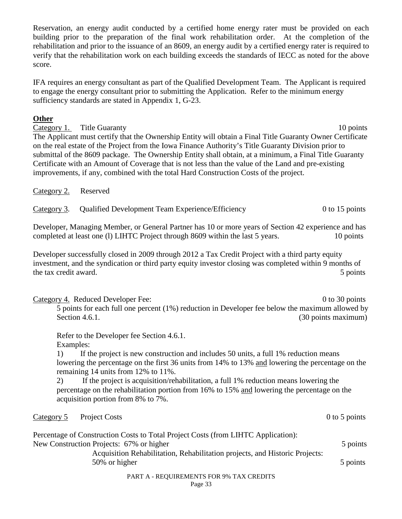Reservation, an energy audit conducted by a certified home energy rater must be provided on each building prior to the preparation of the final work rehabilitation order. At the completion of the rehabilitation and prior to the issuance of an 8609, an energy audit by a certified energy rater is required to verify that the rehabilitation work on each building exceeds the standards of IECC as noted for the above score.

IFA requires an energy consultant as part of the Qualified Development Team. The Applicant is required to engage the energy consultant prior to submitting the Application. Refer to the minimum energy sufficiency standards are stated in Appendix 1, G-23.

### **Other**

Category 1. Title Guaranty 10 points 10 points The Applicant must certify that the Ownership Entity will obtain a Final Title Guaranty Owner Certificate on the real estate of the Project from the Iowa Finance Authority's Title Guaranty Division prior to submittal of the 8609 package. The Ownership Entity shall obtain, at a minimum, a Final Title Guaranty Certificate with an Amount of Coverage that is not less than the value of the Land and pre-existing improvements, if any, combined with the total Hard Construction Costs of the project.

Category 2. Reserved

Category 3. Qualified Development Team Experience/Efficiency 0 to 15 points

Developer, Managing Member, or General Partner has 10 or more years of Section 42 experience and has completed at least one (l) LIHTC Project through 8609 within the last 5 years. 10 points

Developer successfully closed in 2009 through 2012 a Tax Credit Project with a third party equity investment, and the syndication or third party equity investor closing was completed within 9 months of the tax credit award. 5 points the tax credit award.

Category 4. Reduced Developer Fee: 0 to 30 points

5 points for each full one percent (1%) reduction in Developer fee below the maximum allowed by Section 4.6.1. (30 points maximum)

Refer to the Developer fee Section 4.6.1. Examples:

1) If the project is new construction and includes 50 units, a full 1% reduction means lowering the percentage on the first 36 units from 14% to 13% and lowering the percentage on the remaining 14 units from 12% to 11%.

2) If the project is acquisition/rehabilitation, a full 1% reduction means lowering the percentage on the rehabilitation portion from 16% to 15% and lowering the percentage on the acquisition portion from 8% to 7%.

Category 5 Project Costs 0 to 5 points

| Percentage of Construction Costs to Total Project Costs (from LIHTC Application): |  |
|-----------------------------------------------------------------------------------|--|
| New Construction Projects: 67% or higher                                          |  |
| Acquisition Rehabilitation, Rehabilitation projects, and Historic Projects:       |  |
| 50% or higher                                                                     |  |
| <b>PART A - REQUIREMENTS FOR 9% TAX CREDITS</b>                                   |  |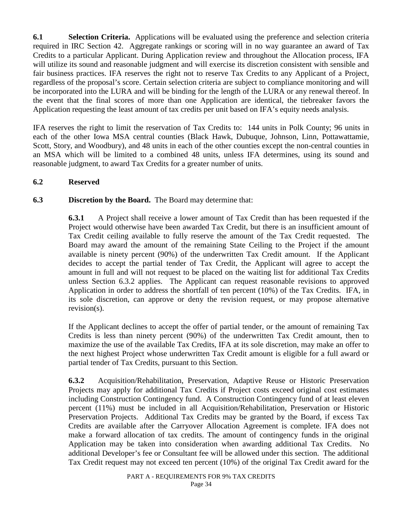**6.1 Selection Criteria.** Applications will be evaluated using the preference and selection criteria required in IRC Section 42. Aggregate rankings or scoring will in no way guarantee an award of Tax Credits to a particular Applicant. During Application review and throughout the Allocation process, IFA will utilize its sound and reasonable judgment and will exercise its discretion consistent with sensible and fair business practices. IFA reserves the right not to reserve Tax Credits to any Applicant of a Project, regardless of the proposal's score. Certain selection criteria are subject to compliance monitoring and will be incorporated into the LURA and will be binding for the length of the LURA or any renewal thereof. In the event that the final scores of more than one Application are identical, the tiebreaker favors the Application requesting the least amount of tax credits per unit based on IFA's equity needs analysis.

IFA reserves the right to limit the reservation of Tax Credits to: 144 units in Polk County; 96 units in each of the other Iowa MSA central counties (Black Hawk, Dubuque, Johnson, Linn, Pottawattamie, Scott, Story, and Woodbury), and 48 units in each of the other counties except the non-central counties in an MSA which will be limited to a combined 48 units, unless IFA determines, using its sound and reasonable judgment, to award Tax Credits for a greater number of units.

### **6.2 Reserved**

## **6.3 Discretion by the Board.** The Board may determine that:

**6.3.1** A Project shall receive a lower amount of Tax Credit than has been requested if the Project would otherwise have been awarded Tax Credit, but there is an insufficient amount of Tax Credit ceiling available to fully reserve the amount of the Tax Credit requested. The Board may award the amount of the remaining State Ceiling to the Project if the amount available is ninety percent (90%) of the underwritten Tax Credit amount. If the Applicant decides to accept the partial tender of Tax Credit, the Applicant will agree to accept the amount in full and will not request to be placed on the waiting list for additional Tax Credits unless Section 6.3.2 applies. The Applicant can request reasonable revisions to approved Application in order to address the shortfall of ten percent (10%) of the Tax Credits. IFA, in its sole discretion, can approve or deny the revision request, or may propose alternative revision(s).

If the Applicant declines to accept the offer of partial tender, or the amount of remaining Tax Credits is less than ninety percent (90%) of the underwritten Tax Credit amount, then to maximize the use of the available Tax Credits, IFA at its sole discretion, may make an offer to the next highest Project whose underwritten Tax Credit amount is eligible for a full award or partial tender of Tax Credits, pursuant to this Section.

**6.3.2** Acquisition/Rehabilitation, Preservation, Adaptive Reuse or Historic Preservation Projects may apply for additional Tax Credits if Project costs exceed original cost estimates including Construction Contingency fund. A Construction Contingency fund of at least eleven percent (11%) must be included in all Acquisition/Rehabilitation, Preservation or Historic Preservation Projects. Additional Tax Credits may be granted by the Board, if excess Tax Credits are available after the Carryover Allocation Agreement is complete. IFA does not make a forward allocation of tax credits. The amount of contingency funds in the original Application may be taken into consideration when awarding additional Tax Credits. No additional Developer's fee or Consultant fee will be allowed under this section. The additional Tax Credit request may not exceed ten percent (10%) of the original Tax Credit award for the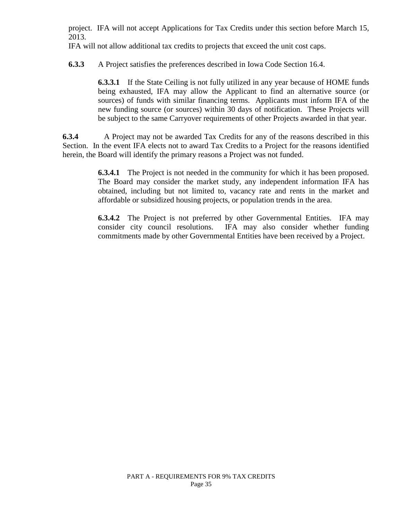project. IFA will not accept Applications for Tax Credits under this section before March 15, 2013.

IFA will not allow additional tax credits to projects that exceed the unit cost caps.

**6.3.3** A Project satisfies the preferences described in Iowa Code Section 16.4.

**6.3.3.1** If the State Ceiling is not fully utilized in any year because of HOME funds being exhausted, IFA may allow the Applicant to find an alternative source (or sources) of funds with similar financing terms. Applicants must inform IFA of the new funding source (or sources) within 30 days of notification. These Projects will be subject to the same Carryover requirements of other Projects awarded in that year.

**6.3.4** A Project may not be awarded Tax Credits for any of the reasons described in this Section. In the event IFA elects not to award Tax Credits to a Project for the reasons identified herein, the Board will identify the primary reasons a Project was not funded.

> **6.3.4.1** The Project is not needed in the community for which it has been proposed. The Board may consider the market study, any independent information IFA has obtained, including but not limited to, vacancy rate and rents in the market and affordable or subsidized housing projects, or population trends in the area.

> **6.3.4.2** The Project is not preferred by other Governmental Entities. IFA may consider city council resolutions. IFA may also consider whether funding commitments made by other Governmental Entities have been received by a Project.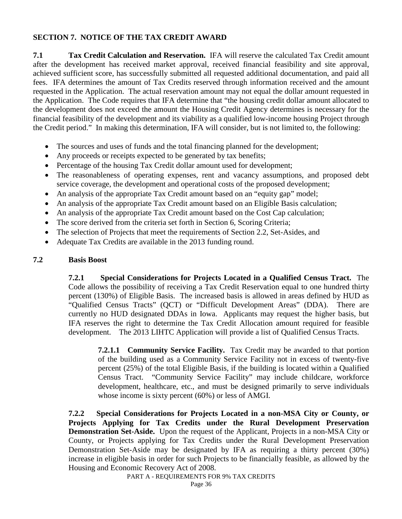### **SECTION 7. NOTICE OF THE TAX CREDIT AWARD**

**7.1 Tax Credit Calculation and Reservation.** IFA will reserve the calculated Tax Credit amount after the development has received market approval, received financial feasibility and site approval, achieved sufficient score, has successfully submitted all requested additional documentation, and paid all fees. IFA determines the amount of Tax Credits reserved through information received and the amount requested in the Application. The actual reservation amount may not equal the dollar amount requested in the Application. The Code requires that IFA determine that "the housing credit dollar amount allocated to the development does not exceed the amount the Housing Credit Agency determines is necessary for the financial feasibility of the development and its viability as a qualified low-income housing Project through the Credit period." In making this determination, IFA will consider, but is not limited to, the following:

- The sources and uses of funds and the total financing planned for the development;
- Any proceeds or receipts expected to be generated by tax benefits;
- Percentage of the housing Tax Credit dollar amount used for development;
- The reasonableness of operating expenses, rent and vacancy assumptions, and proposed debt service coverage, the development and operational costs of the proposed development;
- An analysis of the appropriate Tax Credit amount based on an "equity gap" model;
- An analysis of the appropriate Tax Credit amount based on an Eligible Basis calculation;
- An analysis of the appropriate Tax Credit amount based on the Cost Cap calculation;
- The score derived from the criteria set forth in Section 6, Scoring Criteria;
- The selection of Projects that meet the requirements of Section 2.2, Set-Asides, and
- Adequate Tax Credits are available in the 2013 funding round.

#### **7.2 Basis Boost**

**7.2.1 Special Considerations for Projects Located in a Qualified Census Tract.** The Code allows the possibility of receiving a Tax Credit Reservation equal to one hundred thirty percent (130%) of Eligible Basis. The increased basis is allowed in areas defined by HUD as "Qualified Census Tracts" (QCT) or "Difficult Development Areas" (DDA). There are currently no HUD designated DDAs in Iowa. Applicants may request the higher basis, but IFA reserves the right to determine the Tax Credit Allocation amount required for feasible development. The 2013 LIHTC Application will provide a list of Qualified Census Tracts.

**7.2.1.1 Community Service Facility.** Tax Credit may be awarded to that portion of the building used as a Community Service Facility not in excess of twenty-five percent (25%) of the total Eligible Basis, if the building is located within a Qualified Census Tract. "Community Service Facility" may include childcare, workforce development, healthcare, etc., and must be designed primarily to serve individuals whose income is sixty percent (60%) or less of AMGI.

**7.2.2 Special Considerations for Projects Located in a non-MSA City or County, or Projects Applying for Tax Credits under the Rural Development Preservation Demonstration Set-Aside.** Upon the request of the Applicant, Projects in a non-MSA City or County, or Projects applying for Tax Credits under the Rural Development Preservation Demonstration Set-Aside may be designated by IFA as requiring a thirty percent (30%) increase in eligible basis in order for such Projects to be financially feasible, as allowed by the Housing and Economic Recovery Act of 2008.

PART A - REQUIREMENTS FOR 9% TAX CREDITS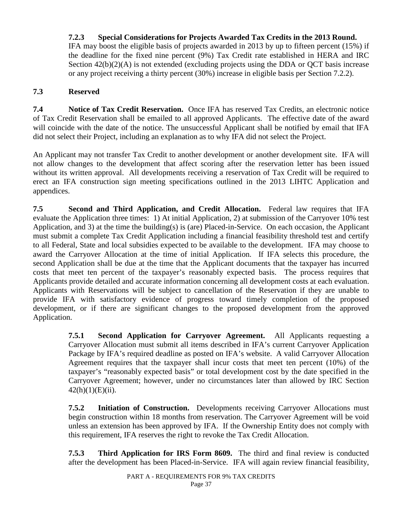# **7.2.3 Special Considerations for Projects Awarded Tax Credits in the 2013 Round.**

IFA may boost the eligible basis of projects awarded in 2013 by up to fifteen percent (15%) if the deadline for the fixed nine percent (9%) Tax Credit rate established in HERA and IRC Section  $42(b)(2)(A)$  is not extended (excluding projects using the DDA or QCT basis increase or any project receiving a thirty percent (30%) increase in eligible basis per Section 7.2.2).

#### **7.3 Reserved**

**7.4 Notice of Tax Credit Reservation.** Once IFA has reserved Tax Credits, an electronic notice of Tax Credit Reservation shall be emailed to all approved Applicants. The effective date of the award will coincide with the date of the notice. The unsuccessful Applicant shall be notified by email that IFA did not select their Project, including an explanation as to why IFA did not select the Project.

An Applicant may not transfer Tax Credit to another development or another development site. IFA will not allow changes to the development that affect scoring after the reservation letter has been issued without its written approval. All developments receiving a reservation of Tax Credit will be required to erect an IFA construction sign meeting specifications outlined in the 2013 LIHTC Application and appendices.

**7.5 Second and Third Application, and Credit Allocation.** Federal law requires that IFA evaluate the Application three times: 1) At initial Application, 2) at submission of the Carryover 10% test Application, and 3) at the time the building(s) is (are) Placed-in-Service. On each occasion, the Applicant must submit a complete Tax Credit Application including a financial feasibility threshold test and certify to all Federal, State and local subsidies expected to be available to the development. IFA may choose to award the Carryover Allocation at the time of initial Application. If IFA selects this procedure, the second Application shall be due at the time that the Applicant documents that the taxpayer has incurred costs that meet ten percent of the taxpayer's reasonably expected basis. The process requires that Applicants provide detailed and accurate information concerning all development costs at each evaluation. Applicants with Reservations will be subject to cancellation of the Reservation if they are unable to provide IFA with satisfactory evidence of progress toward timely completion of the proposed development, or if there are significant changes to the proposed development from the approved Application.

> **7.5.1 Second Application for Carryover Agreement.** All Applicants requesting a Carryover Allocation must submit all items described in IFA's current Carryover Application Package by IFA's required deadline as posted on IFA's website. A valid Carryover Allocation Agreement requires that the taxpayer shall incur costs that meet ten percent (10%) of the taxpayer's "reasonably expected basis" or total development cost by the date specified in the Carryover Agreement; however, under no circumstances later than allowed by IRC Section  $42(h)(1)(E)(ii)$ .

> **7.5.2 Initiation of Construction.** Developments receiving Carryover Allocations must begin construction within 18 months from reservation. The Carryover Agreement will be void unless an extension has been approved by IFA. If the Ownership Entity does not comply with this requirement, IFA reserves the right to revoke the Tax Credit Allocation.

> **7.5.3 Third Application for IRS Form 8609.** The third and final review is conducted after the development has been Placed-in-Service. IFA will again review financial feasibility,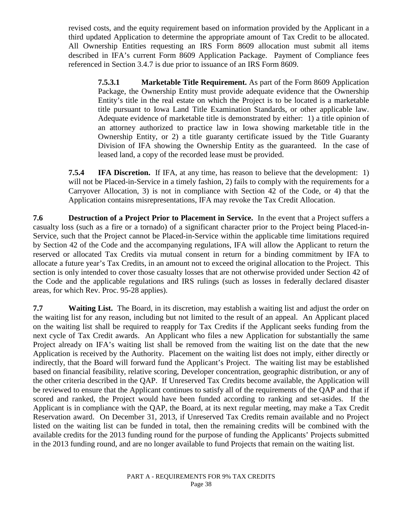revised costs, and the equity requirement based on information provided by the Applicant in a third updated Application to determine the appropriate amount of Tax Credit to be allocated. All Ownership Entities requesting an IRS Form 8609 allocation must submit all items described in IFA's current Form 8609 Application Package. Payment of Compliance fees referenced in Section 3.4.7 is due prior to issuance of an IRS Form 8609.

**7.5.3.1 Marketable Title Requirement.** As part of the Form 8609 Application Package, the Ownership Entity must provide adequate evidence that the Ownership Entity's title in the real estate on which the Project is to be located is a marketable title pursuant to Iowa Land Title Examination Standards, or other applicable law. Adequate evidence of marketable title is demonstrated by either: 1) a title opinion of an attorney authorized to practice law in Iowa showing marketable title in the Ownership Entity, or 2) a title guaranty certificate issued by the Title Guaranty Division of IFA showing the Ownership Entity as the guaranteed. In the case of leased land, a copy of the recorded lease must be provided.

**7.5.4 IFA Discretion.** If IFA, at any time, has reason to believe that the development: 1) will not be Placed-in-Service in a timely fashion, 2) fails to comply with the requirements for a Carryover Allocation, 3) is not in compliance with Section 42 of the Code, or 4) that the Application contains misrepresentations, IFA may revoke the Tax Credit Allocation.

**7.6 Destruction of a Project Prior to Placement in Service.** In the event that a Project suffers a casualty loss (such as a fire or a tornado) of a significant character prior to the Project being Placed-in-Service, such that the Project cannot be Placed-in-Service within the applicable time limitations required by Section 42 of the Code and the accompanying regulations, IFA will allow the Applicant to return the reserved or allocated Tax Credits via mutual consent in return for a binding commitment by IFA to allocate a future year's Tax Credits, in an amount not to exceed the original allocation to the Project. This section is only intended to cover those casualty losses that are not otherwise provided under Section 42 of the Code and the applicable regulations and IRS rulings (such as losses in federally declared disaster areas, for which Rev. Proc. 95-28 applies).

**7.7 Waiting List.** The Board, in its discretion, may establish a waiting list and adjust the order on the waiting list for any reason, including but not limited to the result of an appeal. An Applicant placed on the waiting list shall be required to reapply for Tax Credits if the Applicant seeks funding from the next cycle of Tax Credit awards. An Applicant who files a new Application for substantially the same Project already on IFA's waiting list shall be removed from the waiting list on the date that the new Application is received by the Authority. Placement on the waiting list does not imply, either directly or indirectly, that the Board will forward fund the Applicant's Project. The waiting list may be established based on financial feasibility, relative scoring, Developer concentration, geographic distribution, or any of the other criteria described in the QAP. If Unreserved Tax Credits become available, the Application will be reviewed to ensure that the Applicant continues to satisfy all of the requirements of the QAP and that if scored and ranked, the Project would have been funded according to ranking and set-asides. If the Applicant is in compliance with the QAP, the Board, at its next regular meeting, may make a Tax Credit Reservation award. On December 31, 2013, if Unreserved Tax Credits remain available and no Project listed on the waiting list can be funded in total, then the remaining credits will be combined with the available credits for the 2013 funding round for the purpose of funding the Applicants' Projects submitted in the 2013 funding round, and are no longer available to fund Projects that remain on the waiting list.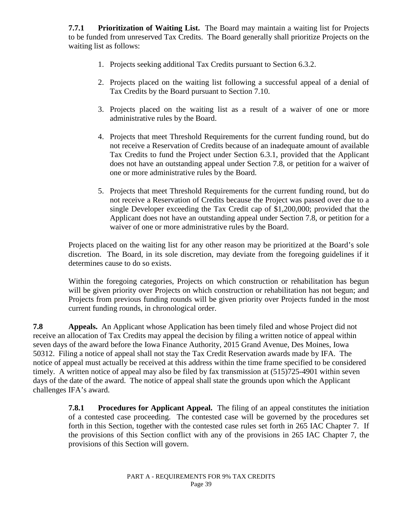**7.7.1 Prioritization of Waiting List.** The Board may maintain a waiting list for Projects to be funded from unreserved Tax Credits. The Board generally shall prioritize Projects on the waiting list as follows:

- 1. Projects seeking additional Tax Credits pursuant to Section 6.3.2.
- 2. Projects placed on the waiting list following a successful appeal of a denial of Tax Credits by the Board pursuant to Section 7.10.
- 3. Projects placed on the waiting list as a result of a waiver of one or more administrative rules by the Board.
- 4. Projects that meet Threshold Requirements for the current funding round, but do not receive a Reservation of Credits because of an inadequate amount of available Tax Credits to fund the Project under Section 6.3.1, provided that the Applicant does not have an outstanding appeal under Section 7.8, or petition for a waiver of one or more administrative rules by the Board.
- 5. Projects that meet Threshold Requirements for the current funding round, but do not receive a Reservation of Credits because the Project was passed over due to a single Developer exceeding the Tax Credit cap of \$1,200,000; provided that the Applicant does not have an outstanding appeal under Section 7.8, or petition for a waiver of one or more administrative rules by the Board.

Projects placed on the waiting list for any other reason may be prioritized at the Board's sole discretion. The Board, in its sole discretion, may deviate from the foregoing guidelines if it determines cause to do so exists.

Within the foregoing categories, Projects on which construction or rehabilitation has begun will be given priority over Projects on which construction or rehabilitation has not begun; and Projects from previous funding rounds will be given priority over Projects funded in the most current funding rounds, in chronological order.

**7.8 Appeals.** An Applicant whose Application has been timely filed and whose Project did not receive an allocation of Tax Credits may appeal the decision by filing a written notice of appeal within seven days of the award before the Iowa Finance Authority, 2015 Grand Avenue, Des Moines, Iowa 50312. Filing a notice of appeal shall not stay the Tax Credit Reservation awards made by IFA. The notice of appeal must actually be received at this address within the time frame specified to be considered timely. A written notice of appeal may also be filed by fax transmission at (515)725-4901 within seven days of the date of the award. The notice of appeal shall state the grounds upon which the Applicant challenges IFA's award.

> **7.8.1 Procedures for Applicant Appeal.** The filing of an appeal constitutes the initiation of a contested case proceeding. The contested case will be governed by the procedures set forth in this Section, together with the contested case rules set forth in 265 IAC Chapter 7. If the provisions of this Section conflict with any of the provisions in 265 IAC Chapter 7, the provisions of this Section will govern.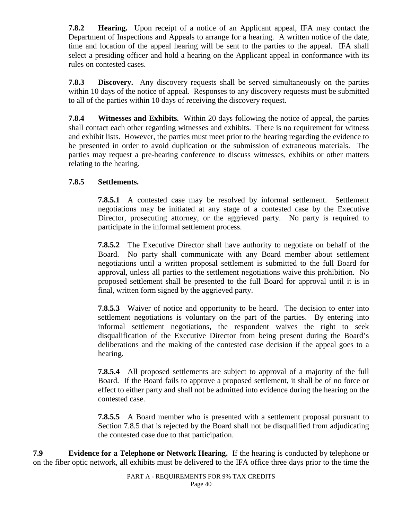**7.8.2 Hearing.** Upon receipt of a notice of an Applicant appeal, IFA may contact the Department of Inspections and Appeals to arrange for a hearing. A written notice of the date, time and location of the appeal hearing will be sent to the parties to the appeal. IFA shall select a presiding officer and hold a hearing on the Applicant appeal in conformance with its rules on contested cases.

**7.8.3 Discovery.** Any discovery requests shall be served simultaneously on the parties within 10 days of the notice of appeal. Responses to any discovery requests must be submitted to all of the parties within 10 days of receiving the discovery request.

**7.8.4 Witnesses and Exhibits.** Within 20 days following the notice of appeal, the parties shall contact each other regarding witnesses and exhibits. There is no requirement for witness and exhibit lists. However, the parties must meet prior to the hearing regarding the evidence to be presented in order to avoid duplication or the submission of extraneous materials. The parties may request a pre-hearing conference to discuss witnesses, exhibits or other matters relating to the hearing.

## **7.8.5 Settlements.**

**7.8.5.1** A contested case may be resolved by informal settlement. Settlement negotiations may be initiated at any stage of a contested case by the Executive Director, prosecuting attorney, or the aggrieved party. No party is required to participate in the informal settlement process.

**7.8.5.2** The Executive Director shall have authority to negotiate on behalf of the Board. No party shall communicate with any Board member about settlement negotiations until a written proposal settlement is submitted to the full Board for approval, unless all parties to the settlement negotiations waive this prohibition. No proposed settlement shall be presented to the full Board for approval until it is in final, written form signed by the aggrieved party.

**7.8.5.3** Waiver of notice and opportunity to be heard. The decision to enter into settlement negotiations is voluntary on the part of the parties. By entering into informal settlement negotiations, the respondent waives the right to seek disqualification of the Executive Director from being present during the Board's deliberations and the making of the contested case decision if the appeal goes to a hearing.

**7.8.5.4** All proposed settlements are subject to approval of a majority of the full Board. If the Board fails to approve a proposed settlement, it shall be of no force or effect to either party and shall not be admitted into evidence during the hearing on the contested case.

**7.8.5.5** A Board member who is presented with a settlement proposal pursuant to Section 7.8.5 that is rejected by the Board shall not be disqualified from adjudicating the contested case due to that participation.

**7.9 Evidence for a Telephone or Network Hearing.** If the hearing is conducted by telephone or on the fiber optic network, all exhibits must be delivered to the IFA office three days prior to the time the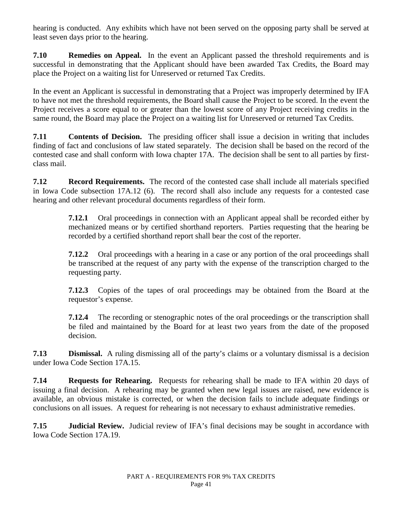hearing is conducted. Any exhibits which have not been served on the opposing party shall be served at least seven days prior to the hearing.

**7.10 Remedies on Appeal.** In the event an Applicant passed the threshold requirements and is successful in demonstrating that the Applicant should have been awarded Tax Credits, the Board may place the Project on a waiting list for Unreserved or returned Tax Credits.

In the event an Applicant is successful in demonstrating that a Project was improperly determined by IFA to have not met the threshold requirements, the Board shall cause the Project to be scored. In the event the Project receives a score equal to or greater than the lowest score of any Project receiving credits in the same round, the Board may place the Project on a waiting list for Unreserved or returned Tax Credits.

**7.11 Contents of Decision.** The presiding officer shall issue a decision in writing that includes finding of fact and conclusions of law stated separately. The decision shall be based on the record of the contested case and shall conform with Iowa chapter 17A. The decision shall be sent to all parties by firstclass mail.

**7.12 Record Requirements.** The record of the contested case shall include all materials specified in Iowa Code subsection 17A.12 (6). The record shall also include any requests for a contested case hearing and other relevant procedural documents regardless of their form.

> **7.12.1** Oral proceedings in connection with an Applicant appeal shall be recorded either by mechanized means or by certified shorthand reporters. Parties requesting that the hearing be recorded by a certified shorthand report shall bear the cost of the reporter.

> **7.12.2** Oral proceedings with a hearing in a case or any portion of the oral proceedings shall be transcribed at the request of any party with the expense of the transcription charged to the requesting party.

> **7.12.3** Copies of the tapes of oral proceedings may be obtained from the Board at the requestor's expense.

> **7.12.4** The recording or stenographic notes of the oral proceedings or the transcription shall be filed and maintained by the Board for at least two years from the date of the proposed decision.

**7.13 Dismissal.** A ruling dismissing all of the party's claims or a voluntary dismissal is a decision under Iowa Code Section 17A.15.

**7.14 Requests for Rehearing.** Requests for rehearing shall be made to IFA within 20 days of issuing a final decision. A rehearing may be granted when new legal issues are raised, new evidence is available, an obvious mistake is corrected, or when the decision fails to include adequate findings or conclusions on all issues. A request for rehearing is not necessary to exhaust administrative remedies.

**7.15 Judicial Review.** Judicial review of IFA's final decisions may be sought in accordance with Iowa Code Section 17A.19.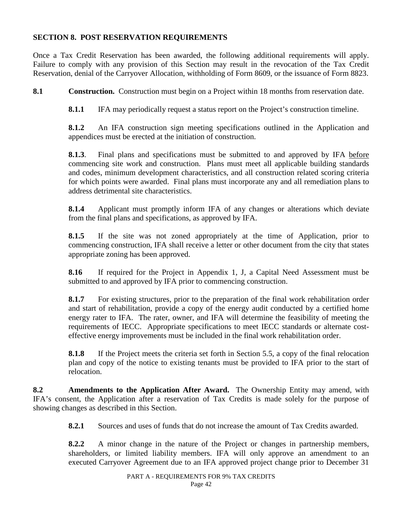### **SECTION 8. POST RESERVATION REQUIREMENTS**

Once a Tax Credit Reservation has been awarded, the following additional requirements will apply. Failure to comply with any provision of this Section may result in the revocation of the Tax Credit Reservation, denial of the Carryover Allocation, withholding of Form 8609, or the issuance of Form 8823.

**8.1 Construction.** Construction must begin on a Project within 18 months from reservation date.

**8.1.1** IFA may periodically request a status report on the Project's construction timeline.

**8.1.2** An IFA construction sign meeting specifications outlined in the Application and appendices must be erected at the initiation of construction.

**8.1.3**. Final plans and specifications must be submitted to and approved by IFA before commencing site work and construction. Plans must meet all applicable building standards and codes, minimum development characteristics, and all construction related scoring criteria for which points were awarded. Final plans must incorporate any and all remediation plans to address detrimental site characteristics.

**8.1.4** Applicant must promptly inform IFA of any changes or alterations which deviate from the final plans and specifications, as approved by IFA.

**8.1.5** If the site was not zoned appropriately at the time of Application, prior to commencing construction, IFA shall receive a letter or other document from the city that states appropriate zoning has been approved.

**8.16** If required for the Project in Appendix 1, J, a Capital Need Assessment must be submitted to and approved by IFA prior to commencing construction.

**8.1.7** For existing structures, prior to the preparation of the final work rehabilitation order and start of rehabilitation, provide a copy of the energy audit conducted by a certified home energy rater to IFA. The rater, owner, and IFA will determine the feasibility of meeting the requirements of IECC. Appropriate specifications to meet IECC standards or alternate costeffective energy improvements must be included in the final work rehabilitation order.

**8.1.8** If the Project meets the criteria set forth in Section 5.5, a copy of the final relocation plan and copy of the notice to existing tenants must be provided to IFA prior to the start of relocation.

**8.2 Amendments to the Application After Award.** The Ownership Entity may amend, with IFA's consent, the Application after a reservation of Tax Credits is made solely for the purpose of showing changes as described in this Section.

**8.2.1** Sources and uses of funds that do not increase the amount of Tax Credits awarded.

**8.2.2** A minor change in the nature of the Project or changes in partnership members, shareholders, or limited liability members. IFA will only approve an amendment to an executed Carryover Agreement due to an IFA approved project change prior to December 31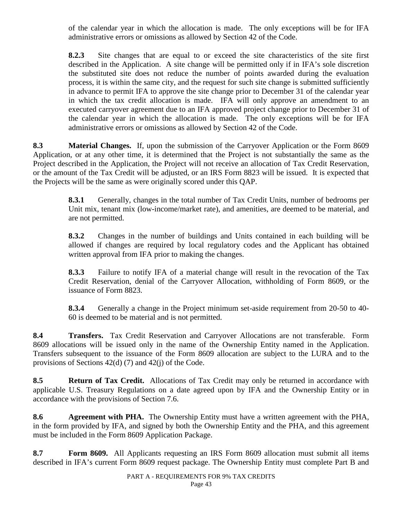of the calendar year in which the allocation is made. The only exceptions will be for IFA administrative errors or omissions as allowed by Section 42 of the Code.

**8.2.3** Site changes that are equal to or exceed the site characteristics of the site first described in the Application. A site change will be permitted only if in IFA's sole discretion the substituted site does not reduce the number of points awarded during the evaluation process, it is within the same city, and the request for such site change is submitted sufficiently in advance to permit IFA to approve the site change prior to December 31 of the calendar year in which the tax credit allocation is made. IFA will only approve an amendment to an executed carryover agreement due to an IFA approved project change prior to December 31 of the calendar year in which the allocation is made. The only exceptions will be for IFA administrative errors or omissions as allowed by Section 42 of the Code.

**8.3 Material Changes.** If, upon the submission of the Carryover Application or the Form 8609 Application, or at any other time, it is determined that the Project is not substantially the same as the Project described in the Application, the Project will not receive an allocation of Tax Credit Reservation, or the amount of the Tax Credit will be adjusted, or an IRS Form 8823 will be issued. It is expected that the Projects will be the same as were originally scored under this QAP.

> **8.3.1** Generally, changes in the total number of Tax Credit Units, number of bedrooms per Unit mix, tenant mix (low-income/market rate), and amenities, are deemed to be material, and are not permitted.

> **8.3.2** Changes in the number of buildings and Units contained in each building will be allowed if changes are required by local regulatory codes and the Applicant has obtained written approval from IFA prior to making the changes.

> **8.3.3** Failure to notify IFA of a material change will result in the revocation of the Tax Credit Reservation, denial of the Carryover Allocation, withholding of Form 8609, or the issuance of Form 8823.

> **8.3.4** Generally a change in the Project minimum set-aside requirement from 20-50 to 40- 60 is deemed to be material and is not permitted.

**8.4 Transfers.** Tax Credit Reservation and Carryover Allocations are not transferable. Form 8609 allocations will be issued only in the name of the Ownership Entity named in the Application. Transfers subsequent to the issuance of the Form 8609 allocation are subject to the LURA and to the provisions of Sections 42(d) (7) and 42(j) of the Code.

**8.5 Return of Tax Credit.** Allocations of Tax Credit may only be returned in accordance with applicable U.S. Treasury Regulations on a date agreed upon by IFA and the Ownership Entity or in accordance with the provisions of Section 7.6.

**8.6 Agreement with PHA.** The Ownership Entity must have a written agreement with the PHA, in the form provided by IFA, and signed by both the Ownership Entity and the PHA, and this agreement must be included in the Form 8609 Application Package.

**8.7 Form 8609.** All Applicants requesting an IRS Form 8609 allocation must submit all items described in IFA's current Form 8609 request package. The Ownership Entity must complete Part B and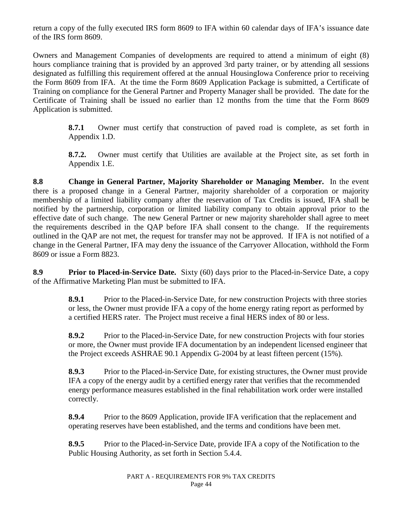return a copy of the fully executed IRS form 8609 to IFA within 60 calendar days of IFA's issuance date of the IRS form 8609.

Owners and Management Companies of developments are required to attend a minimum of eight (8) hours compliance training that is provided by an approved 3rd party trainer, or by attending all sessions designated as fulfilling this requirement offered at the annual HousingIowa Conference prior to receiving the Form 8609 from IFA. At the time the Form 8609 Application Package is submitted, a Certificate of Training on compliance for the General Partner and Property Manager shall be provided. The date for the Certificate of Training shall be issued no earlier than 12 months from the time that the Form 8609 Application is submitted.

> **8.7.1** Owner must certify that construction of paved road is complete, as set forth in Appendix 1.D.

> **8.7.2.** Owner must certify that Utilities are available at the Project site, as set forth in Appendix 1.E.

**8.8 Change in General Partner, Majority Shareholder or Managing Member.** In the event there is a proposed change in a General Partner, majority shareholder of a corporation or majority membership of a limited liability company after the reservation of Tax Credits is issued, IFA shall be notified by the partnership, corporation or limited liability company to obtain approval prior to the effective date of such change. The new General Partner or new majority shareholder shall agree to meet the requirements described in the QAP before IFA shall consent to the change. If the requirements outlined in the QAP are not met, the request for transfer may not be approved. If IFA is not notified of a change in the General Partner, IFA may deny the issuance of the Carryover Allocation, withhold the Form 8609 or issue a Form 8823.

**8.9 Prior to Placed-in-Service Date.** Sixty (60) days prior to the Placed-in-Service Date, a copy of the Affirmative Marketing Plan must be submitted to IFA.

> **8.9.1** Prior to the Placed-in-Service Date, for new construction Projects with three stories or less, the Owner must provide IFA a copy of the home energy rating report as performed by a certified HERS rater. The Project must receive a final HERS index of 80 or less.

> **8.9.2** Prior to the Placed-in-Service Date, for new construction Projects with four stories or more, the Owner must provide IFA documentation by an independent licensed engineer that the Project exceeds ASHRAE 90.1 Appendix G-2004 by at least fifteen percent (15%).

> **8.9.3** Prior to the Placed-in-Service Date, for existing structures, the Owner must provide IFA a copy of the energy audit by a certified energy rater that verifies that the recommended energy performance measures established in the final rehabilitation work order were installed correctly.

**8.9.4** Prior to the 8609 Application, provide IFA verification that the replacement and operating reserves have been established, and the terms and conditions have been met.

**8.9.5** Prior to the Placed-in-Service Date, provide IFA a copy of the Notification to the Public Housing Authority, as set forth in Section 5.4.4.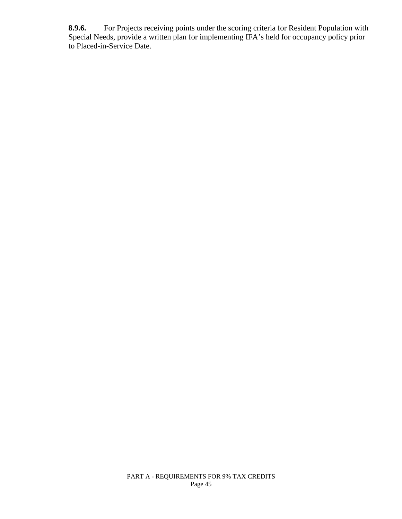**8.9.6.** For Projects receiving points under the scoring criteria for Resident Population with Special Needs, provide a written plan for implementing IFA's held for occupancy policy prior to Placed-in-Service Date.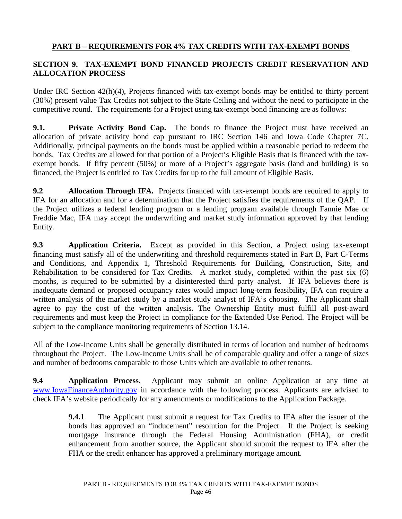# **PART B – REQUIREMENTS FOR 4% TAX CREDITS WITH TAX-EXEMPT BONDS**

# **SECTION 9. TAX-EXEMPT BOND FINANCED PROJECTS CREDIT RESERVATION AND ALLOCATION PROCESS**

Under IRC Section 42(h)(4), Projects financed with tax-exempt bonds may be entitled to thirty percent (30%) present value Tax Credits not subject to the State Ceiling and without the need to participate in the competitive round. The requirements for a Project using tax-exempt bond financing are as follows:

**9.1. Private Activity Bond Cap.** The bonds to finance the Project must have received an allocation of private activity bond cap pursuant to IRC Section 146 and Iowa Code Chapter 7C. Additionally, principal payments on the bonds must be applied within a reasonable period to redeem the bonds. Tax Credits are allowed for that portion of a Project's Eligible Basis that is financed with the taxexempt bonds. If fifty percent (50%) or more of a Project's aggregate basis (land and building) is so financed, the Project is entitled to Tax Credits for up to the full amount of Eligible Basis.

**9.2 Allocation Through IFA.** Projects financed with tax-exempt bonds are required to apply to IFA for an allocation and for a determination that the Project satisfies the requirements of the QAP. If the Project utilizes a federal lending program or a lending program available through Fannie Mae or Freddie Mac, IFA may accept the underwriting and market study information approved by that lending Entity.

**9.3 Application Criteria.** Except as provided in this Section, a Project using tax-exempt financing must satisfy all of the underwriting and threshold requirements stated in Part B, Part C-Terms and Conditions, and Appendix 1, Threshold Requirements for Building, Construction, Site, and Rehabilitation to be considered for Tax Credits. A market study, completed within the past six (6) months, is required to be submitted by a disinterested third party analyst. If IFA believes there is inadequate demand or proposed occupancy rates would impact long-term feasibility, IFA can require a written analysis of the market study by a market study analyst of IFA's choosing. The Applicant shall agree to pay the cost of the written analysis. The Ownership Entity must fulfill all post-award requirements and must keep the Project in compliance for the Extended Use Period. The Project will be subject to the compliance monitoring requirements of Section 13.14.

All of the Low-Income Units shall be generally distributed in terms of location and number of bedrooms throughout the Project. The Low-Income Units shall be of comparable quality and offer a range of sizes and number of bedrooms comparable to those Units which are available to other tenants.

**9.4 Application Process.** Applicant may submit an online Application at any time at [www.IowaFinanceAuthority.gov](http://www.iowafinanceauthority.gov/) in accordance with the following process. Applicants are advised to check IFA's website periodically for any amendments or modifications to the Application Package.

> **9.4.1** The Applicant must submit a request for Tax Credits to IFA after the issuer of the bonds has approved an "inducement" resolution for the Project. If the Project is seeking mortgage insurance through the Federal Housing Administration (FHA), or credit enhancement from another source, the Applicant should submit the request to IFA after the FHA or the credit enhancer has approved a preliminary mortgage amount.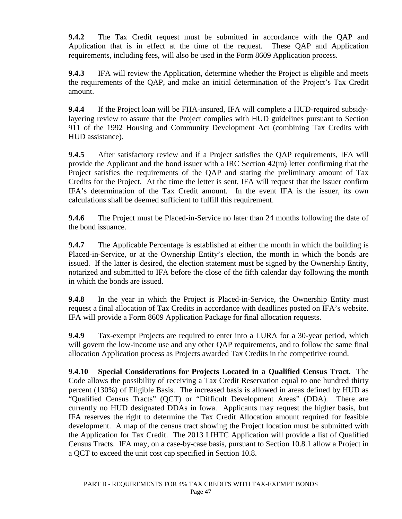**9.4.2** The Tax Credit request must be submitted in accordance with the QAP and Application that is in effect at the time of the request. These QAP and Application requirements, including fees, will also be used in the Form 8609 Application process.

**9.4.3** IFA will review the Application, determine whether the Project is eligible and meets the requirements of the QAP, and make an initial determination of the Project's Tax Credit amount.

**9.4.4** If the Project loan will be FHA-insured, IFA will complete a HUD-required subsidylayering review to assure that the Project complies with HUD guidelines pursuant to Section 911 of the 1992 Housing and Community Development Act (combining Tax Credits with HUD assistance).

**9.4.5** After satisfactory review and if a Project satisfies the QAP requirements, IFA will provide the Applicant and the bond issuer with a IRC Section 42(m) letter confirming that the Project satisfies the requirements of the QAP and stating the preliminary amount of Tax Credits for the Project. At the time the letter is sent, IFA will request that the issuer confirm IFA's determination of the Tax Credit amount. In the event IFA is the issuer, its own calculations shall be deemed sufficient to fulfill this requirement.

**9.4.6** The Project must be Placed-in-Service no later than 24 months following the date of the bond issuance.

**9.4.7** The Applicable Percentage is established at either the month in which the building is Placed-in-Service, or at the Ownership Entity's election, the month in which the bonds are issued. If the latter is desired, the election statement must be signed by the Ownership Entity, notarized and submitted to IFA before the close of the fifth calendar day following the month in which the bonds are issued.

**9.4.8** In the year in which the Project is Placed-in-Service, the Ownership Entity must request a final allocation of Tax Credits in accordance with deadlines posted on IFA's website. IFA will provide a Form 8609 Application Package for final allocation requests.

**9.4.9** Tax-exempt Projects are required to enter into a LURA for a 30-year period, which will govern the low-income use and any other QAP requirements, and to follow the same final allocation Application process as Projects awarded Tax Credits in the competitive round.

**9.4.10 Special Considerations for Projects Located in a Qualified Census Tract.** The Code allows the possibility of receiving a Tax Credit Reservation equal to one hundred thirty percent (130%) of Eligible Basis. The increased basis is allowed in areas defined by HUD as "Qualified Census Tracts" (QCT) or "Difficult Development Areas" (DDA). There are currently no HUD designated DDAs in Iowa. Applicants may request the higher basis, but IFA reserves the right to determine the Tax Credit Allocation amount required for feasible development. A map of the census tract showing the Project location must be submitted with the Application for Tax Credit. The 2013 LIHTC Application will provide a list of Qualified Census Tracts. IFA may, on a case-by-case basis, pursuant to Section 10.8.1 allow a Project in a QCT to exceed the unit cost cap specified in Section 10.8.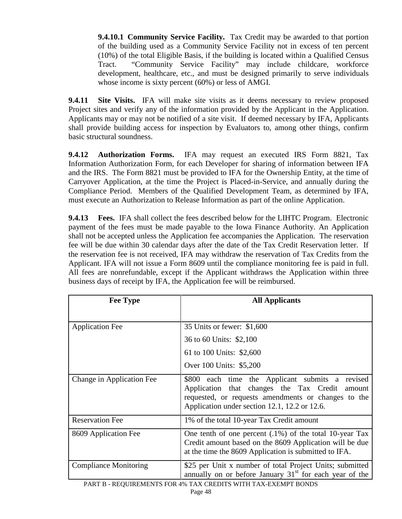**9.4.10.1 Community Service Facility.** Tax Credit may be awarded to that portion of the building used as a Community Service Facility not in excess of ten percent (10%) of the total Eligible Basis, if the building is located within a Qualified Census Tract. "Community Service Facility" may include childcare, workforce development, healthcare, etc., and must be designed primarily to serve individuals whose income is sixty percent (60%) or less of AMGI.

**9.4.11 Site Visits.** IFA will make site visits as it deems necessary to review proposed Project sites and verify any of the information provided by the Applicant in the Application. Applicants may or may not be notified of a site visit. If deemed necessary by IFA, Applicants shall provide building access for inspection by Evaluators to, among other things, confirm basic structural soundness.

**9.4.12 Authorization Forms.** IFA may request an executed IRS Form 8821, Tax Information Authorization Form, for each Developer for sharing of information between IFA and the IRS. The Form 8821 must be provided to IFA for the Ownership Entity, at the time of Carryover Application, at the time the Project is Placed-in-Service, and annually during the Compliance Period. Members of the Qualified Development Team, as determined by IFA, must execute an Authorization to Release Information as part of the online Application.

**9.4.13 Fees.** IFA shall collect the fees described below for the LIHTC Program. Electronic payment of the fees must be made payable to the Iowa Finance Authority. An Application shall not be accepted unless the Application fee accompanies the Application. The reservation fee will be due within 30 calendar days after the date of the Tax Credit Reservation letter. If the reservation fee is not received, IFA may withdraw the reservation of Tax Credits from the Applicant. IFA will not issue a Form 8609 until the compliance monitoring fee is paid in full. All fees are nonrefundable, except if the Applicant withdraws the Application within three business days of receipt by IFA, the Application fee will be reimbursed.

| <b>Fee Type</b>              | <b>All Applicants</b>                                                                                                                                                                                           |  |  |
|------------------------------|-----------------------------------------------------------------------------------------------------------------------------------------------------------------------------------------------------------------|--|--|
|                              |                                                                                                                                                                                                                 |  |  |
| <b>Application Fee</b>       | 35 Units or fewer: \$1,600                                                                                                                                                                                      |  |  |
|                              | 36 to 60 Units: \$2,100                                                                                                                                                                                         |  |  |
|                              | 61 to 100 Units: \$2,600                                                                                                                                                                                        |  |  |
|                              | Over 100 Units: \$5,200                                                                                                                                                                                         |  |  |
| Change in Application Fee    | \$800 each time the Applicant submits a<br>revised<br>Application that changes the Tax Credit<br>amount<br>requested, or requests amendments or changes to the<br>Application under section 12.1, 12.2 or 12.6. |  |  |
| <b>Reservation Fee</b>       | 1% of the total 10-year Tax Credit amount                                                                                                                                                                       |  |  |
| 8609 Application Fee         | One tenth of one percent $(.1\%)$ of the total 10-year Tax<br>Credit amount based on the 8609 Application will be due<br>at the time the 8609 Application is submitted to IFA.                                  |  |  |
| <b>Compliance Monitoring</b> | \$25 per Unit x number of total Project Units; submitted<br>annually on or before January $31st$ for each year of the<br>10/ THAY OBFBITC WITHIUT 4 Y FYEMDT BOMBO                                              |  |  |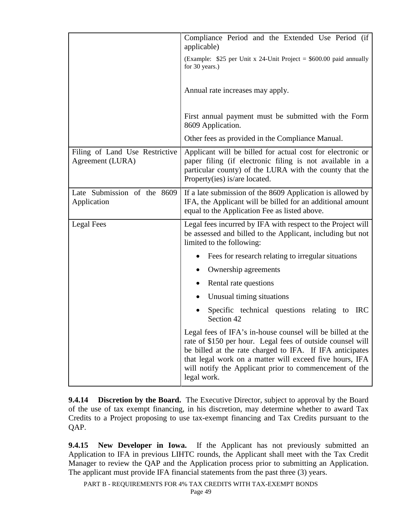|                                                    | Compliance Period and the Extended Use Period (if<br>applicable)                                                                                                                                                                                                                                                         |  |  |  |
|----------------------------------------------------|--------------------------------------------------------------------------------------------------------------------------------------------------------------------------------------------------------------------------------------------------------------------------------------------------------------------------|--|--|--|
|                                                    | (Example: $$25$ per Unit x 24-Unit Project = $$600.00$ paid annually<br>for 30 years.)                                                                                                                                                                                                                                   |  |  |  |
|                                                    | Annual rate increases may apply.                                                                                                                                                                                                                                                                                         |  |  |  |
|                                                    | First annual payment must be submitted with the Form<br>8609 Application.                                                                                                                                                                                                                                                |  |  |  |
|                                                    | Other fees as provided in the Compliance Manual.                                                                                                                                                                                                                                                                         |  |  |  |
| Filing of Land Use Restrictive<br>Agreement (LURA) | Applicant will be billed for actual cost for electronic or<br>paper filing (if electronic filing is not available in a<br>particular county) of the LURA with the county that the<br>Property(ies) is/are located.                                                                                                       |  |  |  |
| Late Submission of the 8609<br>Application         | If a late submission of the 8609 Application is allowed by<br>IFA, the Applicant will be billed for an additional amount<br>equal to the Application Fee as listed above.                                                                                                                                                |  |  |  |
| Legal Fees                                         | Legal fees incurred by IFA with respect to the Project will<br>be assessed and billed to the Applicant, including but not<br>limited to the following:                                                                                                                                                                   |  |  |  |
|                                                    | Fees for research relating to irregular situations                                                                                                                                                                                                                                                                       |  |  |  |
|                                                    | Ownership agreements                                                                                                                                                                                                                                                                                                     |  |  |  |
|                                                    | Rental rate questions                                                                                                                                                                                                                                                                                                    |  |  |  |
|                                                    | Unusual timing situations                                                                                                                                                                                                                                                                                                |  |  |  |
|                                                    | Specific technical questions relating to<br><b>IRC</b><br>Section 42                                                                                                                                                                                                                                                     |  |  |  |
|                                                    | Legal fees of IFA's in-house counsel will be billed at the<br>rate of \$150 per hour. Legal fees of outside counsel will<br>be billed at the rate charged to IFA. If IFA anticipates<br>that legal work on a matter will exceed five hours, IFA<br>will notify the Applicant prior to commencement of the<br>legal work. |  |  |  |

**9.4.14 Discretion by the Board.** The Executive Director, subject to approval by the Board of the use of tax exempt financing, in his discretion, may determine whether to award Tax Credits to a Project proposing to use tax-exempt financing and Tax Credits pursuant to the QAP.

**9.4.15 New Developer in Iowa.** If the Applicant has not previously submitted an Application to IFA in previous LIHTC rounds, the Applicant shall meet with the Tax Credit Manager to review the QAP and the Application process prior to submitting an Application. The applicant must provide IFA financial statements from the past three (3) years.

PART B - REQUIREMENTS FOR 4% TAX CREDITS WITH TAX-EXEMPT BONDS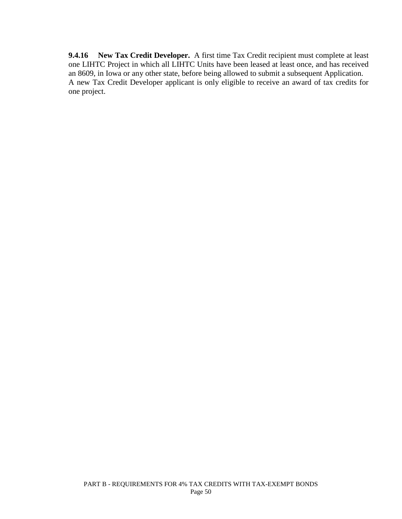**9.4.16 New Tax Credit Developer.** A first time Tax Credit recipient must complete at least one LIHTC Project in which all LIHTC Units have been leased at least once, and has received an 8609, in Iowa or any other state, before being allowed to submit a subsequent Application. A new Tax Credit Developer applicant is only eligible to receive an award of tax credits for one project.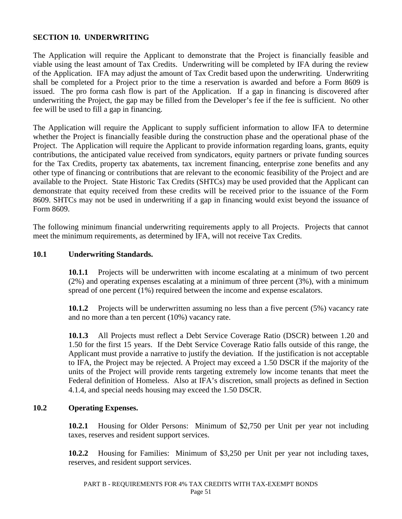#### **SECTION 10. UNDERWRITING**

The Application will require the Applicant to demonstrate that the Project is financially feasible and viable using the least amount of Tax Credits. Underwriting will be completed by IFA during the review of the Application. IFA may adjust the amount of Tax Credit based upon the underwriting. Underwriting shall be completed for a Project prior to the time a reservation is awarded and before a Form 8609 is issued. The pro forma cash flow is part of the Application. If a gap in financing is discovered after underwriting the Project, the gap may be filled from the Developer's fee if the fee is sufficient. No other fee will be used to fill a gap in financing.

The Application will require the Applicant to supply sufficient information to allow IFA to determine whether the Project is financially feasible during the construction phase and the operational phase of the Project. The Application will require the Applicant to provide information regarding loans, grants, equity contributions, the anticipated value received from syndicators, equity partners or private funding sources for the Tax Credits, property tax abatements, tax increment financing, enterprise zone benefits and any other type of financing or contributions that are relevant to the economic feasibility of the Project and are available to the Project. State Historic Tax Credits (SHTCs) may be used provided that the Applicant can demonstrate that equity received from these credits will be received prior to the issuance of the Form 8609. SHTCs may not be used in underwriting if a gap in financing would exist beyond the issuance of Form 8609.

The following minimum financial underwriting requirements apply to all Projects. Projects that cannot meet the minimum requirements, as determined by IFA, will not receive Tax Credits.

#### **10.1 Underwriting Standards.**

**10.1.1** Projects will be underwritten with income escalating at a minimum of two percent (2%) and operating expenses escalating at a minimum of three percent (3%), with a minimum spread of one percent (1%) required between the income and expense escalators.

**10.1.2** Projects will be underwritten assuming no less than a five percent (5%) vacancy rate and no more than a ten percent (10%) vacancy rate.

**10.1.3** All Projects must reflect a Debt Service Coverage Ratio (DSCR) between 1.20 and 1.50 for the first 15 years. If the Debt Service Coverage Ratio falls outside of this range, the Applicant must provide a narrative to justify the deviation. If the justification is not acceptable to IFA, the Project may be rejected. A Project may exceed a 1.50 DSCR if the majority of the units of the Project will provide rents targeting extremely low income tenants that meet the Federal definition of Homeless. Also at IFA's discretion, small projects as defined in Section 4.1.4, and special needs housing may exceed the 1.50 DSCR.

### **10.2 Operating Expenses.**

**10.2.1** Housing for Older Persons: Minimum of \$2,750 per Unit per year not including taxes, reserves and resident support services.

**10.2.2** Housing for Families: Minimum of \$3,250 per Unit per year not including taxes, reserves, and resident support services.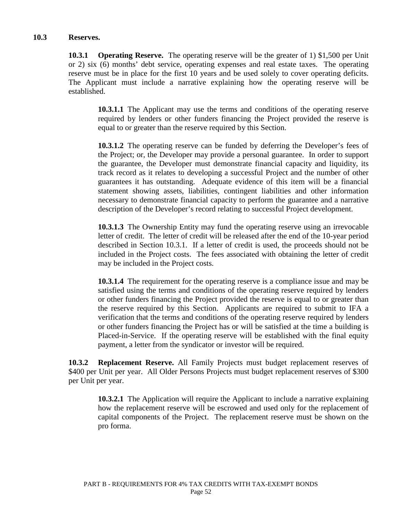#### **10.3 Reserves.**

**10.3.1 Operating Reserve.** The operating reserve will be the greater of 1) \$1,500 per Unit or 2) six (6) months' debt service, operating expenses and real estate taxes. The operating reserve must be in place for the first 10 years and be used solely to cover operating deficits. The Applicant must include a narrative explaining how the operating reserve will be established.

**10.3.1.1** The Applicant may use the terms and conditions of the operating reserve required by lenders or other funders financing the Project provided the reserve is equal to or greater than the reserve required by this Section.

**10.3.1.2** The operating reserve can be funded by deferring the Developer's fees of the Project; or, the Developer may provide a personal guarantee. In order to support the guarantee, the Developer must demonstrate financial capacity and liquidity, its track record as it relates to developing a successful Project and the number of other guarantees it has outstanding. Adequate evidence of this item will be a financial statement showing assets, liabilities, contingent liabilities and other information necessary to demonstrate financial capacity to perform the guarantee and a narrative description of the Developer's record relating to successful Project development.

**10.3.1.3** The Ownership Entity may fund the operating reserve using an irrevocable letter of credit. The letter of credit will be released after the end of the 10-year period described in Section 10.3.1. If a letter of credit is used, the proceeds should not be included in the Project costs. The fees associated with obtaining the letter of credit may be included in the Project costs.

**10.3.1.4** The requirement for the operating reserve is a compliance issue and may be satisfied using the terms and conditions of the operating reserve required by lenders or other funders financing the Project provided the reserve is equal to or greater than the reserve required by this Section. Applicants are required to submit to IFA a verification that the terms and conditions of the operating reserve required by lenders or other funders financing the Project has or will be satisfied at the time a building is Placed-in-Service. If the operating reserve will be established with the final equity payment, a letter from the syndicator or investor will be required.

**10.3.2 Replacement Reserve.** All Family Projects must budget replacement reserves of \$400 per Unit per year. All Older Persons Projects must budget replacement reserves of \$300 per Unit per year.

**10.3.2.1** The Application will require the Applicant to include a narrative explaining how the replacement reserve will be escrowed and used only for the replacement of capital components of the Project. The replacement reserve must be shown on the pro forma.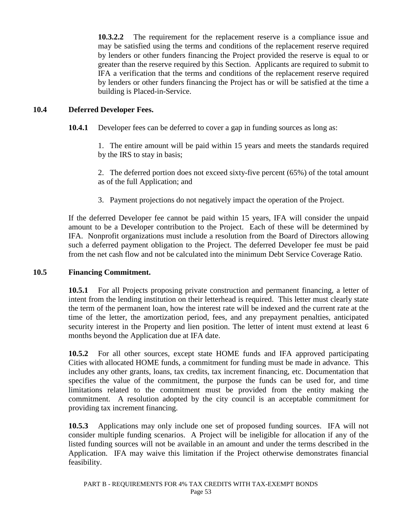**10.3.2.2** The requirement for the replacement reserve is a compliance issue and may be satisfied using the terms and conditions of the replacement reserve required by lenders or other funders financing the Project provided the reserve is equal to or greater than the reserve required by this Section. Applicants are required to submit to IFA a verification that the terms and conditions of the replacement reserve required by lenders or other funders financing the Project has or will be satisfied at the time a building is Placed-in-Service.

#### **10.4 Deferred Developer Fees.**

**10.4.1** Developer fees can be deferred to cover a gap in funding sources as long as:

1. The entire amount will be paid within 15 years and meets the standards required by the IRS to stay in basis;

2. The deferred portion does not exceed sixty-five percent (65%) of the total amount as of the full Application; and

3. Payment projections do not negatively impact the operation of the Project.

If the deferred Developer fee cannot be paid within 15 years, IFA will consider the unpaid amount to be a Developer contribution to the Project. Each of these will be determined by IFA. Nonprofit organizations must include a resolution from the Board of Directors allowing such a deferred payment obligation to the Project. The deferred Developer fee must be paid from the net cash flow and not be calculated into the minimum Debt Service Coverage Ratio.

#### **10.5 Financing Commitment.**

**10.5.1** For all Projects proposing private construction and permanent financing, a letter of intent from the lending institution on their letterhead is required. This letter must clearly state the term of the permanent loan, how the interest rate will be indexed and the current rate at the time of the letter, the amortization period, fees, and any prepayment penalties, anticipated security interest in the Property and lien position. The letter of intent must extend at least 6 months beyond the Application due at IFA date.

**10.5.2** For all other sources, except state HOME funds and IFA approved participating Cities with allocated HOME funds, a commitment for funding must be made in advance. This includes any other grants, loans, tax credits, tax increment financing, etc. Documentation that specifies the value of the commitment, the purpose the funds can be used for, and time limitations related to the commitment must be provided from the entity making the commitment. A resolution adopted by the city council is an acceptable commitment for providing tax increment financing.

**10.5.3** Applications may only include one set of proposed funding sources. IFA will not consider multiple funding scenarios. A Project will be ineligible for allocation if any of the listed funding sources will not be available in an amount and under the terms described in the Application. IFA may waive this limitation if the Project otherwise demonstrates financial feasibility.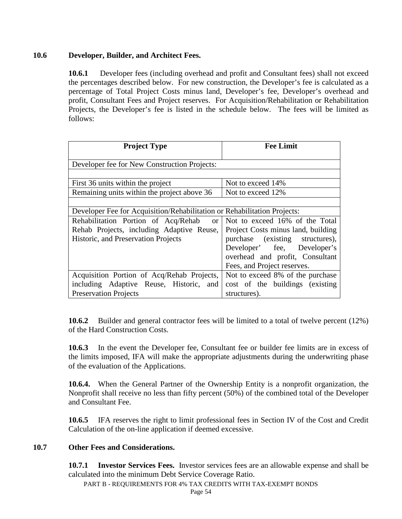## **10.6 Developer, Builder, and Architect Fees.**

**10.6.1** Developer fees (including overhead and profit and Consultant fees) shall not exceed the percentages described below. For new construction, the Developer's fee is calculated as a percentage of Total Project Costs minus land, Developer's fee, Developer's overhead and profit, Consultant Fees and Project reserves. For Acquisition/Rehabilitation or Rehabilitation Projects, the Developer's fee is listed in the schedule below. The fees will be limited as follows:

| <b>Project Type</b>                                                                                                                                                                                                  | <b>Fee Limit</b>                                                                                                                                                          |  |  |
|----------------------------------------------------------------------------------------------------------------------------------------------------------------------------------------------------------------------|---------------------------------------------------------------------------------------------------------------------------------------------------------------------------|--|--|
| Developer fee for New Construction Projects:                                                                                                                                                                         |                                                                                                                                                                           |  |  |
| First 36 units within the project                                                                                                                                                                                    | Not to exceed 14%                                                                                                                                                         |  |  |
| Remaining units within the project above 36                                                                                                                                                                          | Not to exceed 12%                                                                                                                                                         |  |  |
| Developer Fee for Acquisition/Rehabilitation or Rehabilitation Projects:<br>Rehabilitation Portion of Acq/Rehab<br><sub>or</sub><br>Rehab Projects, including Adaptive Reuse,<br>Historic, and Preservation Projects | Not to exceed 16% of the Total<br>Project Costs minus land, building<br>purchase (existing structures),<br>Developer' fee, Developer's<br>overhead and profit, Consultant |  |  |
|                                                                                                                                                                                                                      | Fees, and Project reserves.                                                                                                                                               |  |  |
| Acquisition Portion of Acq/Rehab Projects,                                                                                                                                                                           | Not to exceed 8% of the purchase                                                                                                                                          |  |  |
| including Adaptive Reuse, Historic, and                                                                                                                                                                              | cost of the buildings (existing)                                                                                                                                          |  |  |
| <b>Preservation Projects</b>                                                                                                                                                                                         | structures).                                                                                                                                                              |  |  |

**10.6.2** Builder and general contractor fees will be limited to a total of twelve percent (12%) of the Hard Construction Costs.

**10.6.3** In the event the Developer fee, Consultant fee or builder fee limits are in excess of the limits imposed, IFA will make the appropriate adjustments during the underwriting phase of the evaluation of the Applications.

**10.6.4.** When the General Partner of the Ownership Entity is a nonprofit organization, the Nonprofit shall receive no less than fifty percent (50%) of the combined total of the Developer and Consultant Fee.

**10.6.5** IFA reserves the right to limit professional fees in Section IV of the Cost and Credit Calculation of the on-line application if deemed excessive.

### **10.7 Other Fees and Considerations.**

**10.7.1 Investor Services Fees.** Investor services fees are an allowable expense and shall be calculated into the minimum Debt Service Coverage Ratio.

PART B - REQUIREMENTS FOR 4% TAX CREDITS WITH TAX-EXEMPT BONDS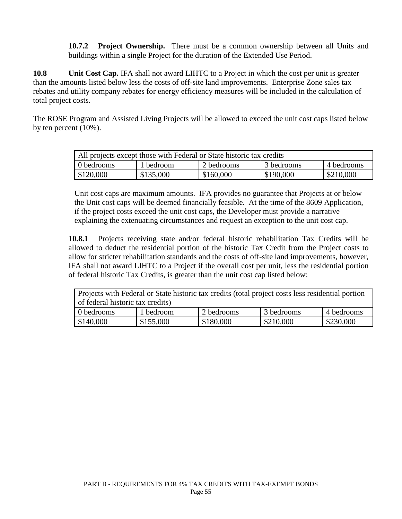**10.7.2 Project Ownership.** There must be a common ownership between all Units and buildings within a single Project for the duration of the Extended Use Period.

**10.8 Unit Cost Cap.** IFA shall not award LIHTC to a Project in which the cost per unit is greater than the amounts listed below less the costs of off-site land improvements. Enterprise Zone sales tax rebates and utility company rebates for energy efficiency measures will be included in the calculation of total project costs.

The ROSE Program and Assisted Living Projects will be allowed to exceed the unit cost caps listed below by ten percent (10%).

| All projects except those with Federal or State historic tax credits |           |            |            |            |  |  |
|----------------------------------------------------------------------|-----------|------------|------------|------------|--|--|
| 0 bedrooms                                                           | 1 bedroom | 2 bedrooms | 3 bedrooms | 4 bedrooms |  |  |
| \$120,000                                                            | \$135,000 | \$160,000  | \$190,000  | \$210,000  |  |  |

Unit cost caps are maximum amounts. IFA provides no guarantee that Projects at or below the Unit cost caps will be deemed financially feasible. At the time of the 8609 Application, if the project costs exceed the unit cost caps, the Developer must provide a narrative explaining the extenuating circumstances and request an exception to the unit cost cap.

**10.8.1** Projects receiving state and/or federal historic rehabilitation Tax Credits will be allowed to deduct the residential portion of the historic Tax Credit from the Project costs to allow for stricter rehabilitation standards and the costs of off-site land improvements, however, IFA shall not award LIHTC to a Project if the overall cost per unit, less the residential portion of federal historic Tax Credits, is greater than the unit cost cap listed below:

| Projects with Federal or State historic tax credits (total project costs less residential portion |           |            |            |            |  |  |
|---------------------------------------------------------------------------------------------------|-----------|------------|------------|------------|--|--|
| of federal historic tax credits)                                                                  |           |            |            |            |  |  |
| 0 bedrooms                                                                                        | 1 bedroom | 2 bedrooms | 3 bedrooms | 4 bedrooms |  |  |
| \$140,000                                                                                         | \$155,000 | \$180,000  | \$210,000  | \$230,000  |  |  |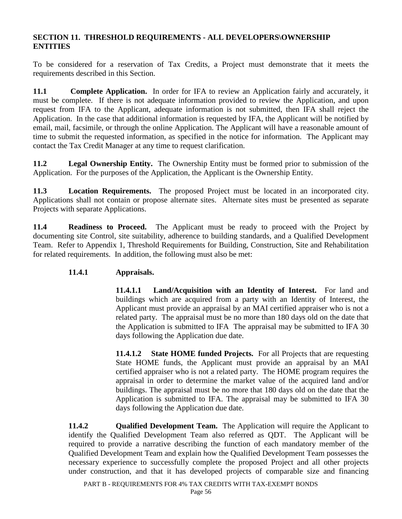### **SECTION 11. THRESHOLD REQUIREMENTS - ALL DEVELOPERS\OWNERSHIP ENTITIES**

To be considered for a reservation of Tax Credits, a Project must demonstrate that it meets the requirements described in this Section.

**11.1 Complete Application.** In order for IFA to review an Application fairly and accurately, it must be complete. If there is not adequate information provided to review the Application, and upon request from IFA to the Applicant, adequate information is not submitted, then IFA shall reject the Application. In the case that additional information is requested by IFA, the Applicant will be notified by email, mail, facsimile, or through the online Application. The Applicant will have a reasonable amount of time to submit the requested information, as specified in the notice for information. The Applicant may contact the Tax Credit Manager at any time to request clarification.

**11.2 Legal Ownership Entity.** The Ownership Entity must be formed prior to submission of the Application. For the purposes of the Application, the Applicant is the Ownership Entity.

**11.3 Location Requirements.** The proposed Project must be located in an incorporated city. Applications shall not contain or propose alternate sites. Alternate sites must be presented as separate Projects with separate Applications.

**11.4 Readiness to Proceed.** The Applicant must be ready to proceed with the Project by documenting site Control, site suitability, adherence to building standards, and a Qualified Development Team. Refer to Appendix 1, Threshold Requirements for Building, Construction, Site and Rehabilitation for related requirements. In addition, the following must also be met:

# **11.4.1 Appraisals.**

**11.4.1.1 Land/Acquisition with an Identity of Interest.** For land and buildings which are acquired from a party with an Identity of Interest, the Applicant must provide an appraisal by an MAI certified appraiser who is not a related party. The appraisal must be no more than 180 days old on the date that the Application is submitted to IFA The appraisal may be submitted to IFA 30 days following the Application due date.

**11.4.1.2 State HOME funded Projects.** For all Projects that are requesting State HOME funds, the Applicant must provide an appraisal by an MAI certified appraiser who is not a related party. The HOME program requires the appraisal in order to determine the market value of the acquired land and/or buildings. The appraisal must be no more that 180 days old on the date that the Application is submitted to IFA. The appraisal may be submitted to IFA 30 days following the Application due date.

**11.4.2 Qualified Development Team.** The Application will require the Applicant to identify the Qualified Development Team also referred as QDT. The Applicant will be required to provide a narrative describing the function of each mandatory member of the Qualified Development Team and explain how the Qualified Development Team possesses the necessary experience to successfully complete the proposed Project and all other projects under construction, and that it has developed projects of comparable size and financing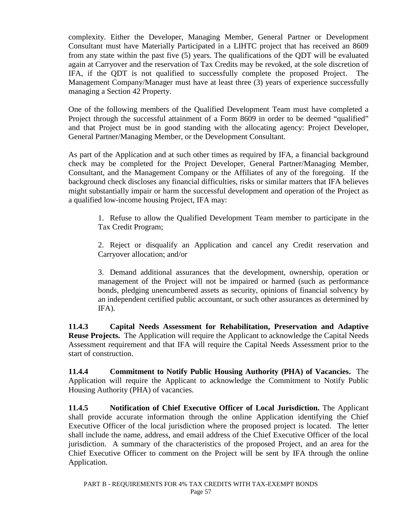complexity. Either the Developer, Managing Member, General Partner or Development Consultant must have Materially Participated in a LIHTC project that has received an 8609 from any state within the past five (5) years. The qualifications of the QDT will be evaluated again at Carryover and the reservation of Tax Credits may be revoked, at the sole discretion of IFA, if the QDT is not qualified to successfully complete the proposed Project. The Management Company/Manager must have at least three (3) years of experience successfully managing a Section 42 Property.

One of the following members of the Qualified Development Team must have completed a Project through the successful attainment of a Form 8609 in order to be deemed "qualified" and that Project must be in good standing with the allocating agency: Project Developer, General Partner/Managing Member, or the Development Consultant.

As part of the Application and at such other times as required by IFA, a financial background check may be completed for the Project Developer, General Partner/Managing Member, Consultant, and the Management Company or the Affiliates of any of the foregoing. If the background check discloses any financial difficulties, risks or similar matters that IFA believes might substantially impair or harm the successful development and operation of the Project as a qualified low-income housing Project, IFA may:

1. Refuse to allow the Qualified Development Team member to participate in the Tax Credit Program;

2. Reject or disqualify an Application and cancel any Credit reservation and Carryover allocation; and/or

3. Demand additional assurances that the development, ownership, operation or management of the Project will not be impaired or harmed (such as performance bonds, pledging unencumbered assets as security, opinions of financial solvency by an independent certified public accountant, or such other assurances as determined by IFA).

**11.4.3 Capital Needs Assessment for Rehabilitation, Preservation and Adaptive Reuse Projects.** The Application will require the Applicant to acknowledge the Capital Needs Assessment requirement and that IFA will require the Capital Needs Assessment prior to the start of construction.

**11.4.4 Commitment to Notify Public Housing Authority (PHA) of Vacancies.** The Application will require the Applicant to acknowledge the Commitment to Notify Public Housing Authority (PHA) of vacancies.

**11.4.5 Notification of Chief Executive Officer of Local Jurisdiction.** The Applicant shall provide accurate information through the online Application identifying the Chief Executive Officer of the local jurisdiction where the proposed project is located. The letter shall include the name, address, and email address of the Chief Executive Officer of the local jurisdiction. A summary of the characteristics of the proposed Project, and an area for the Chief Executive Officer to comment on the Project will be sent by IFA through the online Application.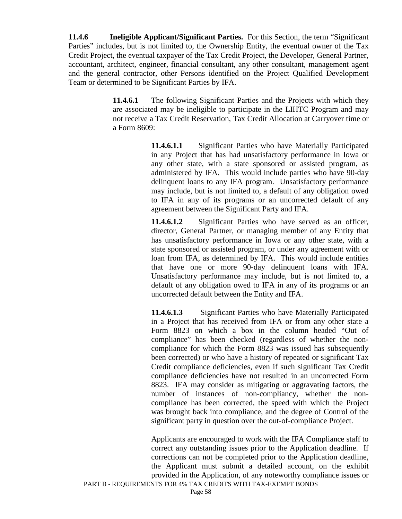**11.4.6 Ineligible Applicant/Significant Parties.** For this Section, the term "Significant Parties" includes, but is not limited to, the Ownership Entity, the eventual owner of the Tax Credit Project, the eventual taxpayer of the Tax Credit Project, the Developer, General Partner, accountant, architect, engineer, financial consultant, any other consultant, management agent and the general contractor, other Persons identified on the Project Qualified Development Team or determined to be Significant Parties by IFA.

> **11.4.6.1** The following Significant Parties and the Projects with which they are associated may be ineligible to participate in the LIHTC Program and may not receive a Tax Credit Reservation, Tax Credit Allocation at Carryover time or a Form 8609:

> > **11.4.6.1.1** Significant Parties who have Materially Participated in any Project that has had unsatisfactory performance in Iowa or any other state, with a state sponsored or assisted program, as administered by IFA. This would include parties who have 90-day delinquent loans to any IFA program. Unsatisfactory performance may include, but is not limited to, a default of any obligation owed to IFA in any of its programs or an uncorrected default of any agreement between the Significant Party and IFA.

> > **11.4.6.1.2** Significant Parties who have served as an officer, director, General Partner, or managing member of any Entity that has unsatisfactory performance in Iowa or any other state, with a state sponsored or assisted program, or under any agreement with or loan from IFA, as determined by IFA. This would include entities that have one or more 90-day delinquent loans with IFA. Unsatisfactory performance may include, but is not limited to, a default of any obligation owed to IFA in any of its programs or an uncorrected default between the Entity and IFA.

> > **11.4.6.1.3** Significant Parties who have Materially Participated in a Project that has received from IFA or from any other state a Form 8823 on which a box in the column headed "Out of compliance" has been checked (regardless of whether the noncompliance for which the Form 8823 was issued has subsequently been corrected) or who have a history of repeated or significant Tax Credit compliance deficiencies, even if such significant Tax Credit compliance deficiencies have not resulted in an uncorrected Form 8823. IFA may consider as mitigating or aggravating factors, the number of instances of non-compliancy, whether the noncompliance has been corrected, the speed with which the Project was brought back into compliance, and the degree of Control of the significant party in question over the out-of-compliance Project.

> > Applicants are encouraged to work with the IFA Compliance staff to correct any outstanding issues prior to the Application deadline. If corrections can not be completed prior to the Application deadline, the Applicant must submit a detailed account, on the exhibit provided in the Application, of any noteworthy compliance issues or

PART B - REQUIREMENTS FOR 4% TAX CREDITS WITH TAX-EXEMPT BONDS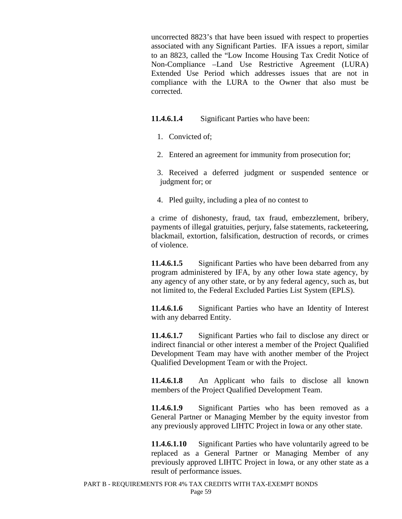uncorrected 8823's that have been issued with respect to properties associated with any Significant Parties. IFA issues a report, similar to an 8823, called the "Low Income Housing Tax Credit Notice of Non-Compliance –Land Use Restrictive Agreement (LURA) Extended Use Period which addresses issues that are not in compliance with the LURA to the Owner that also must be corrected.

**11.4.6.1.4** Significant Parties who have been:

- 1. Convicted of;
- 2. Entered an agreement for immunity from prosecution for;

 3. Received a deferred judgment or suspended sentence or judgment for; or

4. Pled guilty, including a plea of no contest to

a crime of dishonesty, fraud, tax fraud, embezzlement, bribery, payments of illegal gratuities, perjury, false statements, racketeering, blackmail, extortion, falsification, destruction of records, or crimes of violence.

**11.4.6.1.5** Significant Parties who have been debarred from any program administered by IFA, by any other Iowa state agency, by any agency of any other state, or by any federal agency, such as, but not limited to, the Federal Excluded Parties List System (EPLS).

**11.4.6.1.6** Significant Parties who have an Identity of Interest with any debarred Entity.

**11.4.6.1.7** Significant Parties who fail to disclose any direct or indirect financial or other interest a member of the Project Qualified Development Team may have with another member of the Project Qualified Development Team or with the Project.

**11.4.6.1.8** An Applicant who fails to disclose all known members of the Project Qualified Development Team.

**11.4.6.1.9** Significant Parties who has been removed as a General Partner or Managing Member by the equity investor from any previously approved LIHTC Project in Iowa or any other state.

**11.4.6.1.10** Significant Parties who have voluntarily agreed to be replaced as a General Partner or Managing Member of any previously approved LIHTC Project in Iowa, or any other state as a result of performance issues.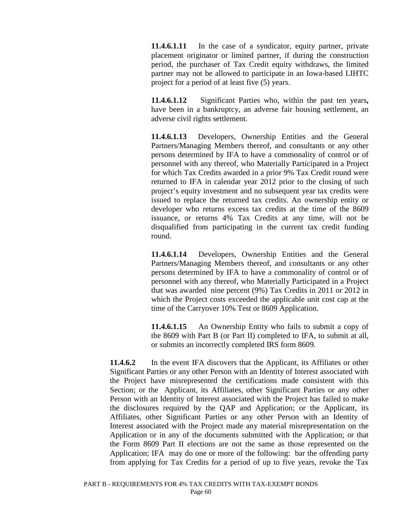**11.4.6.1.11** In the case of a syndicator, equity partner, private placement originator or limited partner, if during the construction period, the purchaser of Tax Credit equity withdraws, the limited partner may not be allowed to participate in an Iowa-based LIHTC project for a period of at least five (5) years.

**11.4.6.1.12** Significant Parties who, within the past ten years**,**  have been in a bankruptcy, an adverse fair housing settlement, an adverse civil rights settlement.

**11.4.6.1.13** Developers, Ownership Entities and the General Partners/Managing Members thereof, and consultants or any other persons determined by IFA to have a commonality of control or of personnel with any thereof, who Materially Participated in a Project for which Tax Credits awarded in a prior 9% Tax Credit round were returned to IFA in calendar year 2012 prior to the closing of such project's equity investment and no subsequent year tax credits were issued to replace the returned tax credits. An ownership entity or developer who returns excess tax credits at the time of the 8609 issuance, or returns 4% Tax Credits at any time, will not be disqualified from participating in the current tax credit funding round.

**11.4.6.1.14** Developers, Ownership Entities and the General Partners/Managing Members thereof, and consultants or any other persons determined by IFA to have a commonality of control or of personnel with any thereof, who Materially Participated in a Project that was awarded nine percent (9%) Tax Credits in 2011 or 2012 in which the Project costs exceeded the applicable unit cost cap at the time of the Carryover 10% Test or 8609 Application.

**11.4.6.1.15** An Ownership Entity who fails to submit a copy of the 8609 with Part B (or Part II) completed to IFA, to submit at all, or submits an incorrectly completed IRS form 8609.

**11.4.6.2** In the event IFA discovers that the Applicant, its Affiliates or other Significant Parties or any other Person with an Identity of Interest associated with the Project have misrepresented the certifications made consistent with this Section; or the Applicant, its Affiliates, other Significant Parties or any other Person with an Identity of Interest associated with the Project has failed to make the disclosures required by the QAP and Application; or the Applicant, its Affiliates, other Significant Parties or any other Person with an Identity of Interest associated with the Project made any material misrepresentation on the Application or in any of the documents submitted with the Application; or that the Form 8609 Part II elections are not the same as those represented on the Application; IFA may do one or more of the following: bar the offending party from applying for Tax Credits for a period of up to five years, revoke the Tax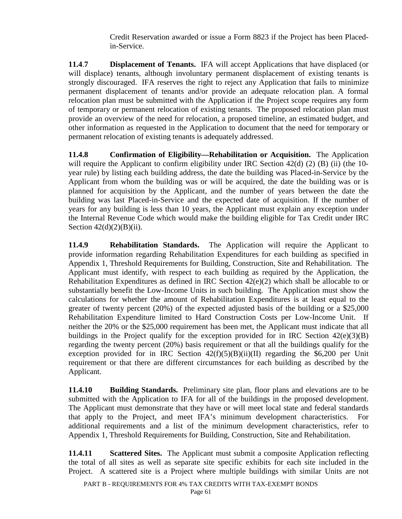Credit Reservation awarded or issue a Form 8823 if the Project has been Placedin-Service.

**11.4**.**7 Displacement of Tenants.** IFA will accept Applications that have displaced (or will displace) tenants, although involuntary permanent displacement of existing tenants is strongly discouraged. IFA reserves the right to reject any Application that fails to minimize permanent displacement of tenants and/or provide an adequate relocation plan. A formal relocation plan must be submitted with the Application if the Project scope requires any form of temporary or permanent relocation of existing tenants. The proposed relocation plan must provide an overview of the need for relocation, a proposed timeline, an estimated budget, and other information as requested in the Application to document that the need for temporary or permanent relocation of existing tenants is adequately addressed.

**11.4.8 Confirmation of Eligibility—Rehabilitation or Acquisition.** The Application will require the Applicant to confirm eligibility under IRC Section 42(d) (2) (B) (ii) (the 10year rule) by listing each building address, the date the building was Placed-in-Service by the Applicant from whom the building was or will be acquired, the date the building was or is planned for acquisition by the Applicant, and the number of years between the date the building was last Placed-in-Service and the expected date of acquisition. If the number of years for any building is less than 10 years, the Applicant must explain any exception under the Internal Revenue Code which would make the building eligible for Tax Credit under IRC Section  $42(d)(2)(B)(ii)$ .

**11.4.9 Rehabilitation Standards.** The Application will require the Applicant to provide information regarding Rehabilitation Expenditures for each building as specified in Appendix 1, Threshold Requirements for Building, Construction, Site and Rehabilitation. The Applicant must identify, with respect to each building as required by the Application, the Rehabilitation Expenditures as defined in IRC Section 42(e)(2) which shall be allocable to or substantially benefit the Low-Income Units in such building. The Application must show the calculations for whether the amount of Rehabilitation Expenditures is at least equal to the greater of twenty percent (20%) of the expected adjusted basis of the building or a \$25,000 Rehabilitation Expenditure limited to Hard Construction Costs per Low-Income Unit. If neither the 20% or the \$25,000 requirement has been met, the Applicant must indicate that all buildings in the Project qualify for the exception provided for in IRC Section  $42(e)(3)(B)$ regarding the twenty percent (20%) basis requirement or that all the buildings qualify for the exception provided for in IRC Section  $42(f)(5)(B)(ii)(II)$  regarding the \$6,200 per Unit requirement or that there are different circumstances for each building as described by the Applicant.

**11.4.10 Building Standards.** Preliminary site plan, floor plans and elevations are to be submitted with the Application to IFA for all of the buildings in the proposed development. The Applicant must demonstrate that they have or will meet local state and federal standards that apply to the Project, and meet IFA's minimum development characteristics. For additional requirements and a list of the minimum development characteristics, refer to Appendix 1, Threshold Requirements for Building, Construction, Site and Rehabilitation.

**11.4.11 Scattered Sites.** The Applicant must submit a composite Application reflecting the total of all sites as well as separate site specific exhibits for each site included in the Project. A scattered site is a Project where multiple buildings with similar Units are not

PART B - REQUIREMENTS FOR 4% TAX CREDITS WITH TAX-EXEMPT BONDS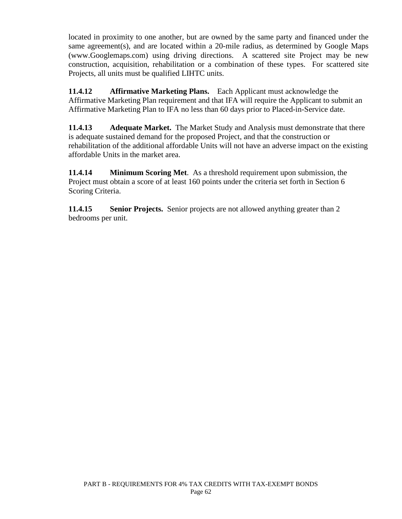located in proximity to one another, but are owned by the same party and financed under the same agreement(s), and are located within a 20-mile radius, as determined by Google Maps (www.Googlemaps.com) using driving directions. A scattered site Project may be new construction, acquisition, rehabilitation or a combination of these types. For scattered site Projects, all units must be qualified LIHTC units.

**11.4.12 Affirmative Marketing Plans.** Each Applicant must acknowledge the Affirmative Marketing Plan requirement and that IFA will require the Applicant to submit an Affirmative Marketing Plan to IFA no less than 60 days prior to Placed-in-Service date.

**11.4.13 Adequate Market.** The Market Study and Analysis must demonstrate that there is adequate sustained demand for the proposed Project, and that the construction or rehabilitation of the additional affordable Units will not have an adverse impact on the existing affordable Units in the market area.

**11.4.14 Minimum Scoring Met**. As a threshold requirement upon submission, the Project must obtain a score of at least 160 points under the criteria set forth in Section 6 Scoring Criteria.

**11.4.15 Senior Projects.** Senior projects are not allowed anything greater than 2 bedrooms per unit.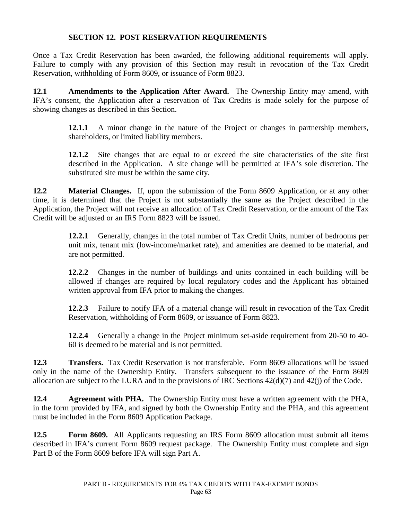### **SECTION 12. POST RESERVATION REQUIREMENTS**

Once a Tax Credit Reservation has been awarded, the following additional requirements will apply. Failure to comply with any provision of this Section may result in revocation of the Tax Credit Reservation, withholding of Form 8609, or issuance of Form 8823.

**12.1 Amendments to the Application After Award.** The Ownership Entity may amend, with IFA's consent, the Application after a reservation of Tax Credits is made solely for the purpose of showing changes as described in this Section.

> **12.1.1** A minor change in the nature of the Project or changes in partnership members, shareholders, or limited liability members.

> **12.1.2** Site changes that are equal to or exceed the site characteristics of the site first described in the Application. A site change will be permitted at IFA's sole discretion. The substituted site must be within the same city.

**12.2 Material Changes.** If, upon the submission of the Form 8609 Application, or at any other time, it is determined that the Project is not substantially the same as the Project described in the Application, the Project will not receive an allocation of Tax Credit Reservation, or the amount of the Tax Credit will be adjusted or an IRS Form 8823 will be issued.

> **12.2.1** Generally, changes in the total number of Tax Credit Units, number of bedrooms per unit mix, tenant mix (low-income/market rate), and amenities are deemed to be material, and are not permitted.

> **12.2.2** Changes in the number of buildings and units contained in each building will be allowed if changes are required by local regulatory codes and the Applicant has obtained written approval from IFA prior to making the changes.

> **12.2.3** Failure to notify IFA of a material change will result in revocation of the Tax Credit Reservation, withholding of Form 8609, or issuance of Form 8823.

> **12.2.4** Generally a change in the Project minimum set-aside requirement from 20-50 to 40- 60 is deemed to be material and is not permitted.

**12.3 Transfers.** Tax Credit Reservation is not transferable. Form 8609 allocations will be issued only in the name of the Ownership Entity. Transfers subsequent to the issuance of the Form 8609 allocation are subject to the LURA and to the provisions of IRC Sections 42(d)(7) and 42(j) of the Code.

**12.4 Agreement with PHA.** The Ownership Entity must have a written agreement with the PHA, in the form provided by IFA, and signed by both the Ownership Entity and the PHA, and this agreement must be included in the Form 8609 Application Package.

**12.5 Form 8609.** All Applicants requesting an IRS Form 8609 allocation must submit all items described in IFA's current Form 8609 request package. The Ownership Entity must complete and sign Part B of the Form 8609 before IFA will sign Part A.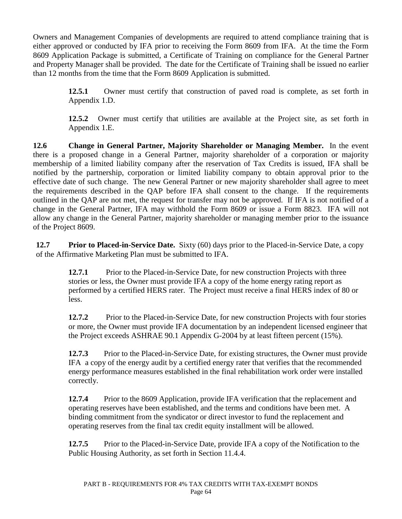Owners and Management Companies of developments are required to attend compliance training that is either approved or conducted by IFA prior to receiving the Form 8609 from IFA. At the time the Form 8609 Application Package is submitted, a Certificate of Training on compliance for the General Partner and Property Manager shall be provided. The date for the Certificate of Training shall be issued no earlier than 12 months from the time that the Form 8609 Application is submitted.

> **12.5.1** Owner must certify that construction of paved road is complete, as set forth in Appendix 1.D.

> **12.5.2** Owner must certify that utilities are available at the Project site, as set forth in Appendix 1.E.

**12.6 Change in General Partner, Majority Shareholder or Managing Member.** In the event there is a proposed change in a General Partner, majority shareholder of a corporation or majority membership of a limited liability company after the reservation of Tax Credits is issued, IFA shall be notified by the partnership, corporation or limited liability company to obtain approval prior to the effective date of such change. The new General Partner or new majority shareholder shall agree to meet the requirements described in the QAP before IFA shall consent to the change. If the requirements outlined in the QAP are not met, the request for transfer may not be approved. If IFA is not notified of a change in the General Partner, IFA may withhold the Form 8609 or issue a Form 8823. IFA will not allow any change in the General Partner, majority shareholder or managing member prior to the issuance of the Project 8609.

**12.7 Prior to Placed-in-Service Date.** Sixty (60) days prior to the Placed-in-Service Date, a copy of the Affirmative Marketing Plan must be submitted to IFA.

> **12.7.1** Prior to the Placed-in-Service Date, for new construction Projects with three stories or less, the Owner must provide IFA a copy of the home energy rating report as performed by a certified HERS rater. The Project must receive a final HERS index of 80 or less.

**12.7.2** Prior to the Placed-in-Service Date, for new construction Projects with four stories or more, the Owner must provide IFA documentation by an independent licensed engineer that the Project exceeds ASHRAE 90.1 Appendix G-2004 by at least fifteen percent (15%).

**12.7.3** Prior to the Placed-in-Service Date, for existing structures, the Owner must provide IFA a copy of the energy audit by a certified energy rater that verifies that the recommended energy performance measures established in the final rehabilitation work order were installed correctly.

**12.7.4** Prior to the 8609 Application, provide IFA verification that the replacement and operating reserves have been established, and the terms and conditions have been met. A binding commitment from the syndicator or direct investor to fund the replacement and operating reserves from the final tax credit equity installment will be allowed.

**12.7.5** Prior to the Placed-in-Service Date, provide IFA a copy of the Notification to the Public Housing Authority, as set forth in Section 11.4.4.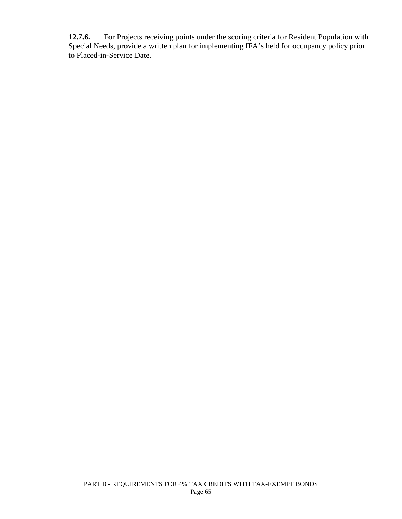**12.7.6.** For Projects receiving points under the scoring criteria for Resident Population with Special Needs, provide a written plan for implementing IFA's held for occupancy policy prior to Placed-in-Service Date.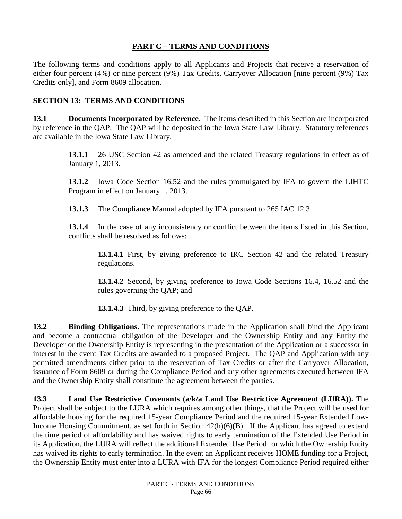# **PART C – TERMS AND CONDITIONS**

The following terms and conditions apply to all Applicants and Projects that receive a reservation of either four percent (4%) or nine percent (9%) Tax Credits, Carryover Allocation [nine percent (9%) Tax Credits only], and Form 8609 allocation.

## **SECTION 13: TERMS AND CONDITIONS**

**13.1 Documents Incorporated by Reference.** The items described in this Section are incorporated by reference in the QAP. The QAP will be deposited in the Iowa State Law Library. Statutory references are available in the Iowa State Law Library.

> **13.1.1** 26 USC Section 42 as amended and the related Treasury regulations in effect as of January 1, 2013.

> **13.1.2** Iowa Code Section 16.52 and the rules promulgated by IFA to govern the LIHTC Program in effect on January 1, 2013.

**13.1.3** The Compliance Manual adopted by IFA pursuant to 265 IAC 12.3.

**13.1.4** In the case of any inconsistency or conflict between the items listed in this Section, conflicts shall be resolved as follows:

**13.1.4.1** First, by giving preference to IRC Section 42 and the related Treasury regulations.

**13.1.4.2** Second, by giving preference to Iowa Code Sections 16.4, 16.52 and the rules governing the QAP; and

**13.1.4.3** Third, by giving preference to the QAP.

**13.2 Binding Obligations.** The representations made in the Application shall bind the Applicant and become a contractual obligation of the Developer and the Ownership Entity and any Entity the Developer or the Ownership Entity is representing in the presentation of the Application or a successor in interest in the event Tax Credits are awarded to a proposed Project. The QAP and Application with any permitted amendments either prior to the reservation of Tax Credits or after the Carryover Allocation, issuance of Form 8609 or during the Compliance Period and any other agreements executed between IFA and the Ownership Entity shall constitute the agreement between the parties.

**13.3 Land Use Restrictive Covenants (a/k/a Land Use Restrictive Agreement (LURA)).** The Project shall be subject to the LURA which requires among other things, that the Project will be used for affordable housing for the required 15-year Compliance Period and the required 15-year Extended Low-Income Housing Commitment, as set forth in Section 42(h)(6)(B). If the Applicant has agreed to extend the time period of affordability and has waived rights to early termination of the Extended Use Period in its Application, the LURA will reflect the additional Extended Use Period for which the Ownership Entity has waived its rights to early termination. In the event an Applicant receives HOME funding for a Project, the Ownership Entity must enter into a LURA with IFA for the longest Compliance Period required either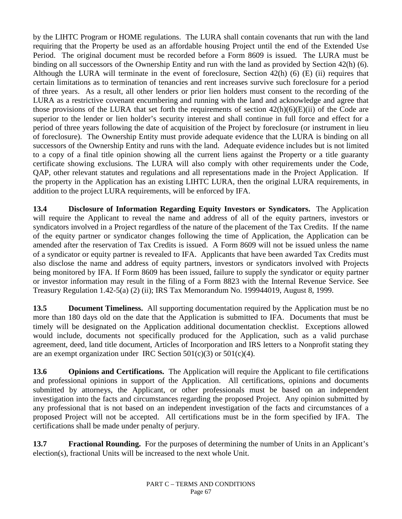by the LIHTC Program or HOME regulations. The LURA shall contain covenants that run with the land requiring that the Property be used as an affordable housing Project until the end of the Extended Use Period. The original document must be recorded before a Form 8609 is issued. The LURA must be binding on all successors of the Ownership Entity and run with the land as provided by Section 42(h) (6). Although the LURA will terminate in the event of foreclosure, Section 42(h) (6) (E) (ii) requires that certain limitations as to termination of tenancies and rent increases survive such foreclosure for a period of three years. As a result, all other lenders or prior lien holders must consent to the recording of the LURA as a restrictive covenant encumbering and running with the land and acknowledge and agree that those provisions of the LURA that set forth the requirements of section  $42(h)(6)(E)(ii)$  of the Code are superior to the lender or lien holder's security interest and shall continue in full force and effect for a period of three years following the date of acquisition of the Project by foreclosure (or instrument in lieu of foreclosure). The Ownership Entity must provide adequate evidence that the LURA is binding on all successors of the Ownership Entity and runs with the land. Adequate evidence includes but is not limited to a copy of a final title opinion showing all the current liens against the Property or a title guaranty certificate showing exclusions. The LURA will also comply with other requirements under the Code, QAP, other relevant statutes and regulations and all representations made in the Project Application. If the property in the Application has an existing LIHTC LURA, then the original LURA requirements, in addition to the project LURA requirements, will be enforced by IFA.

**13.4 Disclosure of Information Regarding Equity Investors or Syndicators.** The Application will require the Applicant to reveal the name and address of all of the equity partners, investors or syndicators involved in a Project regardless of the nature of the placement of the Tax Credits. If the name of the equity partner or syndicator changes following the time of Application, the Application can be amended after the reservation of Tax Credits is issued. A Form 8609 will not be issued unless the name of a syndicator or equity partner is revealed to IFA. Applicants that have been awarded Tax Credits must also disclose the name and address of equity partners, investors or syndicators involved with Projects being monitored by IFA. If Form 8609 has been issued, failure to supply the syndicator or equity partner or investor information may result in the filing of a Form 8823 with the Internal Revenue Service. See Treasury Regulation 1.42-5(a) (2) (ii); IRS Tax Memorandum No. 199944019, August 8, 1999.

**13.5 Document Timeliness.** All supporting documentation required by the Application must be no more than 180 days old on the date that the Application is submitted to IFA. Documents that must be timely will be designated on the Application additional documentation checklist. Exceptions allowed would include, documents not specifically produced for the Application, such as a valid purchase agreement, deed, land title document, Articles of Incorporation and IRS letters to a Nonprofit stating they are an exempt organization under IRC Section  $501(c)(3)$  or  $501(c)(4)$ .

**13.6 Opinions and Certifications.** The Application will require the Applicant to file certifications and professional opinions in support of the Application. All certifications, opinions and documents submitted by attorneys, the Applicant, or other professionals must be based on an independent investigation into the facts and circumstances regarding the proposed Project. Any opinion submitted by any professional that is not based on an independent investigation of the facts and circumstances of a proposed Project will not be accepted. All certifications must be in the form specified by IFA. The certifications shall be made under penalty of perjury.

**13.7 Fractional Rounding.** For the purposes of determining the number of Units in an Applicant's election(s), fractional Units will be increased to the next whole Unit.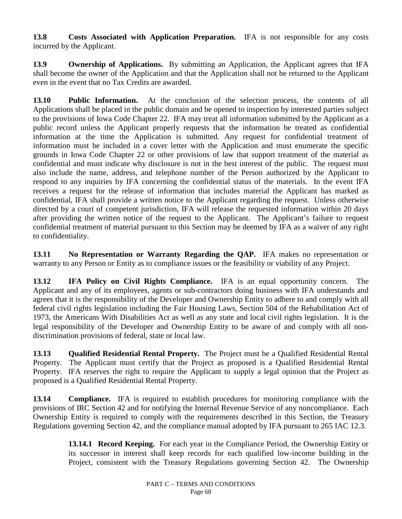**13.8 Costs Associated with Application Preparation.** IFA is not responsible for any costs incurred by the Applicant.

**13.9 Ownership of Applications.** By submitting an Application, the Applicant agrees that IFA shall become the owner of the Application and that the Application shall not be returned to the Applicant even in the event that no Tax Credits are awarded.

**13.10 Public Information.** At the conclusion of the selection process, the contents of all Applications shall be placed in the public domain and be opened to inspection by interested parties subject to the provisions of Iowa Code Chapter 22. IFA may treat all information submitted by the Applicant as a public record unless the Applicant properly requests that the information be treated as confidential information at the time the Application is submitted. Any request for confidential treatment of information must be included in a cover letter with the Application and must enumerate the specific grounds in Iowa Code Chapter 22 or other provisions of law that support treatment of the material as confidential and must indicate why disclosure is not in the best interest of the public. The request must also include the name, address, and telephone number of the Person authorized by the Applicant to respond to any inquiries by IFA concerning the confidential status of the materials. In the event IFA receives a request for the release of information that includes material the Applicant has marked as confidential, IFA shall provide a written notice to the Applicant regarding the request. Unless otherwise directed by a court of competent jurisdiction, IFA will release the requested information within 20 days after providing the written notice of the request to the Applicant. The Applicant's failure to request confidential treatment of material pursuant to this Section may be deemed by IFA as a waiver of any right to confidentiality.

**13.11 No Representation or Warranty Regarding the QAP.** IFA makes no representation or warranty to any Person or Entity as to compliance issues or the feasibility or viability of any Project.

**13.12 IFA Policy on Civil Rights Compliance.** IFA is an equal opportunity concern. The Applicant and any of its employees, agents or sub-contractors doing business with IFA understands and agrees that it is the responsibility of the Developer and Ownership Entity to adhere to and comply with all federal civil rights legislation including the Fair Housing Laws, Section 504 of the Rehabilitation Act of 1973, the Americans With Disabilities Act as well as any state and local civil rights legislation. It is the legal responsibility of the Developer and Ownership Entity to be aware of and comply with all nondiscrimination provisions of federal, state or local law.

**13.13 Qualified Residential Rental Property.** The Project must be a Qualified Residential Rental Property. The Applicant must certify that the Project as proposed is a Qualified Residential Rental Property. IFA reserves the right to require the Applicant to supply a legal opinion that the Project as proposed is a Qualified Residential Rental Property.

**13.14 Compliance.** IFA is required to establish procedures for monitoring compliance with the provisions of IRC Section 42 and for notifying the Internal Revenue Service of any noncompliance. Each Ownership Entity is required to comply with the requirements described in this Section, the Treasury Regulations governing Section 42, and the compliance manual adopted by IFA pursuant to 265 IAC 12.3.

> **13.14.1 Record Keeping.** For each year in the Compliance Period, the Ownership Entity or its successor in interest shall keep records for each qualified low-income building in the Project, consistent with the Treasury Regulations governing Section 42. The Ownership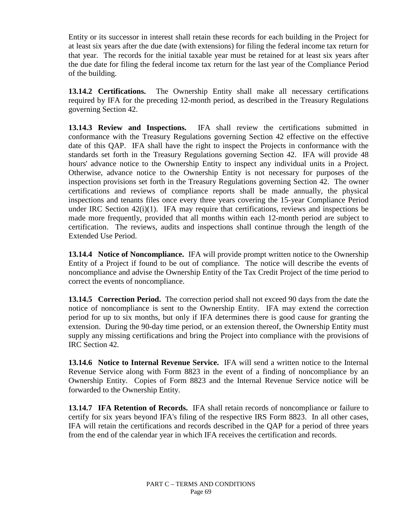Entity or its successor in interest shall retain these records for each building in the Project for at least six years after the due date (with extensions) for filing the federal income tax return for that year. The records for the initial taxable year must be retained for at least six years after the due date for filing the federal income tax return for the last year of the Compliance Period of the building.

**13.14.2 Certifications.** The Ownership Entity shall make all necessary certifications required by IFA for the preceding 12-month period, as described in the Treasury Regulations governing Section 42.

**13.14.3 Review and Inspections.** IFA shall review the certifications submitted in conformance with the Treasury Regulations governing Section 42 effective on the effective date of this QAP. IFA shall have the right to inspect the Projects in conformance with the standards set forth in the Treasury Regulations governing Section 42. IFA will provide 48 hours' advance notice to the Ownership Entity to inspect any individual units in a Project. Otherwise, advance notice to the Ownership Entity is not necessary for purposes of the inspection provisions set forth in the Treasury Regulations governing Section 42. The owner certifications and reviews of compliance reports shall be made annually, the physical inspections and tenants files once every three years covering the 15-year Compliance Period under IRC Section 42(i)(1). IFA may require that certifications, reviews and inspections be made more frequently, provided that all months within each 12-month period are subject to certification. The reviews, audits and inspections shall continue through the length of the Extended Use Period.

**13.14.4 Notice of Noncompliance.** IFA will provide prompt written notice to the Ownership Entity of a Project if found to be out of compliance. The notice will describe the events of noncompliance and advise the Ownership Entity of the Tax Credit Project of the time period to correct the events of noncompliance.

**13.14.5 Correction Period.** The correction period shall not exceed 90 days from the date the notice of noncompliance is sent to the Ownership Entity. IFA may extend the correction period for up to six months, but only if IFA determines there is good cause for granting the extension. During the 90-day time period, or an extension thereof, the Ownership Entity must supply any missing certifications and bring the Project into compliance with the provisions of IRC Section 42.

**13.14.6 Notice to Internal Revenue Service.** IFA will send a written notice to the Internal Revenue Service along with Form 8823 in the event of a finding of noncompliance by an Ownership Entity. Copies of Form 8823 and the Internal Revenue Service notice will be forwarded to the Ownership Entity.

**13.14.7 IFA Retention of Records.** IFA shall retain records of noncompliance or failure to certify for six years beyond IFA's filing of the respective IRS Form 8823. In all other cases, IFA will retain the certifications and records described in the QAP for a period of three years from the end of the calendar year in which IFA receives the certification and records.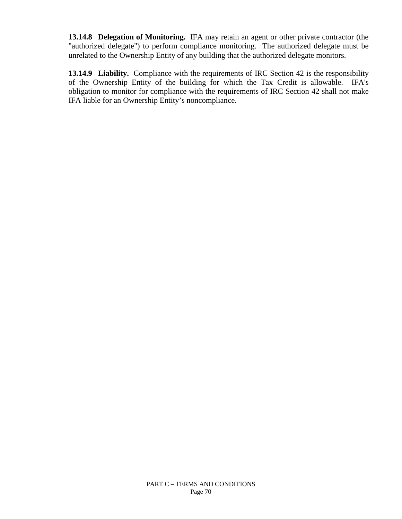**13.14.8 Delegation of Monitoring.** IFA may retain an agent or other private contractor (the "authorized delegate") to perform compliance monitoring. The authorized delegate must be unrelated to the Ownership Entity of any building that the authorized delegate monitors.

**13.14.9 Liability.** Compliance with the requirements of IRC Section 42 is the responsibility of the Ownership Entity of the building for which the Tax Credit is allowable. IFA's obligation to monitor for compliance with the requirements of IRC Section 42 shall not make IFA liable for an Ownership Entity's noncompliance.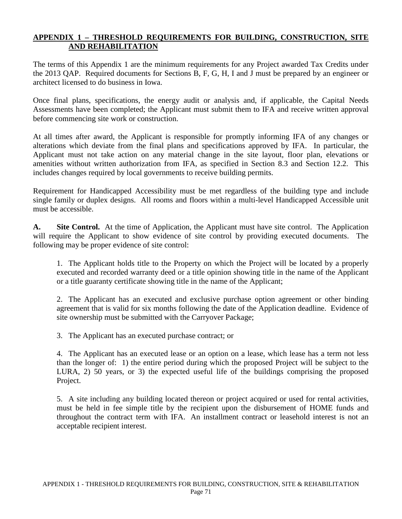## **APPENDIX 1 – THRESHOLD REQUIREMENTS FOR BUILDING, CONSTRUCTION, SITE AND REHABILITATION**

The terms of this Appendix 1 are the minimum requirements for any Project awarded Tax Credits under the 2013 QAP. Required documents for Sections B, F, G, H, I and J must be prepared by an engineer or architect licensed to do business in Iowa.

Once final plans, specifications, the energy audit or analysis and, if applicable, the Capital Needs Assessments have been completed; the Applicant must submit them to IFA and receive written approval before commencing site work or construction.

At all times after award, the Applicant is responsible for promptly informing IFA of any changes or alterations which deviate from the final plans and specifications approved by IFA. In particular, the Applicant must not take action on any material change in the site layout, floor plan, elevations or amenities without written authorization from IFA, as specified in Section 8.3 and Section 12.2. This includes changes required by local governments to receive building permits.

Requirement for Handicapped Accessibility must be met regardless of the building type and include single family or duplex designs. All rooms and floors within a multi-level Handicapped Accessible unit must be accessible.

**A. Site Control.** At the time of Application, the Applicant must have site control. The Application will require the Applicant to show evidence of site control by providing executed documents. The following may be proper evidence of site control:

1. The Applicant holds title to the Property on which the Project will be located by a properly executed and recorded warranty deed or a title opinion showing title in the name of the Applicant or a title guaranty certificate showing title in the name of the Applicant;

2. The Applicant has an executed and exclusive purchase option agreement or other binding agreement that is valid for six months following the date of the Application deadline. Evidence of site ownership must be submitted with the Carryover Package;

3. The Applicant has an executed purchase contract; or

4. The Applicant has an executed lease or an option on a lease, which lease has a term not less than the longer of: 1) the entire period during which the proposed Project will be subject to the LURA, 2) 50 years, or 3) the expected useful life of the buildings comprising the proposed Project.

5. A site including any building located thereon or project acquired or used for rental activities, must be held in fee simple title by the recipient upon the disbursement of HOME funds and throughout the contract term with IFA. An installment contract or leasehold interest is not an acceptable recipient interest.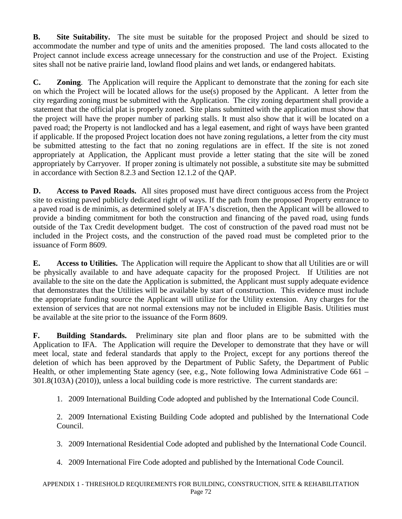**B. Site Suitability.** The site must be suitable for the proposed Project and should be sized to accommodate the number and type of units and the amenities proposed. The land costs allocated to the Project cannot include excess acreage unnecessary for the construction and use of the Project. Existing sites shall not be native prairie land, lowland flood plains and wet lands, or endangered habitats.

**C. Zoning**. The Application will require the Applicant to demonstrate that the zoning for each site on which the Project will be located allows for the use(s) proposed by the Applicant. A letter from the city regarding zoning must be submitted with the Application. The city zoning department shall provide a statement that the official plat is properly zoned. Site plans submitted with the application must show that the project will have the proper number of parking stalls. It must also show that it will be located on a paved road; the Property is not landlocked and has a legal easement, and right of ways have been granted if applicable. If the proposed Project location does not have zoning regulations, a letter from the city must be submitted attesting to the fact that no zoning regulations are in effect. If the site is not zoned appropriately at Application, the Applicant must provide a letter stating that the site will be zoned appropriately by Carryover. If proper zoning is ultimately not possible, a substitute site may be submitted in accordance with Section 8.2.3 and Section 12.1.2 of the QAP.

**D. Access to Paved Roads.** All sites proposed must have direct contiguous access from the Project site to existing paved publicly dedicated right of ways. If the path from the proposed Property entrance to a paved road is de minimis, as determined solely at IFA's discretion, then the Applicant will be allowed to provide a binding commitment for both the construction and financing of the paved road, using funds outside of the Tax Credit development budget. The cost of construction of the paved road must not be included in the Project costs, and the construction of the paved road must be completed prior to the issuance of Form 8609.

**E. Access to Utilities.** The Application will require the Applicant to show that all Utilities are or will be physically available to and have adequate capacity for the proposed Project. If Utilities are not available to the site on the date the Application is submitted, the Applicant must supply adequate evidence that demonstrates that the Utilities will be available by start of construction. This evidence must include the appropriate funding source the Applicant will utilize for the Utility extension. Any charges for the extension of services that are not normal extensions may not be included in Eligible Basis. Utilities must be available at the site prior to the issuance of the Form 8609.

**F. Building Standards.** Preliminary site plan and floor plans are to be submitted with the Application to IFA. The Application will require the Developer to demonstrate that they have or will meet local, state and federal standards that apply to the Project, except for any portions thereof the deletion of which has been approved by the Department of Public Safety, the Department of Public Health, or other implementing State agency (see, e.g., Note following Iowa Administrative Code 661 – 301.8(103A) (2010)), unless a local building code is more restrictive. The current standards are:

1. 2009 International Building Code adopted and published by the International Code Council.

2. 2009 International Existing Building Code adopted and published by the International Code Council.

3. 2009 International Residential Code adopted and published by the International Code Council.

4. 2009 International Fire Code adopted and published by the International Code Council.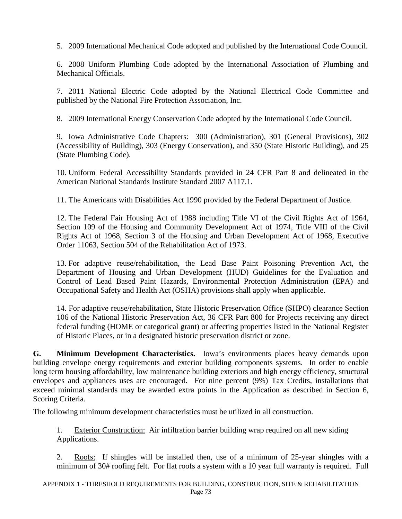5. 2009 International Mechanical Code adopted and published by the International Code Council.

6. 2008 Uniform Plumbing Code adopted by the International Association of Plumbing and Mechanical Officials.

7. 2011 National Electric Code adopted by the National Electrical Code Committee and published by the National Fire Protection Association, Inc.

8. 2009 International Energy Conservation Code adopted by the International Code Council.

9. Iowa Administrative Code Chapters: 300 (Administration), 301 (General Provisions), 302 (Accessibility of Building), 303 (Energy Conservation), and 350 (State Historic Building), and 25 (State Plumbing Code).

10. Uniform Federal Accessibility Standards provided in 24 CFR Part 8 and delineated in the American National Standards Institute Standard 2007 A117.1.

11. The Americans with Disabilities Act 1990 provided by the Federal Department of Justice.

12. The Federal Fair Housing Act of 1988 including Title VI of the Civil Rights Act of 1964, Section 109 of the Housing and Community Development Act of 1974, Title VIII of the Civil Rights Act of 1968, Section 3 of the Housing and Urban Development Act of 1968, Executive Order 11063, Section 504 of the Rehabilitation Act of 1973.

13. For adaptive reuse/rehabilitation, the Lead Base Paint Poisoning Prevention Act, the Department of Housing and Urban Development (HUD) Guidelines for the Evaluation and Control of Lead Based Paint Hazards, Environmental Protection Administration (EPA) and Occupational Safety and Health Act (OSHA) provisions shall apply when applicable.

14. For adaptive reuse/rehabilitation, State Historic Preservation Office (SHPO) clearance Section 106 of the National Historic Preservation Act, 36 CFR Part 800 for Projects receiving any direct federal funding (HOME or categorical grant) or affecting properties listed in the National Register of Historic Places, or in a designated historic preservation district or zone.

**G. Minimum Development Characteristics.** Iowa's environments places heavy demands upon building envelope energy requirements and exterior building components systems. In order to enable long term housing affordability, low maintenance building exteriors and high energy efficiency, structural envelopes and appliances uses are encouraged. For nine percent (9%) Tax Credits, installations that exceed minimal standards may be awarded extra points in the Application as described in Section 6, Scoring Criteria.

The following minimum development characteristics must be utilized in all construction.

1. Exterior Construction: Air infiltration barrier building wrap required on all new siding Applications.

2. Roofs: If shingles will be installed then, use of a minimum of 25-year shingles with a minimum of 30# roofing felt. For flat roofs a system with a 10 year full warranty is required. Full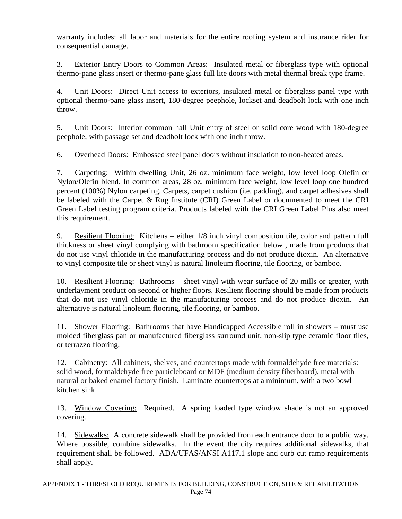warranty includes: all labor and materials for the entire roofing system and insurance rider for consequential damage.

3. Exterior Entry Doors to Common Areas: Insulated metal or fiberglass type with optional thermo-pane glass insert or thermo-pane glass full lite doors with metal thermal break type frame.

4. Unit Doors: Direct Unit access to exteriors, insulated metal or fiberglass panel type with optional thermo-pane glass insert, 180-degree peephole, lockset and deadbolt lock with one inch throw.

5. Unit Doors: Interior common hall Unit entry of steel or solid core wood with 180-degree peephole, with passage set and deadbolt lock with one inch throw.

6. Overhead Doors: Embossed steel panel doors without insulation to non-heated areas.

7. Carpeting: Within dwelling Unit, 26 oz. minimum face weight, low level loop Olefin or Nylon/Olefin blend. In common areas, 28 oz. minimum face weight, low level loop one hundred percent (100%) Nylon carpeting. Carpets, carpet cushion (i.e. padding), and carpet adhesives shall be labeled with the Carpet & Rug Institute (CRI) Green Label or documented to meet the CRI Green Label testing program criteria. Products labeled with the CRI Green Label Plus also meet this requirement.

9. Resilient Flooring: Kitchens – either 1/8 inch vinyl composition tile, color and pattern full thickness or sheet vinyl complying with bathroom specification below , made from products that do not use vinyl chloride in the manufacturing process and do not produce dioxin. An alternative to vinyl composite tile or sheet vinyl is natural linoleum flooring, tile flooring, or bamboo.

10. Resilient Flooring: Bathrooms – sheet vinyl with wear surface of 20 mills or greater, with underlayment product on second or higher floors. Resilient flooring should be made from products that do not use vinyl chloride in the manufacturing process and do not produce dioxin. An alternative is natural linoleum flooring, tile flooring, or bamboo.

11. Shower Flooring: Bathrooms that have Handicapped Accessible roll in showers – must use molded fiberglass pan or manufactured fiberglass surround unit, non-slip type ceramic floor tiles, or terrazzo flooring.

12. Cabinetry: All cabinets, shelves, and countertops made with formaldehyde free materials: solid wood, formaldehyde free particleboard or MDF (medium density fiberboard), metal with natural or baked enamel factory finish. Laminate countertops at a minimum, with a two bowl kitchen sink.

13. Window Covering: Required. A spring loaded type window shade is not an approved covering.

14. Sidewalks: A concrete sidewalk shall be provided from each entrance door to a public way. Where possible, combine sidewalks. In the event the city requires additional sidewalks, that requirement shall be followed. ADA/UFAS/ANSI A117.1 slope and curb cut ramp requirements shall apply.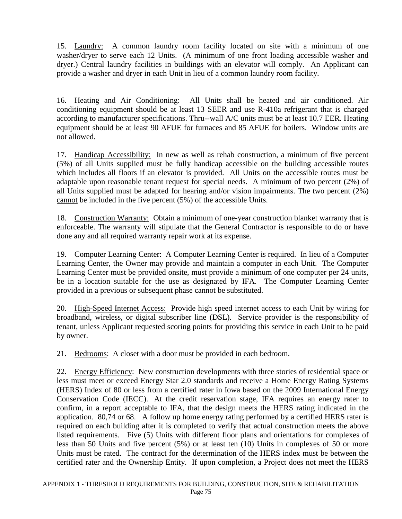15. Laundry: A common laundry room facility located on site with a minimum of one washer/dryer to serve each 12 Units. (A minimum of one front loading accessible washer and dryer.) Central laundry facilities in buildings with an elevator will comply. An Applicant can provide a washer and dryer in each Unit in lieu of a common laundry room facility.

16. Heating and Air Conditioning: All Units shall be heated and air conditioned. Air conditioning equipment should be at least 13 SEER and use R-410a refrigerant that is charged according to manufacturer specifications. Thru--wall A/C units must be at least 10.7 EER. Heating equipment should be at least 90 AFUE for furnaces and 85 AFUE for boilers. Window units are not allowed.

17. Handicap Accessibility: In new as well as rehab construction, a minimum of five percent (5%) of all Units supplied must be fully handicap accessible on the building accessible routes which includes all floors if an elevator is provided. All Units on the accessible routes must be adaptable upon reasonable tenant request for special needs. A minimum of two percent (2%) of all Units supplied must be adapted for hearing and/or vision impairments. The two percent (2%) cannot be included in the five percent (5%) of the accessible Units.

18. Construction Warranty: Obtain a minimum of one-year construction blanket warranty that is enforceable. The warranty will stipulate that the General Contractor is responsible to do or have done any and all required warranty repair work at its expense.

19. Computer Learning Center: A Computer Learning Center is required. In lieu of a Computer Learning Center, the Owner may provide and maintain a computer in each Unit. The Computer Learning Center must be provided onsite, must provide a minimum of one computer per 24 units, be in a location suitable for the use as designated by IFA. The Computer Learning Center provided in a previous or subsequent phase cannot be substituted.

20. High-Speed Internet Access: Provide high speed internet access to each Unit by wiring for broadband, wireless, or digital subscriber line (DSL). Service provider is the responsibility of tenant, unless Applicant requested scoring points for providing this service in each Unit to be paid by owner.

21. Bedrooms: A closet with a door must be provided in each bedroom.

22. Energy Efficiency: New construction developments with three stories of residential space or less must meet or exceed Energy Star 2.0 standards and receive a Home Energy Rating Systems (HERS) Index of 80 or less from a certified rater in Iowa based on the 2009 International Energy Conservation Code (IECC). At the credit reservation stage, IFA requires an energy rater to confirm, in a report acceptable to IFA, that the design meets the HERS rating indicated in the application. 80,74 or 68. A follow up home energy rating performed by a certified HERS rater is required on each building after it is completed to verify that actual construction meets the above listed requirements. Five (5) Units with different floor plans and orientations for complexes of less than 50 Units and five percent (5%) or at least ten (10) Units in complexes of 50 or more Units must be rated. The contract for the determination of the HERS index must be between the certified rater and the Ownership Entity. If upon completion, a Project does not meet the HERS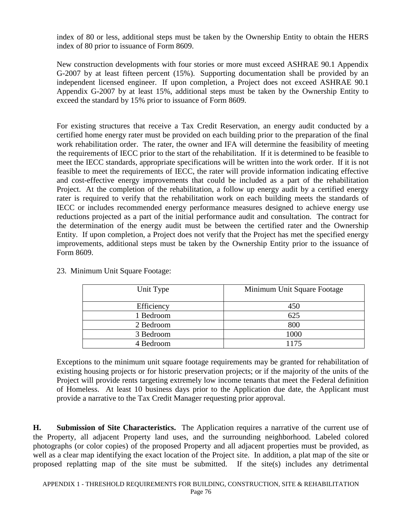index of 80 or less, additional steps must be taken by the Ownership Entity to obtain the HERS index of 80 prior to issuance of Form 8609.

New construction developments with four stories or more must exceed ASHRAE 90.1 Appendix G-2007 by at least fifteen percent (15%). Supporting documentation shall be provided by an independent licensed engineer. If upon completion, a Project does not exceed ASHRAE 90.1 Appendix G-2007 by at least 15%, additional steps must be taken by the Ownership Entity to exceed the standard by 15% prior to issuance of Form 8609.

For existing structures that receive a Tax Credit Reservation, an energy audit conducted by a certified home energy rater must be provided on each building prior to the preparation of the final work rehabilitation order. The rater, the owner and IFA will determine the feasibility of meeting the requirements of IECC prior to the start of the rehabilitation. If it is determined to be feasible to meet the IECC standards, appropriate specifications will be written into the work order. If it is not feasible to meet the requirements of IECC, the rater will provide information indicating effective and cost-effective energy improvements that could be included as a part of the rehabilitation Project. At the completion of the rehabilitation, a follow up energy audit by a certified energy rater is required to verify that the rehabilitation work on each building meets the standards of IECC or includes recommended energy performance measures designed to achieve energy use reductions projected as a part of the initial performance audit and consultation. The contract for the determination of the energy audit must be between the certified rater and the Ownership Entity. If upon completion, a Project does not verify that the Project has met the specified energy improvements, additional steps must be taken by the Ownership Entity prior to the issuance of Form 8609.

| Unit Type  | Minimum Unit Square Footage |
|------------|-----------------------------|
| Efficiency | 450                         |
| 1 Bedroom  | 625                         |
| 2 Bedroom  | 800                         |
| 3 Bedroom  | 1000                        |
| 4 Bedroom  | 1175                        |

23. Minimum Unit Square Footage:

Exceptions to the minimum unit square footage requirements may be granted for rehabilitation of existing housing projects or for historic preservation projects; or if the majority of the units of the Project will provide rents targeting extremely low income tenants that meet the Federal definition of Homeless. At least 10 business days prior to the Application due date, the Applicant must provide a narrative to the Tax Credit Manager requesting prior approval.

**H. Submission of Site Characteristics.** The Application requires a narrative of the current use of the Property, all adjacent Property land uses, and the surrounding neighborhood. Labeled colored photographs (or color copies) of the proposed Property and all adjacent properties must be provided, as well as a clear map identifying the exact location of the Project site. In addition, a plat map of the site or proposed replatting map of the site must be submitted. If the site(s) includes any detrimental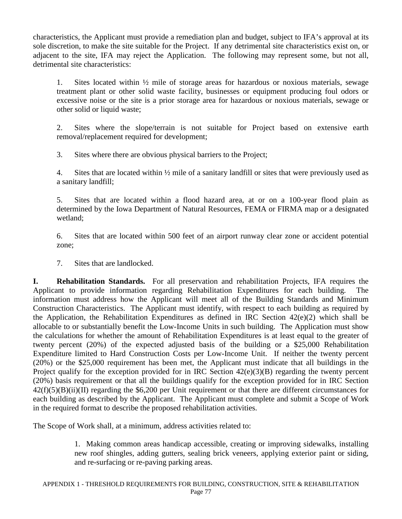characteristics, the Applicant must provide a remediation plan and budget, subject to IFA's approval at its sole discretion, to make the site suitable for the Project. If any detrimental site characteristics exist on, or adjacent to the site, IFA may reject the Application. The following may represent some, but not all, detrimental site characteristics:

1. Sites located within ½ mile of storage areas for hazardous or noxious materials, sewage treatment plant or other solid waste facility, businesses or equipment producing foul odors or excessive noise or the site is a prior storage area for hazardous or noxious materials, sewage or other solid or liquid waste;

2. Sites where the slope/terrain is not suitable for Project based on extensive earth removal/replacement required for development;

3. Sites where there are obvious physical barriers to the Project;

4. Sites that are located within ½ mile of a sanitary landfill or sites that were previously used as a sanitary landfill;

5. Sites that are located within a flood hazard area, at or on a 100-year flood plain as determined by the Iowa Department of Natural Resources, FEMA or FIRMA map or a designated wetland;

6. Sites that are located within 500 feet of an airport runway clear zone or accident potential zone;

7. Sites that are landlocked.

**I. Rehabilitation Standards.** For all preservation and rehabilitation Projects, IFA requires the Applicant to provide information regarding Rehabilitation Expenditures for each building. The information must address how the Applicant will meet all of the Building Standards and Minimum Construction Characteristics. The Applicant must identify, with respect to each building as required by the Application, the Rehabilitation Expenditures as defined in IRC Section 42(e)(2) which shall be allocable to or substantially benefit the Low-Income Units in such building. The Application must show the calculations for whether the amount of Rehabilitation Expenditures is at least equal to the greater of twenty percent (20%) of the expected adjusted basis of the building or a \$25,000 Rehabilitation Expenditure limited to Hard Construction Costs per Low-Income Unit. If neither the twenty percent (20%) or the \$25,000 requirement has been met, the Applicant must indicate that all buildings in the Project qualify for the exception provided for in IRC Section  $42(e)(3)(B)$  regarding the twenty percent (20%) basis requirement or that all the buildings qualify for the exception provided for in IRC Section  $42(f)(5)(B)(ii)(II)$  regarding the \$6,200 per Unit requirement or that there are different circumstances for each building as described by the Applicant. The Applicant must complete and submit a Scope of Work in the required format to describe the proposed rehabilitation activities.

The Scope of Work shall, at a minimum, address activities related to:

1. Making common areas handicap accessible, creating or improving sidewalks, installing new roof shingles, adding gutters, sealing brick veneers, applying exterior paint or siding, and re-surfacing or re-paving parking areas.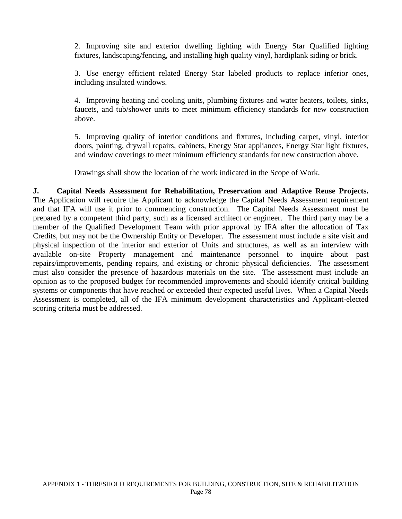2. Improving site and exterior dwelling lighting with Energy Star Qualified lighting fixtures, landscaping/fencing, and installing high quality vinyl, hardiplank siding or brick.

3. Use energy efficient related Energy Star labeled products to replace inferior ones, including insulated windows.

4. Improving heating and cooling units, plumbing fixtures and water heaters, toilets, sinks, faucets, and tub/shower units to meet minimum efficiency standards for new construction above.

5. Improving quality of interior conditions and fixtures, including carpet, vinyl, interior doors, painting, drywall repairs, cabinets, Energy Star appliances, Energy Star light fixtures, and window coverings to meet minimum efficiency standards for new construction above.

Drawings shall show the location of the work indicated in the Scope of Work.

**J. Capital Needs Assessment for Rehabilitation, Preservation and Adaptive Reuse Projects.** The Application will require the Applicant to acknowledge the Capital Needs Assessment requirement and that IFA will use it prior to commencing construction. The Capital Needs Assessment must be prepared by a competent third party, such as a licensed architect or engineer. The third party may be a member of the Qualified Development Team with prior approval by IFA after the allocation of Tax Credits, but may not be the Ownership Entity or Developer. The assessment must include a site visit and physical inspection of the interior and exterior of Units and structures, as well as an interview with available on-site Property management and maintenance personnel to inquire about past repairs/improvements, pending repairs, and existing or chronic physical deficiencies. The assessment must also consider the presence of hazardous materials on the site. The assessment must include an opinion as to the proposed budget for recommended improvements and should identify critical building systems or components that have reached or exceeded their expected useful lives. When a Capital Needs Assessment is completed, all of the IFA minimum development characteristics and Applicant-elected scoring criteria must be addressed.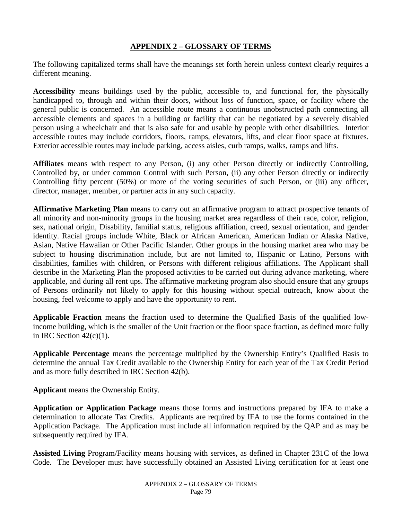## **APPENDIX 2 – GLOSSARY OF TERMS**

The following capitalized terms shall have the meanings set forth herein unless context clearly requires a different meaning.

**Accessibility** means buildings used by the public, accessible to, and functional for, the physically handicapped to, through and within their doors, without loss of function, space, or facility where the general public is concerned. An accessible route means a continuous unobstructed path connecting all accessible elements and spaces in a building or facility that can be negotiated by a severely disabled person using a wheelchair and that is also safe for and usable by people with other disabilities. Interior accessible routes may include corridors, floors, ramps, elevators, lifts, and clear floor space at fixtures. Exterior accessible routes may include parking, access aisles, curb ramps, walks, ramps and lifts.

**Affiliates** means with respect to any Person, (i) any other Person directly or indirectly Controlling, Controlled by, or under common Control with such Person, (ii) any other Person directly or indirectly Controlling fifty percent (50%) or more of the voting securities of such Person, or (iii) any officer, director, manager, member, or partner acts in any such capacity.

**Affirmative Marketing Plan** means to carry out an affirmative program to attract prospective tenants of all minority and non-minority groups in the housing market area regardless of their race, color, religion, sex, national origin, Disability, familial status, religious affiliation, creed, sexual orientation, and gender identity. Racial groups include White, Black or African American, American Indian or Alaska Native, Asian, Native Hawaiian or Other Pacific Islander. Other groups in the housing market area who may be subject to housing discrimination include, but are not limited to, Hispanic or Latino, Persons with disabilities, families with children, or Persons with different religious affiliations. The Applicant shall describe in the Marketing Plan the proposed activities to be carried out during advance marketing, where applicable, and during all rent ups. The affirmative marketing program also should ensure that any groups of Persons ordinarily not likely to apply for this housing without special outreach, know about the housing, feel welcome to apply and have the opportunity to rent.

**Applicable Fraction** means the fraction used to determine the Qualified Basis of the qualified lowincome building, which is the smaller of the Unit fraction or the floor space fraction, as defined more fully in IRC Section  $42(c)(1)$ .

**Applicable Percentage** means the percentage multiplied by the Ownership Entity's Qualified Basis to determine the annual Tax Credit available to the Ownership Entity for each year of the Tax Credit Period and as more fully described in IRC Section 42(b).

**Applicant** means the Ownership Entity.

**Application or Application Package** means those forms and instructions prepared by IFA to make a determination to allocate Tax Credits. Applicants are required by IFA to use the forms contained in the Application Package. The Application must include all information required by the QAP and as may be subsequently required by IFA.

**Assisted Living** Program/Facility means housing with services, as defined in Chapter 231C of the Iowa Code. The Developer must have successfully obtained an Assisted Living certification for at least one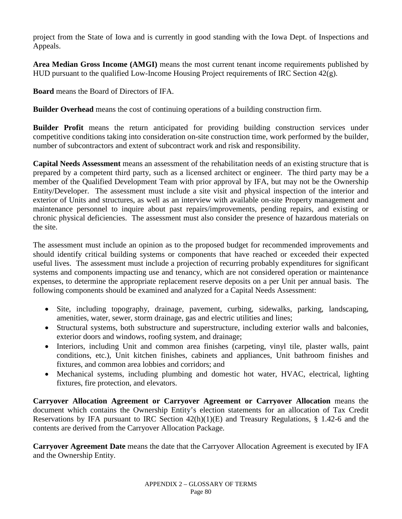project from the State of Iowa and is currently in good standing with the Iowa Dept. of Inspections and Appeals.

**Area Median Gross Income (AMGI)** means the most current tenant income requirements published by HUD pursuant to the qualified Low-Income Housing Project requirements of IRC Section  $42(g)$ .

**Board** means the Board of Directors of IFA.

**Builder Overhead** means the cost of continuing operations of a building construction firm.

**Builder Profit** means the return anticipated for providing building construction services under competitive conditions taking into consideration on-site construction time, work performed by the builder, number of subcontractors and extent of subcontract work and risk and responsibility.

**Capital Needs Assessment** means an assessment of the rehabilitation needs of an existing structure that is prepared by a competent third party, such as a licensed architect or engineer. The third party may be a member of the Qualified Development Team with prior approval by IFA, but may not be the Ownership Entity/Developer. The assessment must include a site visit and physical inspection of the interior and exterior of Units and structures, as well as an interview with available on-site Property management and maintenance personnel to inquire about past repairs/improvements, pending repairs, and existing or chronic physical deficiencies. The assessment must also consider the presence of hazardous materials on the site.

The assessment must include an opinion as to the proposed budget for recommended improvements and should identify critical building systems or components that have reached or exceeded their expected useful lives. The assessment must include a projection of recurring probably expenditures for significant systems and components impacting use and tenancy, which are not considered operation or maintenance expenses, to determine the appropriate replacement reserve deposits on a per Unit per annual basis. The following components should be examined and analyzed for a Capital Needs Assessment:

- Site, including topography, drainage, pavement, curbing, sidewalks, parking, landscaping, amenities, water, sewer, storm drainage, gas and electric utilities and lines;
- Structural systems, both substructure and superstructure, including exterior walls and balconies, exterior doors and windows, roofing system, and drainage;
- Interiors, including Unit and common area finishes (carpeting, vinyl tile, plaster walls, paint conditions, etc.), Unit kitchen finishes, cabinets and appliances, Unit bathroom finishes and fixtures, and common area lobbies and corridors; and
- Mechanical systems, including plumbing and domestic hot water, HVAC, electrical, lighting fixtures, fire protection, and elevators.

**Carryover Allocation Agreement or Carryover Agreement or Carryover Allocation** means the document which contains the Ownership Entity's election statements for an allocation of Tax Credit Reservations by IFA pursuant to IRC Section 42(h)(1)(E) and Treasury Regulations, § 1.42-6 and the contents are derived from the Carryover Allocation Package.

**Carryover Agreement Date** means the date that the Carryover Allocation Agreement is executed by IFA and the Ownership Entity.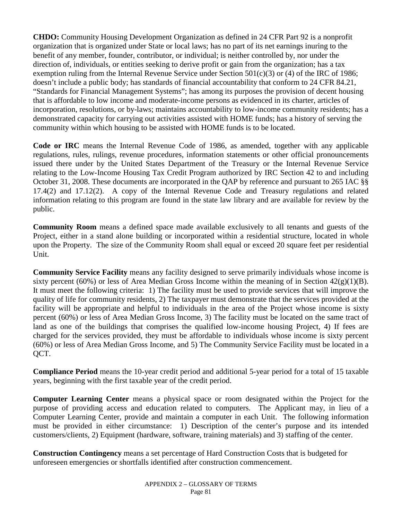**CHDO:** Community Housing Development Organization as defined in 24 CFR Part 92 is a nonprofit organization that is organized under State or local laws; has no part of its net earnings inuring to the benefit of any member, founder, contributor, or individual; is neither controlled by, nor under the direction of, individuals, or entities seeking to derive profit or gain from the organization; has a tax exemption ruling from the Internal Revenue Service under Section  $501(c)(3)$  or (4) of the IRC of 1986; doesn't include a public body; has standards of financial accountability that conform to 24 CFR 84.21, "Standards for Financial Management Systems"; has among its purposes the provision of decent housing that is affordable to low income and moderate-income persons as evidenced in its charter, articles of incorporation, resolutions, or by-laws; maintains accountability to low-income community residents; has a demonstrated capacity for carrying out activities assisted with HOME funds; has a history of serving the community within which housing to be assisted with HOME funds is to be located.

**Code or IRC** means the Internal Revenue Code of 1986, as amended, together with any applicable regulations, rules, rulings, revenue procedures, information statements or other official pronouncements issued there under by the United States Department of the Treasury or the Internal Revenue Service relating to the Low-Income Housing Tax Credit Program authorized by IRC Section 42 to and including October 31, 2008. These documents are incorporated in the QAP by reference and pursuant to 265 IAC §§ 17.4(2) and 17.12(2). A copy of the Internal Revenue Code and Treasury regulations and related information relating to this program are found in the state law library and are available for review by the public.

**Community Room** means a defined space made available exclusively to all tenants and guests of the Project, either in a stand alone building or incorporated within a residential structure, located in whole upon the Property. The size of the Community Room shall equal or exceed 20 square feet per residential Unit.

**Community Service Facility** means any facility designed to serve primarily individuals whose income is sixty percent (60%) or less of Area Median Gross Income within the meaning of in Section  $42(g)(1)(B)$ . It must meet the following criteria: 1) The facility must be used to provide services that will improve the quality of life for community residents, 2) The taxpayer must demonstrate that the services provided at the facility will be appropriate and helpful to individuals in the area of the Project whose income is sixty percent (60%) or less of Area Median Gross Income, 3) The facility must be located on the same tract of land as one of the buildings that comprises the qualified low-income housing Project, 4) If fees are charged for the services provided, they must be affordable to individuals whose income is sixty percent (60%) or less of Area Median Gross Income, and 5) The Community Service Facility must be located in a QCT.

**Compliance Period** means the 10-year credit period and additional 5-year period for a total of 15 taxable years, beginning with the first taxable year of the credit period.

**Computer Learning Center** means a physical space or room designated within the Project for the purpose of providing access and education related to computers. The Applicant may, in lieu of a Computer Learning Center, provide and maintain a computer in each Unit. The following information must be provided in either circumstance: 1) Description of the center's purpose and its intended customers/clients, 2) Equipment (hardware, software, training materials) and 3) staffing of the center.

**Construction Contingency** means a set percentage of Hard Construction Costs that is budgeted for unforeseen emergencies or shortfalls identified after construction commencement.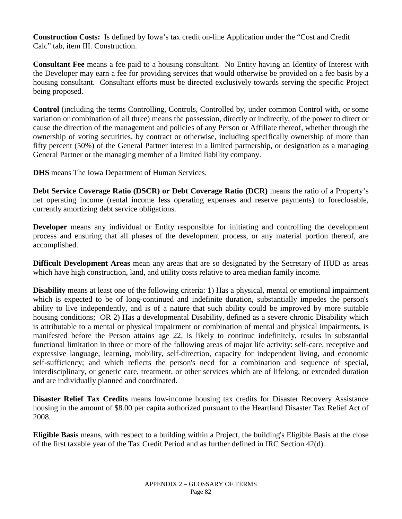**Construction Costs:** Is defined by Iowa's tax credit on-line Application under the "Cost and Credit Calc" tab, item III. Construction.

**Consultant Fee** means a fee paid to a housing consultant. No Entity having an Identity of Interest with the Developer may earn a fee for providing services that would otherwise be provided on a fee basis by a housing consultant. Consultant efforts must be directed exclusively towards serving the specific Project being proposed.

**Control** (including the terms Controlling, Controls, Controlled by, under common Control with, or some variation or combination of all three) means the possession, directly or indirectly, of the power to direct or cause the direction of the management and policies of any Person or Affiliate thereof, whether through the ownership of voting securities, by contract or otherwise, including specifically ownership of more than fifty percent (50%) of the General Partner interest in a limited partnership, or designation as a managing General Partner or the managing member of a limited liability company.

**DHS** means The Iowa Department of Human Services.

**Debt Service Coverage Ratio (DSCR) or Debt Coverage Ratio (DCR)** means the ratio of a Property's net operating income (rental income less operating expenses and reserve payments) to foreclosable, currently amortizing debt service obligations.

**Developer** means any individual or Entity responsible for initiating and controlling the development process and ensuring that all phases of the development process, or any material portion thereof, are accomplished.

**Difficult Development Areas** mean any areas that are so designated by the Secretary of HUD as areas which have high construction, land, and utility costs relative to area median family income.

**Disability** means at least one of the following criteria: 1) Has a physical, mental or emotional impairment which is expected to be of long-continued and indefinite duration, substantially impedes the person's ability to live independently, and is of a nature that such ability could be improved by more suitable housing conditions; OR 2) Has a developmental Disability, defined as a severe chronic Disability which is attributable to a mental or physical impairment or combination of mental and physical impairments, is manifested before the Person attains age 22, is likely to continue indefinitely, results in substantial functional limitation in three or more of the following areas of major life activity: self-care, receptive and expressive language, learning, mobility, self-direction, capacity for independent living, and economic self-sufficiency; and which reflects the person's need for a combination and sequence of special, interdisciplinary, or generic care, treatment, or other services which are of lifelong, or extended duration and are individually planned and coordinated.

**Disaster Relief Tax Credits** means low-income housing tax credits for Disaster Recovery Assistance housing in the amount of \$8.00 per capita authorized pursuant to the Heartland Disaster Tax Relief Act of 2008.

**Eligible Basis** means, with respect to a building within a Project, the building's Eligible Basis at the close of the first taxable year of the Tax Credit Period and as further defined in IRC Section 42(d).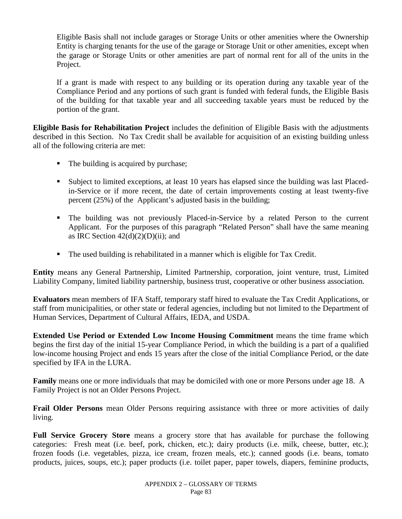Eligible Basis shall not include garages or Storage Units or other amenities where the Ownership Entity is charging tenants for the use of the garage or Storage Unit or other amenities, except when the garage or Storage Units or other amenities are part of normal rent for all of the units in the Project.

If a grant is made with respect to any building or its operation during any taxable year of the Compliance Period and any portions of such grant is funded with federal funds, the Eligible Basis of the building for that taxable year and all succeeding taxable years must be reduced by the portion of the grant.

**Eligible Basis for Rehabilitation Project** includes the definition of Eligible Basis with the adjustments described in this Section. No Tax Credit shall be available for acquisition of an existing building unless all of the following criteria are met:

- The building is acquired by purchase;
- Subject to limited exceptions, at least 10 years has elapsed since the building was last Placedin-Service or if more recent, the date of certain improvements costing at least twenty-five percent (25%) of the Applicant's adjusted basis in the building;
- The building was not previously Placed-in-Service by a related Person to the current Applicant. For the purposes of this paragraph "Related Person" shall have the same meaning as IRC Section  $42(d)(2)(D)(ii)$ ; and
- The used building is rehabilitated in a manner which is eligible for Tax Credit.

**Entity** means any General Partnership, Limited Partnership, corporation, joint venture, trust, Limited Liability Company, limited liability partnership, business trust, cooperative or other business association.

**Evaluators** mean members of IFA Staff, temporary staff hired to evaluate the Tax Credit Applications, or staff from municipalities, or other state or federal agencies, including but not limited to the Department of Human Services, Department of Cultural Affairs, IEDA, and USDA.

**Extended Use Period or Extended Low Income Housing Commitment** means the time frame which begins the first day of the initial 15-year Compliance Period, in which the building is a part of a qualified low-income housing Project and ends 15 years after the close of the initial Compliance Period, or the date specified by IFA in the LURA.

**Family** means one or more individuals that may be domiciled with one or more Persons under age 18. A Family Project is not an Older Persons Project.

**Frail Older Persons** mean Older Persons requiring assistance with three or more activities of daily living.

**Full Service Grocery Store** means a grocery store that has available for purchase the following categories: Fresh meat (i.e. beef, pork, chicken, etc.); dairy products (i.e. milk, cheese, butter, etc.); frozen foods (i.e. vegetables, pizza, ice cream, frozen meals, etc.); canned goods (i.e. beans, tomato products, juices, soups, etc.); paper products (i.e. toilet paper, paper towels, diapers, feminine products,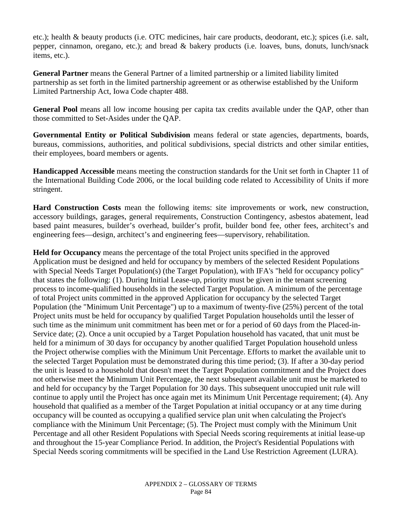etc.); health & beauty products (i.e. OTC medicines, hair care products, deodorant, etc.); spices (i.e. salt, pepper, cinnamon, oregano, etc.); and bread & bakery products (i.e. loaves, buns, donuts, lunch/snack items, etc.).

**General Partner** means the General Partner of a limited partnership or a limited liability limited partnership as set forth in the limited partnership agreement or as otherwise established by the Uniform Limited Partnership Act, Iowa Code chapter 488.

**General Pool** means all low income housing per capita tax credits available under the QAP, other than those committed to Set-Asides under the QAP.

**Governmental Entity or Political Subdivision** means federal or state agencies, departments, boards, bureaus, commissions, authorities, and political subdivisions, special districts and other similar entities, their employees, board members or agents.

**Handicapped Accessible** means meeting the construction standards for the Unit set forth in Chapter 11 of the International Building Code 2006, or the local building code related to Accessibility of Units if more stringent.

**Hard Construction Costs** mean the following items: site improvements or work, new construction, accessory buildings, garages, general requirements, Construction Contingency, asbestos abatement, lead based paint measures, builder's overhead, builder's profit, builder bond fee, other fees, architect's and engineering fees—design, architect's and engineering fees—supervisory, rehabilitation.

**Held for Occupancy** means the percentage of the total Project units specified in the approved Application must be designed and held for occupancy by members of the selected Resident Populations with Special Needs Target Population(s) (the Target Population), with IFA's "held for occupancy policy" that states the following: (1). During Initial Lease-up, priority must be given in the tenant screening process to income-qualified households in the selected Target Population. A minimum of the percentage of total Project units committed in the approved Application for occupancy by the selected Target Population (the "Minimum Unit Percentage") up to a maximum of twenty-five (25%) percent of the total Project units must be held for occupancy by qualified Target Population households until the lesser of such time as the minimum unit commitment has been met or for a period of 60 days from the Placed-in-Service date; (2). Once a unit occupied by a Target Population household has vacated, that unit must be held for a minimum of 30 days for occupancy by another qualified Target Population household unless the Project otherwise complies with the Minimum Unit Percentage. Efforts to market the available unit to the selected Target Population must be demonstrated during this time period; (3). If after a 30-day period the unit is leased to a household that doesn't meet the Target Population commitment and the Project does not otherwise meet the Minimum Unit Percentage, the next subsequent available unit must be marketed to and held for occupancy by the Target Population for 30 days. This subsequent unoccupied unit rule will continue to apply until the Project has once again met its Minimum Unit Percentage requirement; (4). Any household that qualified as a member of the Target Population at initial occupancy or at any time during occupancy will be counted as occupying a qualified service plan unit when calculating the Project's compliance with the Minimum Unit Percentage; (5). The Project must comply with the Minimum Unit Percentage and all other Resident Populations with Special Needs scoring requirements at initial lease-up and throughout the 15-year Compliance Period. In addition, the Project's Residential Populations with Special Needs scoring commitments will be specified in the Land Use Restriction Agreement (LURA).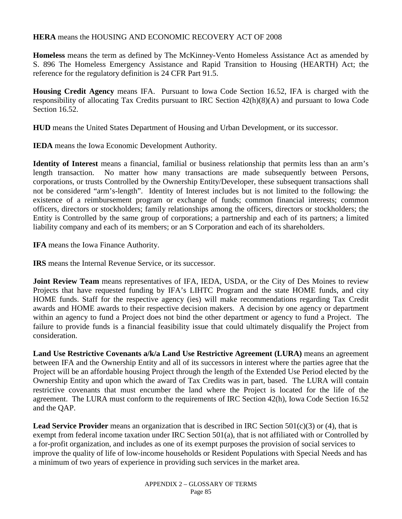## **HERA** means the HOUSING AND ECONOMIC RECOVERY ACT OF 2008

**Homeless** means the term as defined by The McKinney-Vento Homeless Assistance Act as amended by S. 896 The Homeless Emergency Assistance and Rapid Transition to Housing (HEARTH) Act; the reference for the regulatory definition is 24 CFR Part 91.5.

**Housing Credit Agency** means IFA. Pursuant to Iowa Code Section 16.52, IFA is charged with the responsibility of allocating Tax Credits pursuant to IRC Section 42(h)(8)(A) and pursuant to Iowa Code Section 16.52.

**HUD** means the United States Department of Housing and Urban Development, or its successor.

**IEDA** means the Iowa Economic Development Authority.

**Identity of Interest** means a financial, familial or business relationship that permits less than an arm's length transaction. No matter how many transactions are made subsequently between Persons, corporations, or trusts Controlled by the Ownership Entity/Developer, these subsequent transactions shall not be considered "arm's-length". Identity of Interest includes but is not limited to the following: the existence of a reimbursement program or exchange of funds; common financial interests; common officers, directors or stockholders; family relationships among the officers, directors or stockholders; the Entity is Controlled by the same group of corporations; a partnership and each of its partners; a limited liability company and each of its members; or an S Corporation and each of its shareholders.

**IFA** means the Iowa Finance Authority.

**IRS** means the Internal Revenue Service, or its successor.

**Joint Review Team** means representatives of IFA, IEDA, USDA, or the City of Des Moines to review Projects that have requested funding by IFA's LIHTC Program and the state HOME funds, and city HOME funds. Staff for the respective agency (ies) will make recommendations regarding Tax Credit awards and HOME awards to their respective decision makers. A decision by one agency or department within an agency to fund a Project does not bind the other department or agency to fund a Project. The failure to provide funds is a financial feasibility issue that could ultimately disqualify the Project from consideration.

**Land Use Restrictive Covenants a/k/a Land Use Restrictive Agreement (LURA)** means an agreement between IFA and the Ownership Entity and all of its successors in interest where the parties agree that the Project will be an affordable housing Project through the length of the Extended Use Period elected by the Ownership Entity and upon which the award of Tax Credits was in part, based. The LURA will contain restrictive covenants that must encumber the land where the Project is located for the life of the agreement. The LURA must conform to the requirements of IRC Section 42(h), Iowa Code Section 16.52 and the QAP.

**Lead Service Provider** means an organization that is described in IRC Section 501(c)(3) or (4), that is exempt from federal income taxation under IRC Section 501(a), that is not affiliated with or Controlled by a for-profit organization, and includes as one of its exempt purposes the provision of social services to improve the quality of life of low-income households or Resident Populations with Special Needs and has a minimum of two years of experience in providing such services in the market area.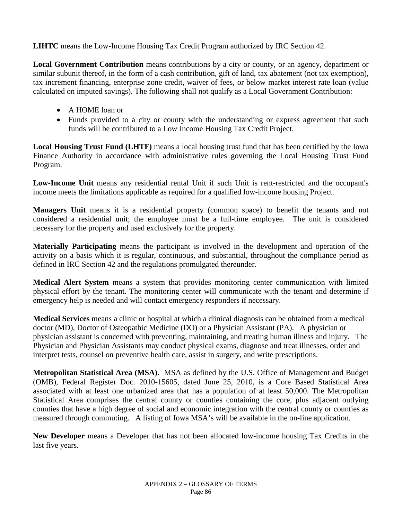**LIHTC** means the Low-Income Housing Tax Credit Program authorized by IRC Section 42.

**Local Government Contribution** means contributions by a city or county, or an agency, department or similar subunit thereof, in the form of a cash contribution, gift of land, tax abatement (not tax exemption), tax increment financing, enterprise zone credit, waiver of fees, or below market interest rate loan (value calculated on imputed savings). The following shall not qualify as a Local Government Contribution:

- A HOME loan or
- Funds provided to a city or county with the understanding or express agreement that such funds will be contributed to a Low Income Housing Tax Credit Project.

**Local Housing Trust Fund (LHTF)** means a local housing trust fund that has been certified by the Iowa Finance Authority in accordance with administrative rules governing the Local Housing Trust Fund Program.

**Low-Income Unit** means any residential rental Unit if such Unit is rent-restricted and the occupant's income meets the limitations applicable as required for a qualified low-income housing Project.

**Managers Unit** means it is a residential property (common space) to benefit the tenants and not considered a residential unit; the employee must be a full-time employee. The unit is considered necessary for the property and used exclusively for the property.

**Materially Participating** means the participant is involved in the development and operation of the activity on a basis which it is regular, continuous, and substantial, throughout the compliance period as defined in IRC Section 42 and the regulations promulgated thereunder.

**Medical Alert System** means a system that provides monitoring center communication with limited physical effort by the tenant. The monitoring center will communicate with the tenant and determine if emergency help is needed and will contact emergency responders if necessary.

**Medical Services** means a clinic or hospital at which a clinical diagnosis can be obtained from a medical doctor (MD), Doctor of Osteopathic Medicine (DO) or a Physician Assistant (PA). A physician or physician assistant is concerned with preventing, maintaining, and treating human illness and injury. The Physician and Physician Assistants may conduct physical exams, diagnose and treat illnesses, order and interpret tests, counsel on preventive health care, assist in surgery, and write prescriptions.

**Metropolitan Statistical Area (MSA)**. MSA as defined by the U.S. Office of Management and Budget (OMB), Federal Register Doc. 2010-15605, dated June 25, 2010, is a Core Based Statistical Area associated with at least one urbanized area that has a population of at least 50,000. The Metropolitan Statistical Area comprises the central county or counties containing the core, plus adjacent outlying counties that have a high degree of social and economic integration with the central county or counties as measured through commuting. A listing of Iowa MSA's will be available in the on-line application.

**New Developer** means a Developer that has not been allocated low-income housing Tax Credits in the last five years.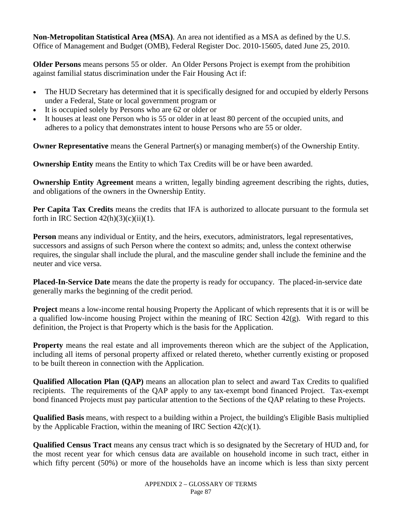**Non-Metropolitan Statistical Area (MSA)**. An area not identified as a MSA as defined by the U.S. Office of Management and Budget (OMB), Federal Register Doc. 2010-15605, dated June 25, 2010.

**Older Persons** means persons 55 or older. An Older Persons Project is exempt from the prohibition against familial status discrimination under the Fair Housing Act if:

- The HUD Secretary has determined that it is specifically designed for and occupied by elderly Persons under a Federal, State or local government program or
- It is occupied solely by Persons who are 62 or older or
- It houses at least one Person who is 55 or older in at least 80 percent of the occupied units, and adheres to a policy that demonstrates intent to house Persons who are 55 or older.

**Owner Representative** means the General Partner(s) or managing member(s) of the Ownership Entity.

**Ownership Entity** means the Entity to which Tax Credits will be or have been awarded.

**Ownership Entity Agreement** means a written, legally binding agreement describing the rights, duties, and obligations of the owners in the Ownership Entity.

**Per Capita Tax Credits** means the credits that IFA is authorized to allocate pursuant to the formula set forth in IRC Section  $42(h)(3)(c)(ii)(1)$ .

**Person** means any individual or Entity, and the heirs, executors, administrators, legal representatives, successors and assigns of such Person where the context so admits; and, unless the context otherwise requires, the singular shall include the plural, and the masculine gender shall include the feminine and the neuter and vice versa.

**Placed-In-Service Date** means the date the property is ready for occupancy. The placed-in-service date generally marks the beginning of the credit period.

**Project** means a low-income rental housing Property the Applicant of which represents that it is or will be a qualified low-income housing Project within the meaning of IRC Section 42(g). With regard to this definition, the Project is that Property which is the basis for the Application.

**Property** means the real estate and all improvements thereon which are the subject of the Application, including all items of personal property affixed or related thereto, whether currently existing or proposed to be built thereon in connection with the Application.

**Qualified Allocation Plan (QAP)** means an allocation plan to select and award Tax Credits to qualified recipients. The requirements of the QAP apply to any tax-exempt bond financed Project. Tax-exempt bond financed Projects must pay particular attention to the Sections of the QAP relating to these Projects.

**Qualified Basis** means, with respect to a building within a Project, the building's Eligible Basis multiplied by the Applicable Fraction, within the meaning of IRC Section  $42(c)(1)$ .

**Qualified Census Tract** means any census tract which is so designated by the Secretary of HUD and, for the most recent year for which census data are available on household income in such tract, either in which fifty percent (50%) or more of the households have an income which is less than sixty percent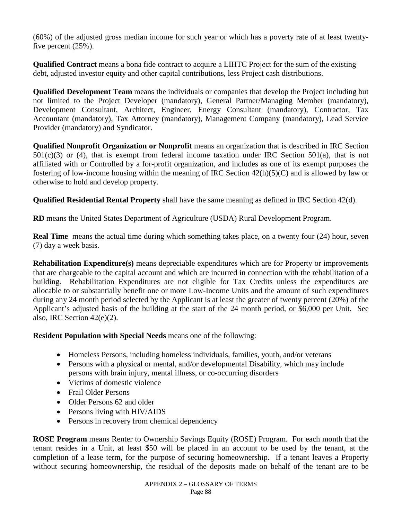(60%) of the adjusted gross median income for such year or which has a poverty rate of at least twentyfive percent (25%).

**Qualified Contract** means a bona fide contract to acquire a LIHTC Project for the sum of the existing debt, adjusted investor equity and other capital contributions, less Project cash distributions.

**Qualified Development Team** means the individuals or companies that develop the Project including but not limited to the Project Developer (mandatory), General Partner/Managing Member (mandatory), Development Consultant, Architect, Engineer, Energy Consultant (mandatory), Contractor, Tax Accountant (mandatory), Tax Attorney (mandatory), Management Company (mandatory), Lead Service Provider (mandatory) and Syndicator.

**Qualified Nonprofit Organization or Nonprofit** means an organization that is described in IRC Section  $501(c)(3)$  or (4), that is exempt from federal income taxation under IRC Section  $501(a)$ , that is not affiliated with or Controlled by a for-profit organization, and includes as one of its exempt purposes the fostering of low-income housing within the meaning of IRC Section 42(h)(5)(C) and is allowed by law or otherwise to hold and develop property.

**Qualified Residential Rental Property** shall have the same meaning as defined in IRC Section 42(d).

**RD** means the United States Department of Agriculture (USDA) Rural Development Program.

**Real Time** means the actual time during which something takes place, on a twenty four (24) hour, seven (7) day a week basis.

**Rehabilitation Expenditure(s)** means depreciable expenditures which are for Property or improvements that are chargeable to the capital account and which are incurred in connection with the rehabilitation of a building. Rehabilitation Expenditures are not eligible for Tax Credits unless the expenditures are allocable to or substantially benefit one or more Low-Income Units and the amount of such expenditures during any 24 month period selected by the Applicant is at least the greater of twenty percent (20%) of the Applicant's adjusted basis of the building at the start of the 24 month period, or \$6,000 per Unit. See also, IRC Section 42(e)(2).

**Resident Population with Special Needs** means one of the following:

- Homeless Persons, including homeless individuals, families, youth, and/or veterans
- Persons with a physical or mental, and/or developmental Disability, which may include persons with brain injury, mental illness, or co-occurring disorders
- Victims of domestic violence
- Frail Older Persons
- Older Persons 62 and older
- Persons living with HIV/AIDS
- Persons in recovery from chemical dependency

**ROSE Program** means Renter to Ownership Savings Equity (ROSE) Program. For each month that the tenant resides in a Unit, at least \$50 will be placed in an account to be used by the tenant, at the completion of a lease term, for the purpose of securing homeownership. If a tenant leaves a Property without securing homeownership, the residual of the deposits made on behalf of the tenant are to be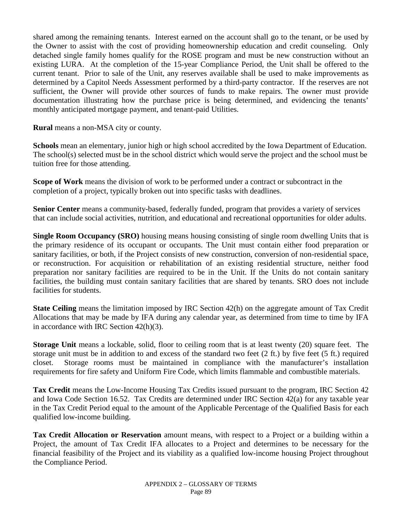shared among the remaining tenants. Interest earned on the account shall go to the tenant, or be used by the Owner to assist with the cost of providing homeownership education and credit counseling. Only detached single family homes qualify for the ROSE program and must be new construction without an existing LURA. At the completion of the 15-year Compliance Period, the Unit shall be offered to the current tenant. Prior to sale of the Unit, any reserves available shall be used to make improvements as determined by a Capitol Needs Assessment performed by a third-party contractor. If the reserves are not sufficient, the Owner will provide other sources of funds to make repairs. The owner must provide documentation illustrating how the purchase price is being determined, and evidencing the tenants' monthly anticipated mortgage payment, and tenant-paid Utilities.

**Rural** means a non-MSA city or county.

**Schools** mean an elementary, junior high or high school accredited by the Iowa Department of Education. The school(s) selected must be in the school district which would serve the project and the school must be tuition free for those attending.

**Scope of Work** means the division of work to be performed under a contract or subcontract in the completion of a project, typically broken out into specific tasks with deadlines.

**Senior Center** means a community-based, federally funded, program that provides a variety of services that can include social activities, nutrition, and educational and recreational opportunities for older adults.

**Single Room Occupancy (SRO)** housing means housing consisting of single room dwelling Units that is the primary residence of its occupant or occupants. The Unit must contain either food preparation or sanitary facilities, or both, if the Project consists of new construction, conversion of non-residential space, or reconstruction. For acquisition or rehabilitation of an existing residential structure, neither food preparation nor sanitary facilities are required to be in the Unit. If the Units do not contain sanitary facilities, the building must contain sanitary facilities that are shared by tenants. SRO does not include facilities for students.

**State Ceiling** means the limitation imposed by IRC Section 42(h) on the aggregate amount of Tax Credit Allocations that may be made by IFA during any calendar year, as determined from time to time by IFA in accordance with IRC Section 42(h)(3).

**Storage Unit** means a lockable, solid, floor to ceiling room that is at least twenty (20) square feet. The storage unit must be in addition to and excess of the standard two feet (2 ft.) by five feet (5 ft.) required closet. Storage rooms must be maintained in compliance with the manufacturer's installation requirements for fire safety and Uniform Fire Code, which limits flammable and combustible materials.

**Tax Credit** means the Low-Income Housing Tax Credits issued pursuant to the program, IRC Section 42 and Iowa Code Section 16.52. Tax Credits are determined under IRC Section 42(a) for any taxable year in the Tax Credit Period equal to the amount of the Applicable Percentage of the Qualified Basis for each qualified low-income building.

**Tax Credit Allocation or Reservation** amount means, with respect to a Project or a building within a Project, the amount of Tax Credit IFA allocates to a Project and determines to be necessary for the financial feasibility of the Project and its viability as a qualified low-income housing Project throughout the Compliance Period.